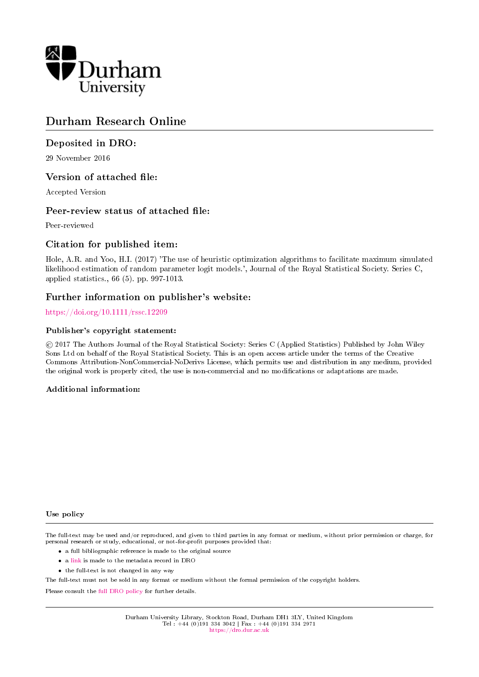

## Durham Research Online

#### Deposited in DRO:

29 November 2016

#### Version of attached file:

Accepted Version

#### Peer-review status of attached file:

Peer-reviewed

#### Citation for published item:

Hole, A.R. and Yoo, H.I. (2017) 'The use of heuristic optimization algorithms to facilitate maximum simulated likelihood estimation of random parameter logit models.', Journal of the Royal Statistical Society. Series C, applied statistics., 66 (5). pp. 997-1013.

#### Further information on publisher's website:

<https://doi.org/10.1111/rssc.12209>

#### Publisher's copyright statement:

 c 2017 The Authors Journal of the Royal Statistical Society: Series C (Applied Statistics) Published by John Wiley Sons Ltd on behalf of the Royal Statistical Society. This is an open access article under the terms of the Creative Commons Attribution-NonCommercial-NoDerivs License, which permits use and distribution in any medium, provided the original work is properly cited, the use is non-commercial and no modications or adaptations are made.

#### Additional information:

#### Use policy

The full-text may be used and/or reproduced, and given to third parties in any format or medium, without prior permission or charge, for personal research or study, educational, or not-for-profit purposes provided that:

- a full bibliographic reference is made to the original source
- a [link](http://dro.dur.ac.uk/20333/) is made to the metadata record in DRO
- the full-text is not changed in any way

The full-text must not be sold in any format or medium without the formal permission of the copyright holders.

Please consult the [full DRO policy](https://dro.dur.ac.uk/policies/usepolicy.pdf) for further details.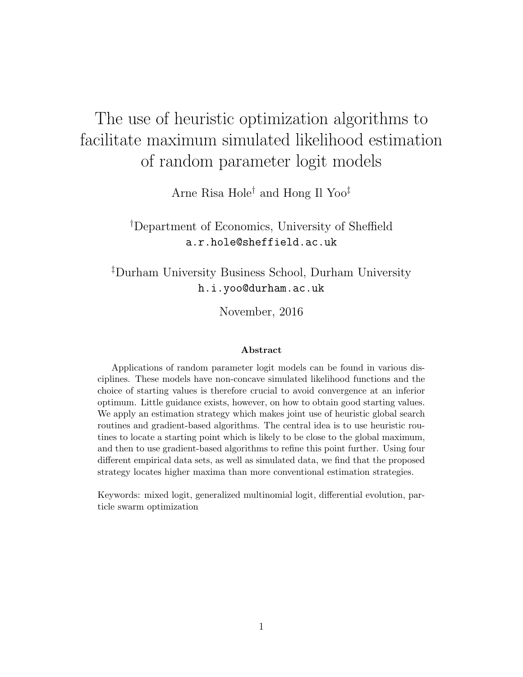# The use of heuristic optimization algorithms to facilitate maximum simulated likelihood estimation of random parameter logit models

Arne Risa Hole† and Hong Il Yoo‡

†Department of Economics, University of Sheffield a.r.hole@sheffield.ac.uk

‡Durham University Business School, Durham University h.i.yoo@durham.ac.uk

November, 2016

#### Abstract

Applications of random parameter logit models can be found in various disciplines. These models have non-concave simulated likelihood functions and the choice of starting values is therefore crucial to avoid convergence at an inferior optimum. Little guidance exists, however, on how to obtain good starting values. We apply an estimation strategy which makes joint use of heuristic global search routines and gradient-based algorithms. The central idea is to use heuristic routines to locate a starting point which is likely to be close to the global maximum, and then to use gradient-based algorithms to refine this point further. Using four different empirical data sets, as well as simulated data, we find that the proposed strategy locates higher maxima than more conventional estimation strategies.

Keywords: mixed logit, generalized multinomial logit, differential evolution, particle swarm optimization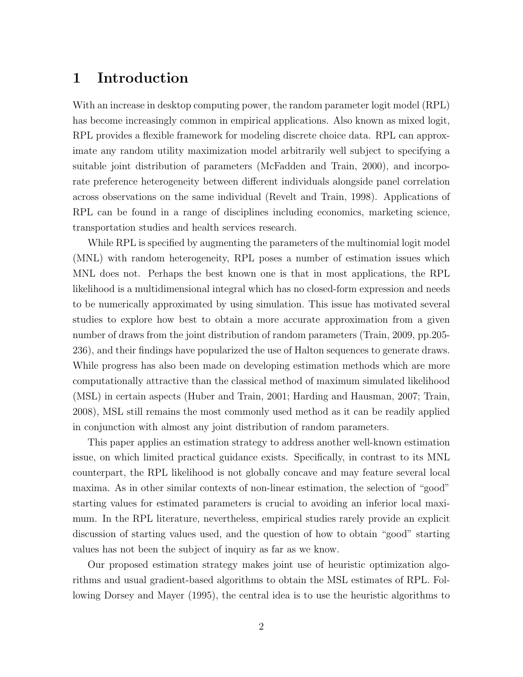## 1 Introduction

With an increase in desktop computing power, the random parameter logit model (RPL) has become increasingly common in empirical applications. Also known as mixed logit, RPL provides a flexible framework for modeling discrete choice data. RPL can approximate any random utility maximization model arbitrarily well subject to specifying a suitable joint distribution of parameters (McFadden and Train, 2000), and incorporate preference heterogeneity between different individuals alongside panel correlation across observations on the same individual (Revelt and Train, 1998). Applications of RPL can be found in a range of disciplines including economics, marketing science, transportation studies and health services research.

While RPL is specified by augmenting the parameters of the multinomial logit model (MNL) with random heterogeneity, RPL poses a number of estimation issues which MNL does not. Perhaps the best known one is that in most applications, the RPL likelihood is a multidimensional integral which has no closed-form expression and needs to be numerically approximated by using simulation. This issue has motivated several studies to explore how best to obtain a more accurate approximation from a given number of draws from the joint distribution of random parameters (Train, 2009, pp.205- 236), and their findings have popularized the use of Halton sequences to generate draws. While progress has also been made on developing estimation methods which are more computationally attractive than the classical method of maximum simulated likelihood (MSL) in certain aspects (Huber and Train, 2001; Harding and Hausman, 2007; Train, 2008), MSL still remains the most commonly used method as it can be readily applied in conjunction with almost any joint distribution of random parameters.

This paper applies an estimation strategy to address another well-known estimation issue, on which limited practical guidance exists. Specifically, in contrast to its MNL counterpart, the RPL likelihood is not globally concave and may feature several local maxima. As in other similar contexts of non-linear estimation, the selection of "good" starting values for estimated parameters is crucial to avoiding an inferior local maximum. In the RPL literature, nevertheless, empirical studies rarely provide an explicit discussion of starting values used, and the question of how to obtain "good" starting values has not been the subject of inquiry as far as we know.

Our proposed estimation strategy makes joint use of heuristic optimization algorithms and usual gradient-based algorithms to obtain the MSL estimates of RPL. Following Dorsey and Mayer (1995), the central idea is to use the heuristic algorithms to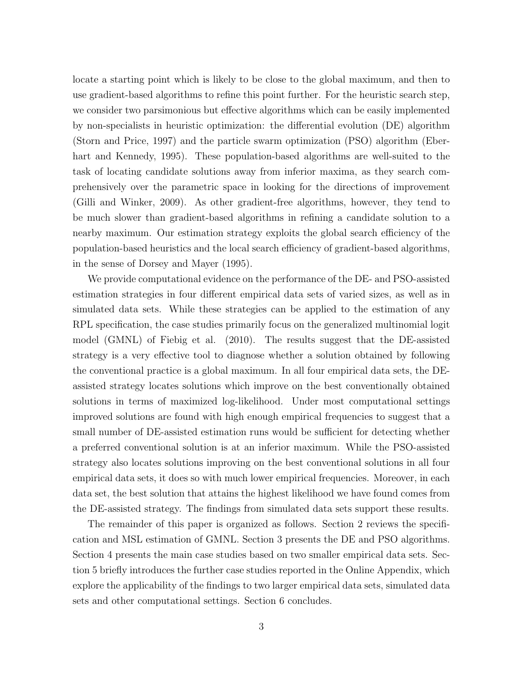locate a starting point which is likely to be close to the global maximum, and then to use gradient-based algorithms to refine this point further. For the heuristic search step, we consider two parsimonious but effective algorithms which can be easily implemented by non-specialists in heuristic optimization: the differential evolution (DE) algorithm (Storn and Price, 1997) and the particle swarm optimization (PSO) algorithm (Eberhart and Kennedy, 1995). These population-based algorithms are well-suited to the task of locating candidate solutions away from inferior maxima, as they search comprehensively over the parametric space in looking for the directions of improvement (Gilli and Winker, 2009). As other gradient-free algorithms, however, they tend to be much slower than gradient-based algorithms in refining a candidate solution to a nearby maximum. Our estimation strategy exploits the global search efficiency of the population-based heuristics and the local search efficiency of gradient-based algorithms, in the sense of Dorsey and Mayer (1995).

We provide computational evidence on the performance of the DE- and PSO-assisted estimation strategies in four different empirical data sets of varied sizes, as well as in simulated data sets. While these strategies can be applied to the estimation of any RPL specification, the case studies primarily focus on the generalized multinomial logit model (GMNL) of Fiebig et al. (2010). The results suggest that the DE-assisted strategy is a very effective tool to diagnose whether a solution obtained by following the conventional practice is a global maximum. In all four empirical data sets, the DEassisted strategy locates solutions which improve on the best conventionally obtained solutions in terms of maximized log-likelihood. Under most computational settings improved solutions are found with high enough empirical frequencies to suggest that a small number of DE-assisted estimation runs would be sufficient for detecting whether a preferred conventional solution is at an inferior maximum. While the PSO-assisted strategy also locates solutions improving on the best conventional solutions in all four empirical data sets, it does so with much lower empirical frequencies. Moreover, in each data set, the best solution that attains the highest likelihood we have found comes from the DE-assisted strategy. The findings from simulated data sets support these results.

The remainder of this paper is organized as follows. Section 2 reviews the specification and MSL estimation of GMNL. Section 3 presents the DE and PSO algorithms. Section 4 presents the main case studies based on two smaller empirical data sets. Section 5 briefly introduces the further case studies reported in the Online Appendix, which explore the applicability of the findings to two larger empirical data sets, simulated data sets and other computational settings. Section 6 concludes.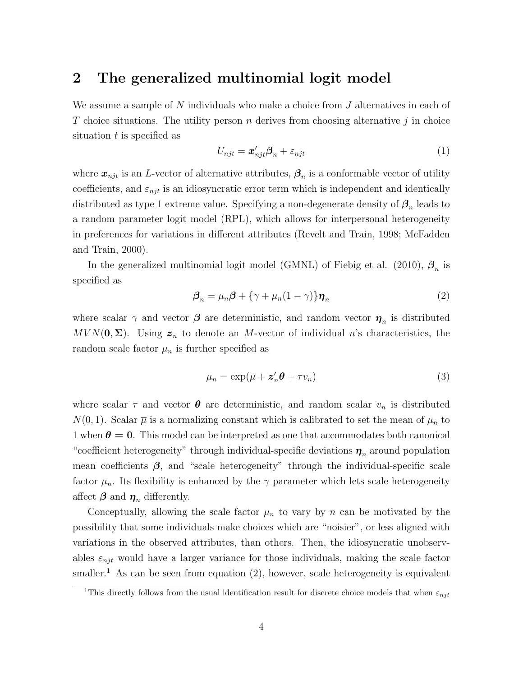## 2 The generalized multinomial logit model

We assume a sample of  $N$  individuals who make a choice from  $J$  alternatives in each of T choice situations. The utility person n derives from choosing alternative j in choice situation  $t$  is specified as

$$
U_{njt} = \boldsymbol{x}_{njt}'\boldsymbol{\beta}_n + \varepsilon_{njt} \tag{1}
$$

where  $x_{njt}$  is an L-vector of alternative attributes,  $\beta_n$  is a conformable vector of utility coefficients, and  $\varepsilon_{njk}$  is an idiosyncratic error term which is independent and identically distributed as type 1 extreme value. Specifying a non-degenerate density of  $\beta_n$  leads to a random parameter logit model (RPL), which allows for interpersonal heterogeneity in preferences for variations in different attributes (Revelt and Train, 1998; McFadden and Train, 2000).

In the generalized multinomial logit model (GMNL) of Fiebig et al. (2010),  $\beta_n$  is specified as

$$
\beta_n = \mu_n \beta + \{ \gamma + \mu_n (1 - \gamma) \} \eta_n \tag{2}
$$

where scalar  $\gamma$  and vector  $\beta$  are deterministic, and random vector  $\eta_n$  is distributed  $MVN(0, \Sigma)$ . Using  $z_n$  to denote an M-vector of individual n's characteristics, the random scale factor  $\mu_n$  is further specified as

$$
\mu_n = \exp(\overline{\mu} + \mathbf{z}_n' \boldsymbol{\theta} + \tau v_n) \tag{3}
$$

where scalar  $\tau$  and vector  $\theta$  are deterministic, and random scalar  $v_n$  is distributed  $N(0, 1)$ . Scalar  $\overline{\mu}$  is a normalizing constant which is calibrated to set the mean of  $\mu_n$  to 1 when  $\theta = 0$ . This model can be interpreted as one that accommodates both canonical "coefficient heterogeneity" through individual-specific deviations  $\eta_n$  around population mean coefficients  $\beta$ , and "scale heterogeneity" through the individual-specific scale factor  $\mu_n$ . Its flexibility is enhanced by the  $\gamma$  parameter which lets scale heterogeneity affect  $\beta$  and  $\eta_n$  differently.

Conceptually, allowing the scale factor  $\mu_n$  to vary by n can be motivated by the possibility that some individuals make choices which are "noisier", or less aligned with variations in the observed attributes, than others. Then, the idiosyncratic unobservables  $\varepsilon_{nji}$  would have a larger variance for those individuals, making the scale factor smaller.<sup>1</sup> As can be seen from equation  $(2)$ , however, scale heterogeneity is equivalent

<sup>&</sup>lt;sup>1</sup>This directly follows from the usual identification result for discrete choice models that when  $\varepsilon_{nit}$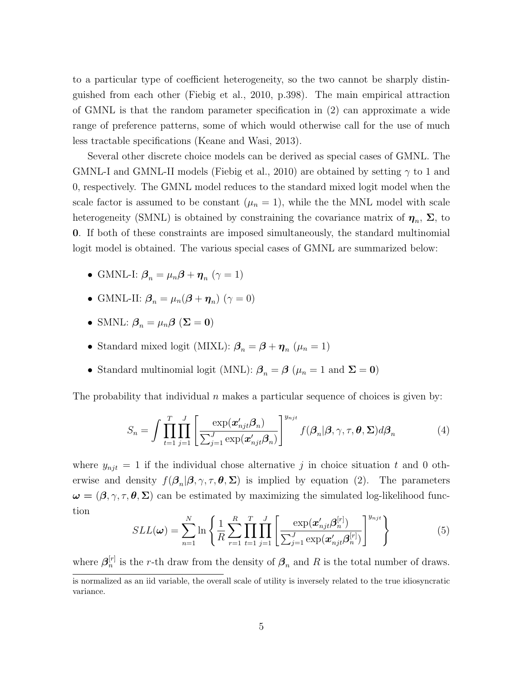to a particular type of coefficient heterogeneity, so the two cannot be sharply distinguished from each other (Fiebig et al., 2010, p.398). The main empirical attraction of GMNL is that the random parameter specification in (2) can approximate a wide range of preference patterns, some of which would otherwise call for the use of much less tractable specifications (Keane and Wasi, 2013).

Several other discrete choice models can be derived as special cases of GMNL. The GMNL-I and GMNL-II models (Fiebig et al., 2010) are obtained by setting  $\gamma$  to 1 and 0, respectively. The GMNL model reduces to the standard mixed logit model when the scale factor is assumed to be constant  $(\mu_n = 1)$ , while the MNL model with scale heterogeneity (SMNL) is obtained by constraining the covariance matrix of  $\eta_n$ ,  $\Sigma$ , to 0. If both of these constraints are imposed simultaneously, the standard multinomial logit model is obtained. The various special cases of GMNL are summarized below:

- GMNL-I:  $\beta_n = \mu_n \beta + \eta_n$  ( $\gamma = 1$ )
- GMNL-II:  $\beta_n = \mu_n(\boldsymbol{\beta} + \boldsymbol{\eta}_n)$   $(\gamma = 0)$
- SMNL:  $\beta_n = \mu_n \beta$  ( $\Sigma = 0$ )
- Standard mixed logit (MIXL):  $\beta_n = \beta + \eta_n$  ( $\mu_n = 1$ )
- Standard multinomial logit (MNL):  $\beta_n = \beta (\mu_n = 1 \text{ and } \Sigma = 0)$

The probability that individual n makes a particular sequence of choices is given by:

$$
S_n = \int \prod_{t=1}^T \prod_{j=1}^J \left[ \frac{\exp(\mathbf{x}_{njt}' \boldsymbol{\beta}_n)}{\sum_{j=1}^J \exp(\mathbf{x}_{njt}' \boldsymbol{\beta}_n)} \right]^{y_{njt}} f(\boldsymbol{\beta}_n | \boldsymbol{\beta}, \gamma, \tau, \boldsymbol{\theta}, \boldsymbol{\Sigma}) d\boldsymbol{\beta}_n \tag{4}
$$

where  $y_{njt} = 1$  if the individual chose alternative j in choice situation t and 0 otherwise and density  $f(\mathcal{B}_n|\mathcal{B}, \gamma, \tau, \mathcal{B}, \Sigma)$  is implied by equation (2). The parameters  $\omega = (\beta, \gamma, \tau, \theta, \Sigma)$  can be estimated by maximizing the simulated log-likelihood function

$$
SLL(\boldsymbol{\omega}) = \sum_{n=1}^{N} \ln \left\{ \frac{1}{R} \sum_{r=1}^{R} \prod_{t=1}^{T} \prod_{j=1}^{J} \left[ \frac{\exp(\boldsymbol{x}_{njt}' \boldsymbol{\beta}_{n}^{[r]})}{\sum_{j=1}^{J} \exp(\boldsymbol{x}_{njt}' \boldsymbol{\beta}_{n}^{[r]})} \right]^{y_{njt}} \right\}
$$
(5)

where  $\boldsymbol{\beta}_n^{[r]}$  $\binom{[r]}{n}$  is the r-th draw from the density of  $\beta_n$  and R is the total number of draws.

is normalized as an iid variable, the overall scale of utility is inversely related to the true idiosyncratic variance.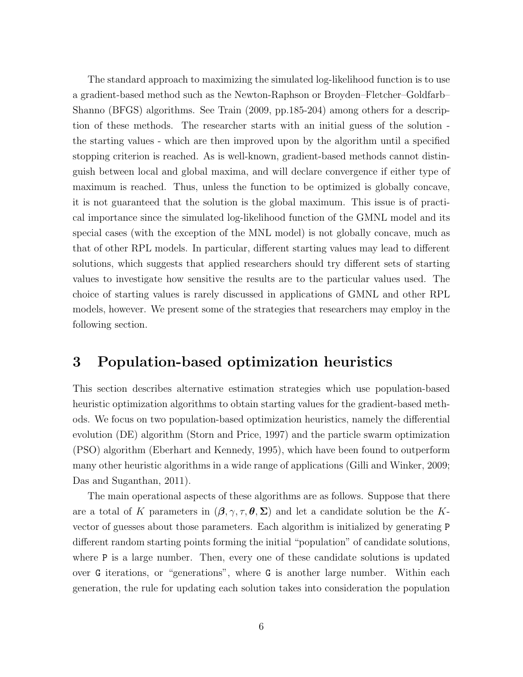The standard approach to maximizing the simulated log-likelihood function is to use a gradient-based method such as the Newton-Raphson or Broyden–Fletcher–Goldfarb– Shanno (BFGS) algorithms. See Train (2009, pp.185-204) among others for a description of these methods. The researcher starts with an initial guess of the solution the starting values - which are then improved upon by the algorithm until a specified stopping criterion is reached. As is well-known, gradient-based methods cannot distinguish between local and global maxima, and will declare convergence if either type of maximum is reached. Thus, unless the function to be optimized is globally concave, it is not guaranteed that the solution is the global maximum. This issue is of practical importance since the simulated log-likelihood function of the GMNL model and its special cases (with the exception of the MNL model) is not globally concave, much as that of other RPL models. In particular, different starting values may lead to different solutions, which suggests that applied researchers should try different sets of starting values to investigate how sensitive the results are to the particular values used. The choice of starting values is rarely discussed in applications of GMNL and other RPL models, however. We present some of the strategies that researchers may employ in the following section.

## 3 Population-based optimization heuristics

This section describes alternative estimation strategies which use population-based heuristic optimization algorithms to obtain starting values for the gradient-based methods. We focus on two population-based optimization heuristics, namely the differential evolution (DE) algorithm (Storn and Price, 1997) and the particle swarm optimization (PSO) algorithm (Eberhart and Kennedy, 1995), which have been found to outperform many other heuristic algorithms in a wide range of applications (Gilli and Winker, 2009; Das and Suganthan, 2011).

The main operational aspects of these algorithms are as follows. Suppose that there are a total of K parameters in  $(\beta, \gamma, \tau, \theta, \Sigma)$  and let a candidate solution be the Kvector of guesses about those parameters. Each algorithm is initialized by generating P different random starting points forming the initial "population" of candidate solutions, where P is a large number. Then, every one of these candidate solutions is updated over G iterations, or "generations", where G is another large number. Within each generation, the rule for updating each solution takes into consideration the population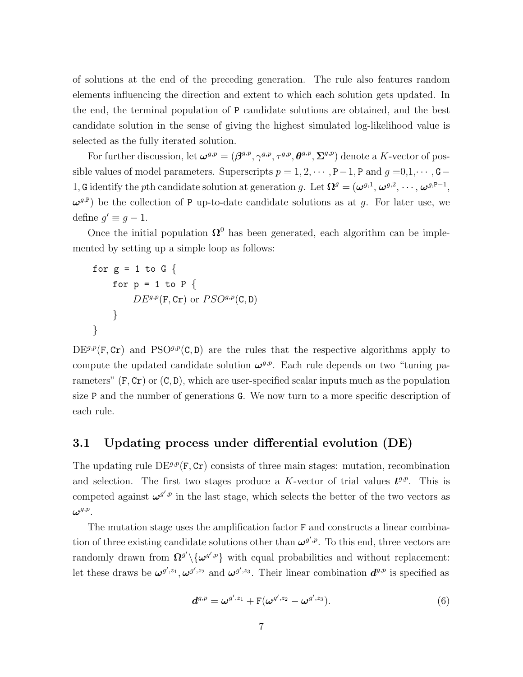of solutions at the end of the preceding generation. The rule also features random elements influencing the direction and extent to which each solution gets updated. In the end, the terminal population of P candidate solutions are obtained, and the best candidate solution in the sense of giving the highest simulated log-likelihood value is selected as the fully iterated solution.

For further discussion, let  $\omega^{g,p} = (\beta^{g,p}, \gamma^{g,p}, \tau^{g,p}, \theta^{g,p}, \Sigma^{g,p})$  denote a K-vector of possible values of model parameters. Superscripts  $p = 1, 2, \cdots, P-1, P$  and  $g = 0, 1, \cdots, G-1$ 1, G identify the pth candidate solution at generation g. Let  $\Omega^g = (\omega^{g,1}, \omega^{g,2}, \cdots, \omega^{g,P-1},$  $(\omega^{g,P})$  be the collection of P up-to-date candidate solutions as at g. For later use, we define  $g' \equiv g - 1$ .

Once the initial population  $\Omega^0$  has been generated, each algorithm can be implemented by setting up a simple loop as follows:

for g = 1 to G  
\nfor p = 1 to P  
\n
$$
DE^{g,p}(F, Cr)
$$
 or  $PSO^{g,p}(C,D)$   
\n}  
\n $\}$ 

 $DE^{g,p}(\mathbf{F}, \mathbf{Cr})$  and  $PSO^{g,p}(\mathbf{C}, \mathbf{D})$  are the rules that the respective algorithms apply to compute the updated candidate solution  $\omega^{g,p}$ . Each rule depends on two "tuning parameters"  $(F, Cr)$  or  $(C, D)$ , which are user-specified scalar inputs much as the population size P and the number of generations G. We now turn to a more specific description of each rule.

#### 3.1 Updating process under differential evolution (DE)

The updating rule  $DE^{g,p}(\mathbf{F}, \mathbf{Cr})$  consists of three main stages: mutation, recombination and selection. The first two stages produce a K-vector of trial values  $t^{g,p}$ . This is competed against  $\omega^{g',p}$  in the last stage, which selects the better of the two vectors as  $\boldsymbol{\omega}^{g,p}.$ 

The mutation stage uses the amplification factor F and constructs a linear combination of three existing candidate solutions other than  $\omega^{g',p}$ . To this end, three vectors are randomly drawn from  $\Omega^{g'}\backslash {\{\omega^{g',p}\}}$  with equal probabilities and without replacement: let these draws be  $\omega^{g',z_1}, \omega^{g',z_2}$  and  $\omega^{g',z_3}$ . Their linear combination  $d^{g,p}$  is specified as

$$
\boldsymbol{d}^{g,p} = \boldsymbol{\omega}^{g',z_1} + \mathrm{F}(\boldsymbol{\omega}^{g',z_2} - \boldsymbol{\omega}^{g',z_3}). \tag{6}
$$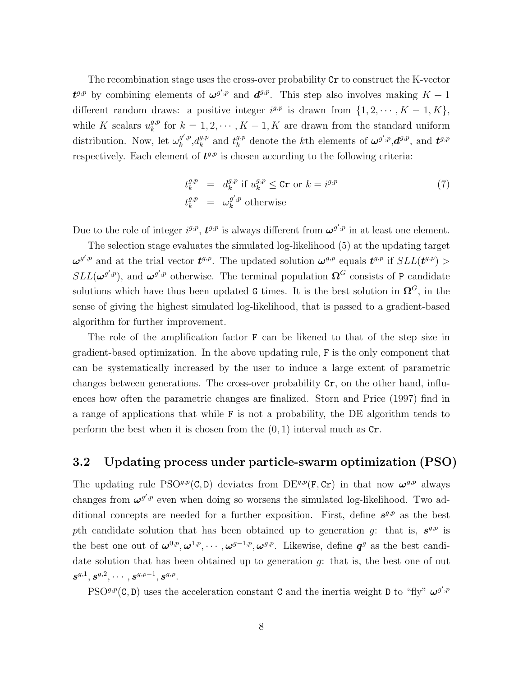The recombination stage uses the cross-over probability Cr to construct the K-vector  $t^{g,p}$  by combining elements of  $\omega^{g',p}$  and  $d^{g,p}$ . This step also involves making  $K+1$ different random draws: a positive integer  $i^{g,p}$  is drawn from  $\{1, 2, \dots, K - 1, K\}$ , while K scalars  $u_k^{g,p}$  $k_k^{g,p}$  for  $k = 1, 2, \dots, K - 1, K$  are drawn from the standard uniform distribution. Now, let  $\omega_k^{g',p}$  $_{k}^{g^{\prime },p},d_{k}^{g,p}$  $_k^{g,p}$  and  $t_k^{g,p}$  $k^{\mathcal{G},p}$  denote the *k*th elements of  $\boldsymbol{\omega}^{\mathcal{G}',p}, \boldsymbol{d}^{\mathcal{G},p}$ , and  $\boldsymbol{t}^{\mathcal{G},p}$ respectively. Each element of  $t^{g,p}$  is chosen according to the following criteria:

$$
t_k^{g,p} = d_k^{g,p} \text{ if } u_k^{g,p} \le \text{Cr or } k = i^{g,p}
$$
  
\n
$$
t_k^{g,p} = \omega_k^{g',p} \text{ otherwise}
$$
\n(7)

Due to the role of integer  $i^{g,p}$ ,  $t^{g,p}$  is always different from  $\omega^{g',p}$  in at least one element.

The selection stage evaluates the simulated log-likelihood (5) at the updating target  $\omega^{g',p}$  and at the trial vector  $t^{g,p}$ . The updated solution  $\omega^{g,p}$  equals  $t^{g,p}$  if  $SLL(t^{g,p}) >$  $SLL(\omega^{g',p})$ , and  $\omega^{g',p}$  otherwise. The terminal population  $\Omega^G$  consists of P candidate solutions which have thus been updated G times. It is the best solution in  $\Omega^G$ , in the sense of giving the highest simulated log-likelihood, that is passed to a gradient-based algorithm for further improvement.

The role of the amplification factor F can be likened to that of the step size in gradient-based optimization. In the above updating rule, F is the only component that can be systematically increased by the user to induce a large extent of parametric changes between generations. The cross-over probability Cr, on the other hand, influences how often the parametric changes are finalized. Storn and Price (1997) find in a range of applications that while F is not a probability, the DE algorithm tends to perform the best when it is chosen from the  $(0, 1)$  interval much as  $Cr$ .

### 3.2 Updating process under particle-swarm optimization (PSO)

The updating rule PSO<sup>g,p</sup>(C, D) deviates from DE<sup>g,p</sup>(F, Cr) in that now  $\omega^{g,p}$  always changes from  $\omega^{g',p}$  even when doing so worsens the simulated log-likelihood. Two additional concepts are needed for a further exposition. First, define  $s^{g,p}$  as the best pth candidate solution that has been obtained up to generation g: that is,  $s^{g,p}$  is the best one out of  $\omega^{0,p}, \omega^{1,p}, \cdots, \omega^{g-1,p}, \omega^{g,p}$ . Likewise, define  $q^g$  as the best candidate solution that has been obtained up to generation g: that is, the best one of out  $\bm{s}^{g,1}, \bm{s}^{g,2}, \cdots, \bm{s}^{g,p-1}, \bm{s}^{g,p}.$ 

PSO<sup>g,p</sup>(C, D) uses the acceleration constant C and the inertia weight D to "fly"  $\omega^{g',p}$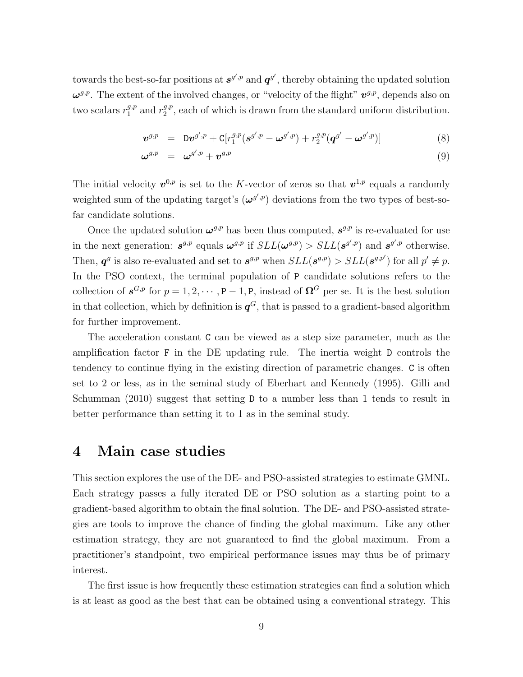towards the best-so-far positions at  $s^{g',p}$  and  $q^{g'}$ , thereby obtaining the updated solution  $\omega^{g,p}$ . The extent of the involved changes, or "velocity of the flight"  $v^{g,p}$ , depends also on two scalars  $r_1^{g,p}$  $_1^{g,p}$  and  $r_2^{g,p}$  $2^{g,p}$ , each of which is drawn from the standard uniform distribution.

$$
\boldsymbol{v}^{g,p} = D\boldsymbol{v}^{g',p} + C[r_1^{g,p}(s^{g',p} - \boldsymbol{\omega}^{g',p}) + r_2^{g,p}(\boldsymbol{q}^{g'} - \boldsymbol{\omega}^{g',p})]
$$
(8)

$$
\boldsymbol{\omega}^{g,p} = \boldsymbol{\omega}^{g',p} + \boldsymbol{v}^{g,p} \tag{9}
$$

The initial velocity  $v^{0,p}$  is set to the K-vector of zeros so that  $v^{1,p}$  equals a randomly weighted sum of the updating target's  $(\omega^{g',p})$  deviations from the two types of best-sofar candidate solutions.

Once the updated solution  $\omega^{g,p}$  has been thus computed,  $s^{g,p}$  is re-evaluated for use in the next generation:  $s^{g,p}$  equals  $\omega^{g,p}$  if  $SLL(\omega^{g,p}) > SLL(s^{g',p})$  and  $s^{g',p}$  otherwise. Then,  $q^g$  is also re-evaluated and set to  $s^{g,p}$  when  $SLL(s^{g,p}) > SLL(s^{g,p'})$  for all  $p' \neq p$ . In the PSO context, the terminal population of P candidate solutions refers to the collection of  $s^{G,p}$  for  $p = 1, 2, \dots, P-1, P$ , instead of  $\Omega^G$  per se. It is the best solution in that collection, which by definition is  $q^G$ , that is passed to a gradient-based algorithm for further improvement.

The acceleration constant C can be viewed as a step size parameter, much as the amplification factor F in the DE updating rule. The inertia weight D controls the tendency to continue flying in the existing direction of parametric changes. C is often set to 2 or less, as in the seminal study of Eberhart and Kennedy (1995). Gilli and Schumman (2010) suggest that setting D to a number less than 1 tends to result in better performance than setting it to 1 as in the seminal study.

## 4 Main case studies

This section explores the use of the DE- and PSO-assisted strategies to estimate GMNL. Each strategy passes a fully iterated DE or PSO solution as a starting point to a gradient-based algorithm to obtain the final solution. The DE- and PSO-assisted strategies are tools to improve the chance of finding the global maximum. Like any other estimation strategy, they are not guaranteed to find the global maximum. From a practitioner's standpoint, two empirical performance issues may thus be of primary interest.

The first issue is how frequently these estimation strategies can find a solution which is at least as good as the best that can be obtained using a conventional strategy. This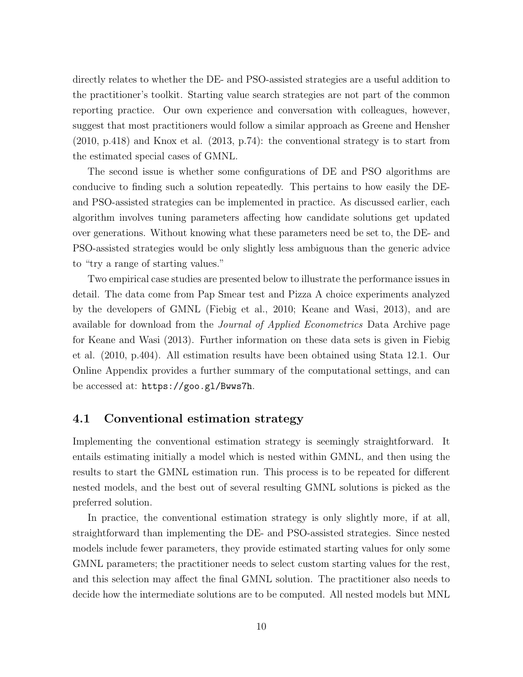directly relates to whether the DE- and PSO-assisted strategies are a useful addition to the practitioner's toolkit. Starting value search strategies are not part of the common reporting practice. Our own experience and conversation with colleagues, however, suggest that most practitioners would follow a similar approach as Greene and Hensher (2010, p.418) and Knox et al. (2013, p.74): the conventional strategy is to start from the estimated special cases of GMNL.

The second issue is whether some configurations of DE and PSO algorithms are conducive to finding such a solution repeatedly. This pertains to how easily the DEand PSO-assisted strategies can be implemented in practice. As discussed earlier, each algorithm involves tuning parameters affecting how candidate solutions get updated over generations. Without knowing what these parameters need be set to, the DE- and PSO-assisted strategies would be only slightly less ambiguous than the generic advice to "try a range of starting values."

Two empirical case studies are presented below to illustrate the performance issues in detail. The data come from Pap Smear test and Pizza A choice experiments analyzed by the developers of GMNL (Fiebig et al., 2010; Keane and Wasi, 2013), and are available for download from the Journal of Applied Econometrics Data Archive page for Keane and Wasi (2013). Further information on these data sets is given in Fiebig et al. (2010, p.404). All estimation results have been obtained using Stata 12.1. Our Online Appendix provides a further summary of the computational settings, and can be accessed at: https://goo.gl/Bwws7h.

#### 4.1 Conventional estimation strategy

Implementing the conventional estimation strategy is seemingly straightforward. It entails estimating initially a model which is nested within GMNL, and then using the results to start the GMNL estimation run. This process is to be repeated for different nested models, and the best out of several resulting GMNL solutions is picked as the preferred solution.

In practice, the conventional estimation strategy is only slightly more, if at all, straightforward than implementing the DE- and PSO-assisted strategies. Since nested models include fewer parameters, they provide estimated starting values for only some GMNL parameters; the practitioner needs to select custom starting values for the rest, and this selection may affect the final GMNL solution. The practitioner also needs to decide how the intermediate solutions are to be computed. All nested models but MNL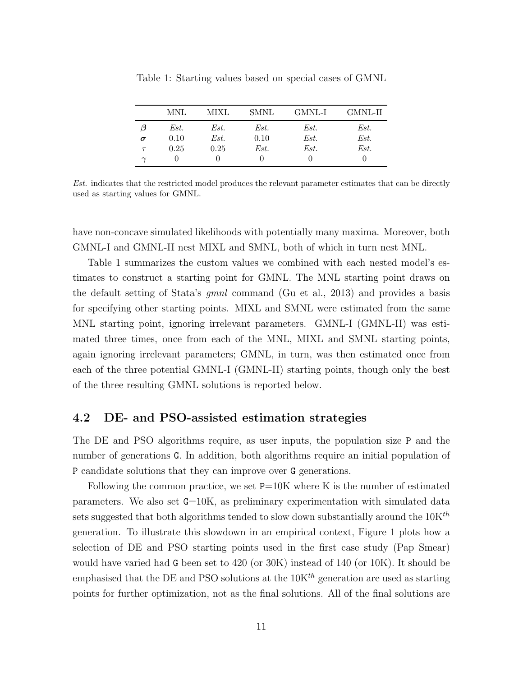|          | MNL  | MIXL | SMNL | GMNL-I | GMNL-II |
|----------|------|------|------|--------|---------|
| Ø        | Est. | Est. | Est. | Est.   | Est.    |
| $\sigma$ | 0.10 | Est. | 0.10 | Est.   | Est.    |
| $\tau$   | 0.25 | 0.25 | Est. | Est.   | Est.    |
| $\sim$   |      |      |      | ш      |         |

Table 1: Starting values based on special cases of GMNL

Est. indicates that the restricted model produces the relevant parameter estimates that can be directly used as starting values for GMNL.

have non-concave simulated likelihoods with potentially many maxima. Moreover, both GMNL-I and GMNL-II nest MIXL and SMNL, both of which in turn nest MNL.

Table 1 summarizes the custom values we combined with each nested model's estimates to construct a starting point for GMNL. The MNL starting point draws on the default setting of Stata's gmnl command (Gu et al., 2013) and provides a basis for specifying other starting points. MIXL and SMNL were estimated from the same MNL starting point, ignoring irrelevant parameters. GMNL-I (GMNL-II) was estimated three times, once from each of the MNL, MIXL and SMNL starting points, again ignoring irrelevant parameters; GMNL, in turn, was then estimated once from each of the three potential GMNL-I (GMNL-II) starting points, though only the best of the three resulting GMNL solutions is reported below.

#### 4.2 DE- and PSO-assisted estimation strategies

The DE and PSO algorithms require, as user inputs, the population size P and the number of generations G. In addition, both algorithms require an initial population of P candidate solutions that they can improve over G generations.

Following the common practice, we set  $P=10K$  where K is the number of estimated parameters. We also set  $G=10K$ , as preliminary experimentation with simulated data sets suggested that both algorithms tended to slow down substantially around the  $10K^{th}$ generation. To illustrate this slowdown in an empirical context, Figure 1 plots how a selection of DE and PSO starting points used in the first case study (Pap Smear) would have varied had G been set to 420 (or 30K) instead of 140 (or 10K). It should be emphasised that the DE and PSO solutions at the  $10K^{th}$  generation are used as starting points for further optimization, not as the final solutions. All of the final solutions are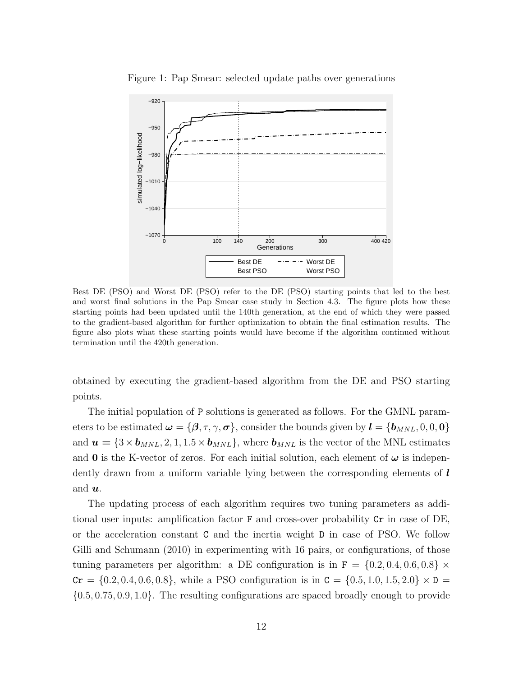

Figure 1: Pap Smear: selected update paths over generations

Best DE (PSO) and Worst DE (PSO) refer to the DE (PSO) starting points that led to the best and worst final solutions in the Pap Smear case study in Section 4.3. The figure plots how these starting points had been updated until the 140th generation, at the end of which they were passed to the gradient-based algorithm for further optimization to obtain the final estimation results. The figure also plots what these starting points would have become if the algorithm continued without termination until the 420th generation.

obtained by executing the gradient-based algorithm from the DE and PSO starting points.

The initial population of P solutions is generated as follows. For the GMNL parameters to be estimated  $\boldsymbol{\omega} = \{\boldsymbol{\beta}, \tau, \gamma, \boldsymbol{\sigma}\}\)$ , consider the bounds given by  $\boldsymbol{l} = \{\boldsymbol{b}_{MNL}, 0, 0, 0\}$ and  $u = \{3 \times b_{MNL}, 2, 1, 1.5 \times b_{MNL}\}$ , where  $b_{MNL}$  is the vector of the MNL estimates and 0 is the K-vector of zeros. For each initial solution, each element of  $\omega$  is independently drawn from a uniform variable lying between the corresponding elements of l and  $\boldsymbol{u}$ .

The updating process of each algorithm requires two tuning parameters as additional user inputs: amplification factor F and cross-over probability Cr in case of DE, or the acceleration constant C and the inertia weight D in case of PSO. We follow Gilli and Schumann (2010) in experimenting with 16 pairs, or configurations, of those tuning parameters per algorithm: a DE configuration is in  $F = \{0.2, 0.4, 0.6, 0.8\} \times$  $Cr = \{0.2, 0.4, 0.6, 0.8\}$ , while a PSO configuration is in  $C = \{0.5, 1.0, 1.5, 2.0\} \times D =$ {0.5, 0.75, 0.9, 1.0}. The resulting configurations are spaced broadly enough to provide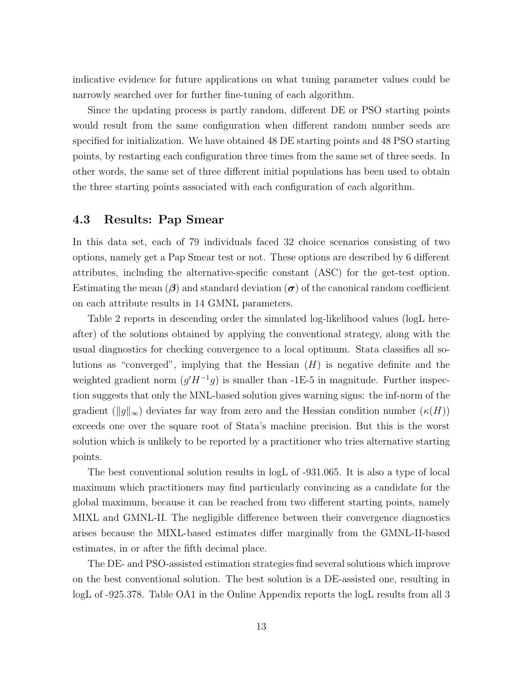indicative evidence for future applications on what tuning parameter values could be narrowly searched over for further fine-tuning of each algorithm.

Since the updating process is partly random, different DE or PSO starting points would result from the same configuration when different random number seeds are specified for initialization. We have obtained 48 DE starting points and 48 PSO starting points, by restarting each configuration three times from the same set of three seeds. In other words, the same set of three different initial populations has been used to obtain the three starting points associated with each configuration of each algorithm.

#### 4.3 Results: Pap Smear

In this data set, each of 79 individuals faced 32 choice scenarios consisting of two options, namely get a Pap Smear test or not. These options are described by 6 different attributes, including the alternative-specific constant (ASC) for the get-test option. Estimating the mean  $(\beta)$  and standard deviation  $(\sigma)$  of the canonical random coefficient on each attribute results in 14 GMNL parameters.

Table 2 reports in descending order the simulated log-likelihood values (logL hereafter) of the solutions obtained by applying the conventional strategy, along with the usual diagnostics for checking convergence to a local optimum. Stata classifies all solutions as "converged", implying that the Hessian  $(H)$  is negative definite and the weighted gradient norm  $(g'H^{-1}g)$  is smaller than -1E-5 in magnitude. Further inspection suggests that only the MNL-based solution gives warning signs: the inf-norm of the gradient ( $||g||_{\infty}$ ) deviates far way from zero and the Hessian condition number  $(\kappa(H))$ exceeds one over the square root of Stata's machine precision. But this is the worst solution which is unlikely to be reported by a practitioner who tries alternative starting points.

The best conventional solution results in logL of -931.065. It is also a type of local maximum which practitioners may find particularly convincing as a candidate for the global maximum, because it can be reached from two different starting points, namely MIXL and GMNL-II. The negligible difference between their convergence diagnostics arises because the MIXL-based estimates differ marginally from the GMNL-II-based estimates, in or after the fifth decimal place.

The DE- and PSO-assisted estimation strategies find several solutions which improve on the best conventional solution. The best solution is a DE-assisted one, resulting in logL of -925.378. Table OA1 in the Online Appendix reports the logL results from all 3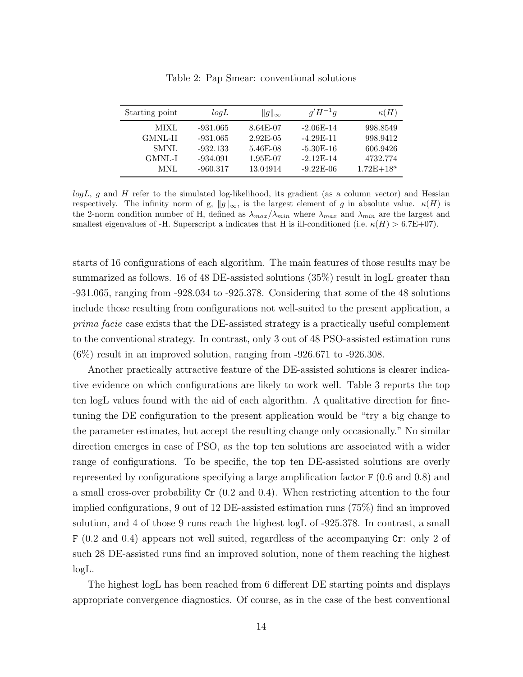| Starting point                           | logL                                                 | $  g  _{\infty}$                                    | $q'H^{-1}q$                                              | $\kappa(H)$                                  |
|------------------------------------------|------------------------------------------------------|-----------------------------------------------------|----------------------------------------------------------|----------------------------------------------|
| MIXL<br>GMNL-II<br><b>SMNL</b><br>GMNL-I | $-931.065$<br>$-931.065$<br>$-932.133$<br>$-934.091$ | $8.64E-07$<br>$2.92E-0.5$<br>5.46E-08<br>$1.95E-07$ | $-2.06E-14$<br>$-4.29E-11$<br>$-5.30E-16$<br>$-2.12E-14$ | 998.8549<br>998.9412<br>606.9426<br>4732.774 |
| MNL                                      | $-960.317$                                           | 13.04914                                            | $-9.22E-06$                                              | $1.72E+18^a$                                 |

Table 2: Pap Smear: conventional solutions

 $logL$ , g and H refer to the simulated log-likelihood, its gradient (as a column vector) and Hessian respectively. The infinity norm of g,  $||g||_{\infty}$ , is the largest element of g in absolute value.  $\kappa(H)$  is the 2-norm condition number of H, defined as  $\lambda_{max}/\lambda_{min}$  where  $\lambda_{max}$  and  $\lambda_{min}$  are the largest and smallest eigenvalues of -H. Superscript a indicates that H is ill-conditioned (i.e.  $\kappa(H) > 6.7E+07$ ).

starts of 16 configurations of each algorithm. The main features of those results may be summarized as follows. 16 of 48 DE-assisted solutions (35%) result in logL greater than -931.065, ranging from -928.034 to -925.378. Considering that some of the 48 solutions include those resulting from configurations not well-suited to the present application, a prima facie case exists that the DE-assisted strategy is a practically useful complement to the conventional strategy. In contrast, only 3 out of 48 PSO-assisted estimation runs  $(6\%)$  result in an improved solution, ranging from  $-926.671$  to  $-926.308$ .

Another practically attractive feature of the DE-assisted solutions is clearer indicative evidence on which configurations are likely to work well. Table 3 reports the top ten logL values found with the aid of each algorithm. A qualitative direction for finetuning the DE configuration to the present application would be "try a big change to the parameter estimates, but accept the resulting change only occasionally." No similar direction emerges in case of PSO, as the top ten solutions are associated with a wider range of configurations. To be specific, the top ten DE-assisted solutions are overly represented by configurations specifying a large amplification factor F (0.6 and 0.8) and a small cross-over probability Cr (0.2 and 0.4). When restricting attention to the four implied configurations, 9 out of 12 DE-assisted estimation runs (75%) find an improved solution, and 4 of those 9 runs reach the highest logL of -925.378. In contrast, a small F (0.2 and 0.4) appears not well suited, regardless of the accompanying Cr: only 2 of such 28 DE-assisted runs find an improved solution, none of them reaching the highest logL.

The highest logL has been reached from 6 different DE starting points and displays appropriate convergence diagnostics. Of course, as in the case of the best conventional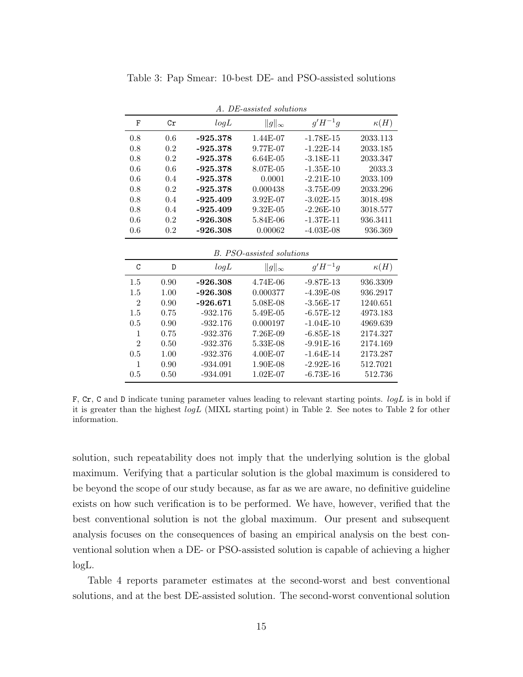| Table 3: Pap Smear: 10-best DE- and PSO-assisted solutions |  |  |  |
|------------------------------------------------------------|--|--|--|
|------------------------------------------------------------|--|--|--|

|                           |      |            | л. DE-иззізіси зонинонз |             |             |  |
|---------------------------|------|------------|-------------------------|-------------|-------------|--|
| $\mathbf{F}$              | Cr   | logL       | $  g  _{\infty}$        | $g'H^{-1}g$ | $\kappa(H)$ |  |
| 0.8                       | 0.6  | $-925.378$ | 1.44E-07                | $-1.78E-15$ | 2033.113    |  |
| 0.8                       | 0.2  | $-925.378$ | 9.77E-07                | $-1.22E-14$ | 2033.185    |  |
| 0.8                       | 0.2  | $-925.378$ | $6.64E-05$              | $-3.18E-11$ | 2033.347    |  |
| 0.6                       | 0.6  | $-925.378$ | 8.07E-05                | $-1.35E-10$ | 2033.3      |  |
| 0.6                       | 0.4  | $-925.378$ | 0.0001                  | $-2.21E-10$ | 2033.109    |  |
| 0.8                       | 0.2  | $-925.378$ | 0.000438                | $-3.75E-09$ | 2033.296    |  |
| 0.8                       | 0.4  | -925.409   | 3.92E-07                | $-3.02E-15$ | 3018.498    |  |
| 0.8                       | 0.4  | $-925.409$ | $9.32E - 05$            | $-2.26E-10$ | 3018.577    |  |
| 0.6                       | 0.2  | $-926.308$ | 5.84E-06                | $-1.37E-11$ | 936.3411    |  |
| 0.6                       | 0.2  | $-926.308$ | 0.00062                 | $-4.03E-08$ | 936.369     |  |
| B. PSO-assisted solutions |      |            |                         |             |             |  |
|                           |      |            |                         |             |             |  |
| C                         | D    | logL       | $  g  _{\infty}$        | $q'H^{-1}q$ | $\kappa(H)$ |  |
| 1.5                       | 0.90 | $-926.308$ | 4.74E-06                | $-9.87E-13$ | 936.3309    |  |
| 1.5                       | 1.00 | -926.308   | 0.000377                | $-4.39E-08$ | 936.2917    |  |
| $\overline{2}$            | 0.90 | $-926.671$ | 5.08E-08                | $-3.56E-17$ | 1240.651    |  |
| 1.5                       | 0.75 | $-932.176$ | 5.49E-05                | $-6.57E-12$ | 4973.183    |  |
| 0.5                       | 0.90 | $-932.176$ | 0.000197                | $-1.04E-10$ | 4969.639    |  |
| 1                         | 0.75 | $-932.376$ | 7.26E-09                | $-6.85E-18$ | 2174.327    |  |
| $\overline{2}$            | 0.50 | $-932.376$ | 5.33E-08                | $-9.91E-16$ | 2174.169    |  |
| 0.5                       | 1.00 | $-932.376$ | $4.00E-07$              | $-1.64E-14$ | 2173.287    |  |
| 1                         | 0.90 | $-934.091$ | 1.90E-08                | $-2.92E-16$ | 512.7021    |  |

A. DE-assisted solutions

F, Cr, C and D indicate tuning parameter values leading to relevant starting points.  $logL$  is in bold if it is greater than the highest  $logL$  (MIXL starting point) in Table 2. See notes to Table 2 for other information.

solution, such repeatability does not imply that the underlying solution is the global maximum. Verifying that a particular solution is the global maximum is considered to be beyond the scope of our study because, as far as we are aware, no definitive guideline exists on how such verification is to be performed. We have, however, verified that the best conventional solution is not the global maximum. Our present and subsequent analysis focuses on the consequences of basing an empirical analysis on the best conventional solution when a DE- or PSO-assisted solution is capable of achieving a higher logL.

Table 4 reports parameter estimates at the second-worst and best conventional solutions, and at the best DE-assisted solution. The second-worst conventional solution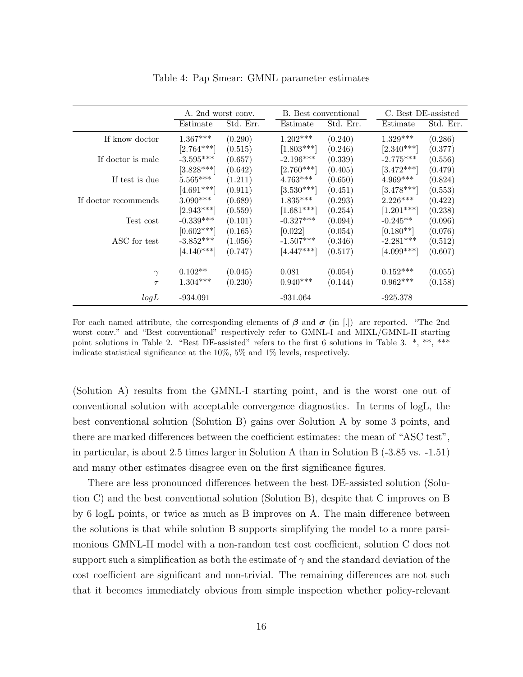|                      | A. 2nd worst conv.<br>Estimate | Std. Err. | <b>B.</b> Best conventional<br>Estimate | Std. Err. | C. Best DE-assisted<br>Estimate | Std. Err. |
|----------------------|--------------------------------|-----------|-----------------------------------------|-----------|---------------------------------|-----------|
| If know doctor       | $1.367***$                     | (0.290)   | $1.202***$                              | (0.240)   | $1.329***$                      | (0.286)   |
|                      | $[2.764***]$                   | (0.515)   | $[1.803***]$                            | (0.246)   | $[2.340***]$                    | (0.377)   |
| If doctor is male    | $-3.595***$                    | (0.657)   | $-2.196***$                             | (0.339)   | $-2.775***$                     | (0.556)   |
|                      | $[3.828***]$                   | (0.642)   | $[2.760***]$                            | (0.405)   | $[3.472***]$                    | (0.479)   |
| If test is due       | $5.565***$                     | (1.211)   | $4.763***$                              | (0.650)   | $4.969***$                      | (0.824)   |
|                      | $[4.691***]$                   | (0.911)   | $[3.530***]$                            | (0.451)   | $[3.478***]$                    | (0.553)   |
| If doctor recommends | $3.090***$                     | (0.689)   | $1.835***$                              | (0.293)   | $2.226***$                      | (0.422)   |
|                      | $[2.943***]$                   | (0.559)   | $[1.681***]$                            | (0.254)   | $[1.201***]$                    | (0.238)   |
| Test cost            | $-0.339***$                    | (0.101)   | $-0.327***$                             | (0.094)   | $-0.245**$                      | (0.096)   |
|                      | $[0.602***]$                   | (0.165)   | [0.022]                                 | (0.054)   | $[0.180**]$                     | (0.076)   |
| ASC for test         | $-3.852***$                    | (1.056)   | $-1.507***$                             | (0.346)   | $-2.281***$                     | (0.512)   |
|                      | $[4.140***]$                   | (0.747)   | $[4.447***]$                            | (0.517)   | $[4.099***]$                    | (0.607)   |
| $\gamma$             | $0.102**$                      | (0.045)   | 0.081                                   | (0.054)   | $0.152***$                      | (0.055)   |
| $\tau$               | $1.304***$                     | (0.230)   | $0.940***$                              | (0.144)   | $0.962***$                      | (0.158)   |
| logL                 | $-934.091$                     |           | $-931.064$                              |           | $-925.378$                      |           |

Table 4: Pap Smear: GMNL parameter estimates

For each named attribute, the corresponding elements of  $\beta$  and  $\sigma$  (in [.]) are reported. "The 2nd worst conv." and "Best conventional" respectively refer to GMNL-I and MIXL/GMNL-II starting point solutions in Table 2. "Best DE-assisted" refers to the first 6 solutions in Table 3. \*, \*\*, \*\*\* indicate statistical significance at the 10%, 5% and 1% levels, respectively.

(Solution A) results from the GMNL-I starting point, and is the worst one out of conventional solution with acceptable convergence diagnostics. In terms of logL, the best conventional solution (Solution B) gains over Solution A by some 3 points, and there are marked differences between the coefficient estimates: the mean of "ASC test", in particular, is about 2.5 times larger in Solution A than in Solution B (-3.85 vs. -1.51) and many other estimates disagree even on the first significance figures.

There are less pronounced differences between the best DE-assisted solution (Solution C) and the best conventional solution (Solution B), despite that C improves on B by 6 logL points, or twice as much as B improves on A. The main difference between the solutions is that while solution B supports simplifying the model to a more parsimonious GMNL-II model with a non-random test cost coefficient, solution C does not support such a simplification as both the estimate of  $\gamma$  and the standard deviation of the cost coefficient are significant and non-trivial. The remaining differences are not such that it becomes immediately obvious from simple inspection whether policy-relevant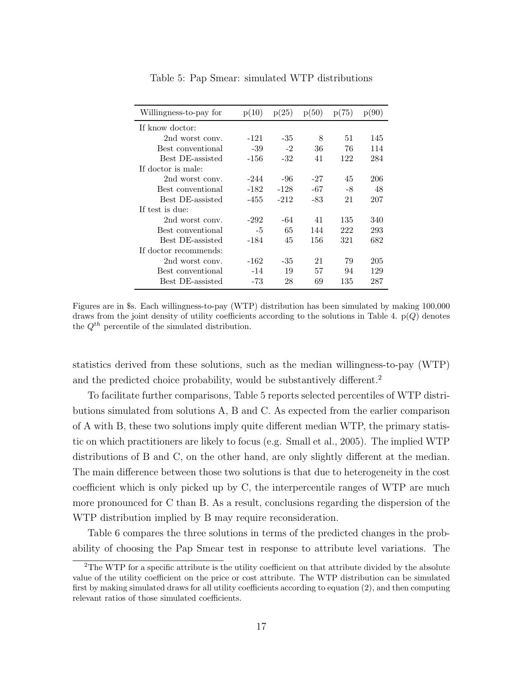| Willingness-to-pay for | p(10)  | p(25)  | p(50) | p(75) | p(90) |
|------------------------|--------|--------|-------|-------|-------|
| If know doctor:        |        |        |       |       |       |
| 2nd worst conv.        | $-121$ | $-35$  | 8     | 51    | 145   |
| Best conventional      | $-39$  | $-2$   | 36    | 76    | 114   |
| Best DE-assisted       | $-156$ | $-32$  | 41    | 122   | 284   |
| If doctor is male:     |        |        |       |       |       |
| 2nd worst conv.        | -244   | -96    | -27   | 45    | 206   |
| Best conventional      | $-182$ | $-128$ | -67   | -8    | 48    |
| Best DE-assisted       | $-455$ | $-212$ | -83   | 21    | 207   |
| If test is due:        |        |        |       |       |       |
| 2nd worst conv.        | -292   | -64    | 41    | 135   | 340   |
| Best conventional      | -5     | 65     | 144   | 222   | 293   |
| Best DE-assisted       | -184   | 45     | 156   | 321   | 682   |
| If doctor recommends:  |        |        |       |       |       |
| 2nd worst conv.        | -162   | -35    | 21    | 79    | 205   |
| Best conventional      | $-14$  | 19     | 57    | 94    | 129   |
| Best DE-assisted       | -73    | 28     | 69    | 135   | 287   |

Table 5: Pap Smear: simulated WTP distributions

Figures are in \$s. Each willingness-to-pay (WTP) distribution has been simulated by making 100,000 draws from the joint density of utility coefficients according to the solutions in Table 4.  $p(Q)$  denotes the  $Q^{th}$  percentile of the simulated distribution.

statistics derived from these solutions, such as the median willingness-to-pay (WTP) and the predicted choice probability, would be substantively different.<sup>2</sup>

To facilitate further comparisons, Table 5 reports selected percentiles of WTP distributions simulated from solutions A, B and C. As expected from the earlier comparison of A with B, these two solutions imply quite different median WTP, the primary statistic on which practitioners are likely to focus (e.g. Small et al., 2005). The implied WTP distributions of B and C, on the other hand, are only slightly different at the median. The main difference between those two solutions is that due to heterogeneity in the cost coefficient which is only picked up by C, the interpercentile ranges of WTP are much more pronounced for C than B. As a result, conclusions regarding the dispersion of the WTP distribution implied by B may require reconsideration.

Table 6 compares the three solutions in terms of the predicted changes in the probability of choosing the Pap Smear test in response to attribute level variations. The

<sup>&</sup>lt;sup>2</sup>The WTP for a specific attribute is the utility coefficient on that attribute divided by the absolute value of the utility coefficient on the price or cost attribute. The WTP distribution can be simulated first by making simulated draws for all utility coefficients according to equation (2), and then computing relevant ratios of those simulated coefficients.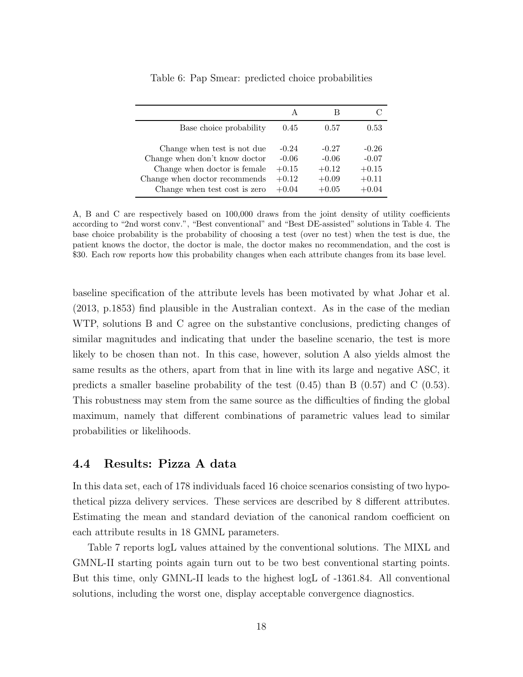| Base choice probability                                                                                                                                        | 0.45                                                | 0.57                                                | 0.53                                                |
|----------------------------------------------------------------------------------------------------------------------------------------------------------------|-----------------------------------------------------|-----------------------------------------------------|-----------------------------------------------------|
| Change when test is not due<br>Change when don't know doctor<br>Change when doctor is female<br>Change when doctor recommends<br>Change when test cost is zero | $-0.24$<br>$-0.06$<br>$+0.15$<br>$+0.12$<br>$+0.04$ | $-0.27$<br>$-0.06$<br>$+0.12$<br>$+0.09$<br>$+0.05$ | $-0.26$<br>$-0.07$<br>$+0.15$<br>$+0.11$<br>$+0.04$ |

Table 6: Pap Smear: predicted choice probabilities

A, B and C are respectively based on 100,000 draws from the joint density of utility coefficients according to "2nd worst conv.", "Best conventional" and "Best DE-assisted" solutions in Table 4. The base choice probability is the probability of choosing a test (over no test) when the test is due, the patient knows the doctor, the doctor is male, the doctor makes no recommendation, and the cost is \$30. Each row reports how this probability changes when each attribute changes from its base level.

baseline specification of the attribute levels has been motivated by what Johar et al. (2013, p.1853) find plausible in the Australian context. As in the case of the median WTP, solutions B and C agree on the substantive conclusions, predicting changes of similar magnitudes and indicating that under the baseline scenario, the test is more likely to be chosen than not. In this case, however, solution A also yields almost the same results as the others, apart from that in line with its large and negative ASC, it predicts a smaller baseline probability of the test  $(0.45)$  than B  $(0.57)$  and C  $(0.53)$ . This robustness may stem from the same source as the difficulties of finding the global maximum, namely that different combinations of parametric values lead to similar probabilities or likelihoods.

### 4.4 Results: Pizza A data

In this data set, each of 178 individuals faced 16 choice scenarios consisting of two hypothetical pizza delivery services. These services are described by 8 different attributes. Estimating the mean and standard deviation of the canonical random coefficient on each attribute results in 18 GMNL parameters.

Table 7 reports logL values attained by the conventional solutions. The MIXL and GMNL-II starting points again turn out to be two best conventional starting points. But this time, only GMNL-II leads to the highest logL of -1361.84. All conventional solutions, including the worst one, display acceptable convergence diagnostics.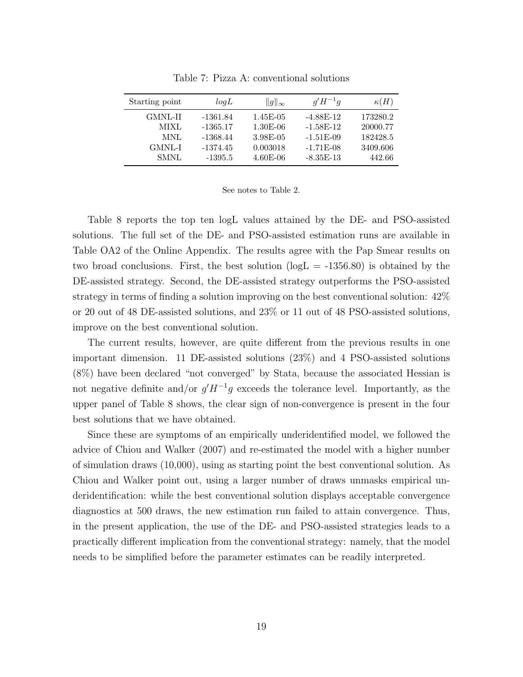| Starting point | logL       | $  g  _{\infty}$ | $q'H^{-1}q$  | $\kappa(H)$ |
|----------------|------------|------------------|--------------|-------------|
| GMNL-II        | $-1361.84$ | $1.45E-05$       | $-4.88E-12$  | 173280.2    |
| MIXL           | $-1365.17$ | $1.30E-06$       | $-1.58E-12$  | 20000.77    |
| MNL            | $-1368.44$ | 3.98E-05         | $-1.51E-0.9$ | 182428.5    |
| GMNL-I         | $-1374.45$ | 0.003018         | $-1.71E-08$  | 3409.606    |
| SMNL           | $-1395.5$  | $4.60E-06$       | $-8.35E-13$  | 442.66      |

Table 7: Pizza A: conventional solutions

| See notes to Table 2. |  |  |  |
|-----------------------|--|--|--|
|-----------------------|--|--|--|

Table 8 reports the top ten logL values attained by the DE- and PSO-assisted solutions. The full set of the DE- and PSO-assisted estimation runs are available in Table OA2 of the Online Appendix. The results agree with the Pap Smear results on two broad conclusions. First, the best solution  $(log L = -1356.80)$  is obtained by the DE-assisted strategy. Second, the DE-assisted strategy outperforms the PSO-assisted strategy in terms of finding a solution improving on the best conventional solution: 42% or 20 out of 48 DE-assisted solutions, and 23% or 11 out of 48 PSO-assisted solutions, improve on the best conventional solution.

The current results, however, are quite different from the previous results in one important dimension. 11 DE-assisted solutions (23%) and 4 PSO-assisted solutions (8%) have been declared "not converged" by Stata, because the associated Hessian is not negative definite and/or  $g'H^{-1}g$  exceeds the tolerance level. Importantly, as the upper panel of Table 8 shows, the clear sign of non-convergence is present in the four best solutions that we have obtained.

Since these are symptoms of an empirically underidentified model, we followed the advice of Chiou and Walker (2007) and re-estimated the model with a higher number of simulation draws (10,000), using as starting point the best conventional solution. As Chiou and Walker point out, using a larger number of draws unmasks empirical underidentification: while the best conventional solution displays acceptable convergence diagnostics at 500 draws, the new estimation run failed to attain convergence. Thus, in the present application, the use of the DE- and PSO-assisted strategies leads to a practically different implication from the conventional strategy: namely, that the model needs to be simplified before the parameter estimates can be readily interpreted.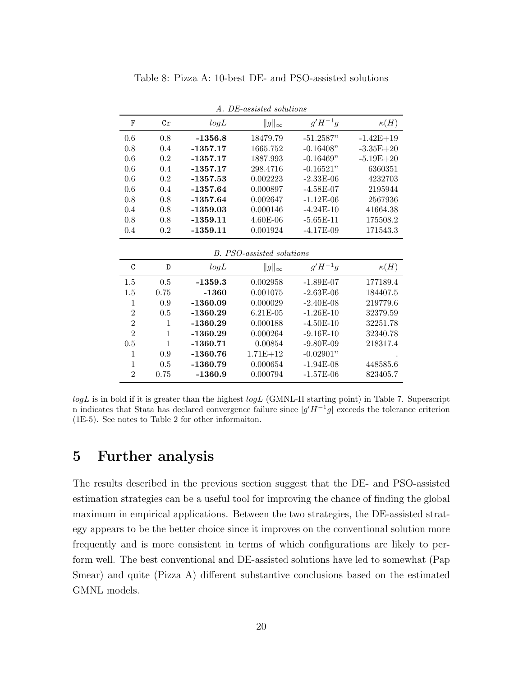| A. DE-assisted solutions  |              |            |                  |              |               |  |  |
|---------------------------|--------------|------------|------------------|--------------|---------------|--|--|
| F                         | Cr           | logL       | $  g  _{\infty}$ | $g'H^{-1}g$  | $\kappa(H)$   |  |  |
| 0.6                       | 0.8          | $-1356.8$  | 18479.79         | $-51.2587^n$ | $-1.42E+19$   |  |  |
| 0.8                       | 0.4          | $-1357.17$ | 1665.752         | $-0.16408^n$ | $-3.35E + 20$ |  |  |
| 0.6                       | 0.2          | $-1357.17$ | 1887.993         | $-0.16469^n$ | $-5.19E + 20$ |  |  |
| 0.6                       | 0.4          | $-1357.17$ | 298.4716         | $-0.16521^n$ | 6360351       |  |  |
| 0.6                       | 0.2          | $-1357.53$ | 0.002223         | $-2.33E-06$  | 4232703       |  |  |
| 0.6                       | 0.4          | $-1357.64$ | 0.000897         | $-4.58E-07$  | 2195944       |  |  |
| 0.8                       | 0.8          | $-1357.64$ | 0.002647         | $-1.12E-06$  | 2567936       |  |  |
| 0.4                       | 0.8          | $-1359.03$ | 0.000146         | $-4.24E-10$  | 41664.38      |  |  |
| 0.8                       | 0.8          | $-1359.11$ | $4.60E-06$       | $-5.65E-11$  | 175508.2      |  |  |
| 0.4                       | 0.2          | $-1359.11$ | 0.001924         | $-4.17E-09$  | 171543.3      |  |  |
| B. PSO-assisted solutions |              |            |                  |              |               |  |  |
|                           |              |            |                  |              |               |  |  |
| C                         | D            | logL       | $  g  _{\infty}$ | $q'H^{-1}q$  | $\kappa(H)$   |  |  |
| 1.5                       | 0.5          | $-1359.3$  | 0.002958         | $-1.89E-07$  | 177189.4      |  |  |
| 1.5                       | 0.75         | $-1360$    | 0.001075         | $-2.63E-06$  | 184407.5      |  |  |
| 1                         | 0.9          | $-1360.09$ | 0.000029         | $-2.40E-08$  | 219779.6      |  |  |
| $\overline{2}$            | 0.5          | $-1360.29$ | 6.21E-05         | $-1.26E-10$  | 32379.59      |  |  |
| $\overline{2}$            | 1            | $-1360.29$ | 0.000188         | $-4.50E-10$  | 32251.78      |  |  |
| $\overline{2}$            | $\mathbf{1}$ | $-1360.29$ | 0.000264         | $-9.16E-10$  | 32340.78      |  |  |
| 0.5                       | $\mathbf{1}$ | $-1360.71$ | 0.00854          | $-9.80E-09$  | 218317.4      |  |  |
| $\mathbf{1}$              | 0.9          | $-1360.76$ | $1.71E + 12$     | $-0.02901^n$ |               |  |  |
| $\mathbf{1}$              | 0.5          | $-1360.79$ | 0.000654         | $-1.94E-08$  | 448585.6      |  |  |

Table 8: Pizza A: 10-best DE- and PSO-assisted solutions

 $log L$  is in bold if it is greater than the highest  $log L$  (GMNL-II starting point) in Table 7. Superscript n indicates that Stata has declared convergence failure since  $|g'H^{-1}g|$  exceeds the tolerance criterion (1E-5). See notes to Table 2 for other informaiton.

## 5 Further analysis

The results described in the previous section suggest that the DE- and PSO-assisted estimation strategies can be a useful tool for improving the chance of finding the global maximum in empirical applications. Between the two strategies, the DE-assisted strategy appears to be the better choice since it improves on the conventional solution more frequently and is more consistent in terms of which configurations are likely to perform well. The best conventional and DE-assisted solutions have led to somewhat (Pap Smear) and quite (Pizza A) different substantive conclusions based on the estimated GMNL models.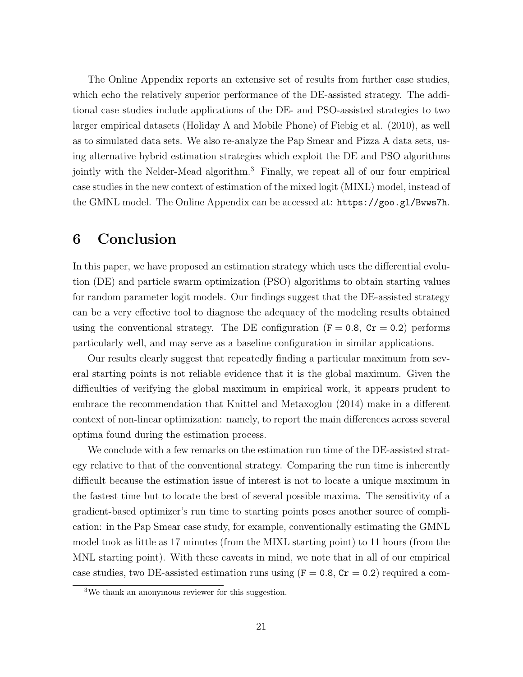The Online Appendix reports an extensive set of results from further case studies, which echo the relatively superior performance of the DE-assisted strategy. The additional case studies include applications of the DE- and PSO-assisted strategies to two larger empirical datasets (Holiday A and Mobile Phone) of Fiebig et al. (2010), as well as to simulated data sets. We also re-analyze the Pap Smear and Pizza A data sets, using alternative hybrid estimation strategies which exploit the DE and PSO algorithms jointly with the Nelder-Mead algorithm.<sup>3</sup> Finally, we repeat all of our four empirical case studies in the new context of estimation of the mixed logit (MIXL) model, instead of the GMNL model. The Online Appendix can be accessed at: https://goo.gl/Bwws7h.

## 6 Conclusion

In this paper, we have proposed an estimation strategy which uses the differential evolution (DE) and particle swarm optimization (PSO) algorithms to obtain starting values for random parameter logit models. Our findings suggest that the DE-assisted strategy can be a very effective tool to diagnose the adequacy of the modeling results obtained using the conventional strategy. The DE configuration ( $F = 0.8$ ,  $Cr = 0.2$ ) performs particularly well, and may serve as a baseline configuration in similar applications.

Our results clearly suggest that repeatedly finding a particular maximum from several starting points is not reliable evidence that it is the global maximum. Given the difficulties of verifying the global maximum in empirical work, it appears prudent to embrace the recommendation that Knittel and Metaxoglou (2014) make in a different context of non-linear optimization: namely, to report the main differences across several optima found during the estimation process.

We conclude with a few remarks on the estimation run time of the DE-assisted strategy relative to that of the conventional strategy. Comparing the run time is inherently difficult because the estimation issue of interest is not to locate a unique maximum in the fastest time but to locate the best of several possible maxima. The sensitivity of a gradient-based optimizer's run time to starting points poses another source of complication: in the Pap Smear case study, for example, conventionally estimating the GMNL model took as little as 17 minutes (from the MIXL starting point) to 11 hours (from the MNL starting point). With these caveats in mind, we note that in all of our empirical case studies, two DE-assisted estimation runs using  $(F = 0.8, Cr = 0.2)$  required a com-

<sup>3</sup>We thank an anonymous reviewer for this suggestion.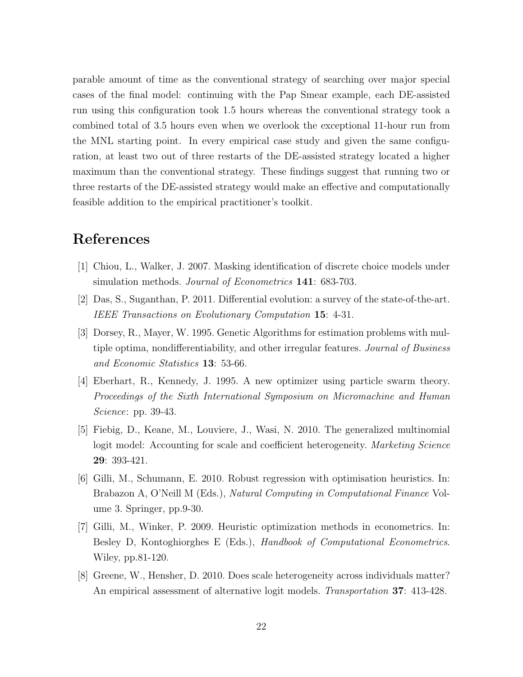parable amount of time as the conventional strategy of searching over major special cases of the final model: continuing with the Pap Smear example, each DE-assisted run using this configuration took 1.5 hours whereas the conventional strategy took a combined total of 3.5 hours even when we overlook the exceptional 11-hour run from the MNL starting point. In every empirical case study and given the same configuration, at least two out of three restarts of the DE-assisted strategy located a higher maximum than the conventional strategy. These findings suggest that running two or three restarts of the DE-assisted strategy would make an effective and computationally feasible addition to the empirical practitioner's toolkit.

## References

- [1] Chiou, L., Walker, J. 2007. Masking identification of discrete choice models under simulation methods. Journal of Econometrics 141: 683-703.
- [2] Das, S., Suganthan, P. 2011. Differential evolution: a survey of the state-of-the-art. IEEE Transactions on Evolutionary Computation 15: 4-31.
- [3] Dorsey, R., Mayer, W. 1995. Genetic Algorithms for estimation problems with multiple optima, nondifferentiability, and other irregular features. Journal of Business and Economic Statistics 13: 53-66.
- [4] Eberhart, R., Kennedy, J. 1995. A new optimizer using particle swarm theory. Proceedings of the Sixth International Symposium on Micromachine and Human Science: pp. 39-43.
- [5] Fiebig, D., Keane, M., Louviere, J., Wasi, N. 2010. The generalized multinomial logit model: Accounting for scale and coefficient heterogeneity. *Marketing Science* 29: 393-421.
- [6] Gilli, M., Schumann, E. 2010. Robust regression with optimisation heuristics. In: Brabazon A, O'Neill M (Eds.), Natural Computing in Computational Finance Volume 3. Springer, pp.9-30.
- [7] Gilli, M., Winker, P. 2009. Heuristic optimization methods in econometrics. In: Besley D, Kontoghiorghes E (Eds.), Handbook of Computational Econometrics. Wiley, pp.81-120.
- [8] Greene, W., Hensher, D. 2010. Does scale heterogeneity across individuals matter? An empirical assessment of alternative logit models. Transportation 37: 413-428.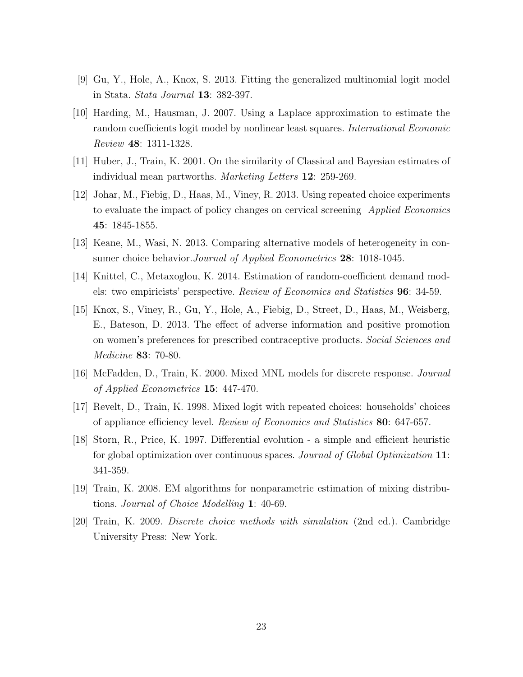- [9] Gu, Y., Hole, A., Knox, S. 2013. Fitting the generalized multinomial logit model in Stata. Stata Journal 13: 382-397.
- [10] Harding, M., Hausman, J. 2007. Using a Laplace approximation to estimate the random coefficients logit model by nonlinear least squares. International Economic Review 48: 1311-1328.
- [11] Huber, J., Train, K. 2001. On the similarity of Classical and Bayesian estimates of individual mean partworths. Marketing Letters 12: 259-269.
- [12] Johar, M., Fiebig, D., Haas, M., Viney, R. 2013. Using repeated choice experiments to evaluate the impact of policy changes on cervical screening Applied Economics 45: 1845-1855.
- [13] Keane, M., Wasi, N. 2013. Comparing alternative models of heterogeneity in consumer choice behavior. Journal of Applied Econometrics 28: 1018-1045.
- [14] Knittel, C., Metaxoglou, K. 2014. Estimation of random-coefficient demand models: two empiricists' perspective. Review of Economics and Statistics 96: 34-59.
- [15] Knox, S., Viney, R., Gu, Y., Hole, A., Fiebig, D., Street, D., Haas, M., Weisberg, E., Bateson, D. 2013. The effect of adverse information and positive promotion on women's preferences for prescribed contraceptive products. Social Sciences and Medicine 83: 70-80.
- [16] McFadden, D., Train, K. 2000. Mixed MNL models for discrete response. Journal of Applied Econometrics 15: 447-470.
- [17] Revelt, D., Train, K. 1998. Mixed logit with repeated choices: households' choices of appliance efficiency level. Review of Economics and Statistics 80: 647-657.
- [18] Storn, R., Price, K. 1997. Differential evolution a simple and efficient heuristic for global optimization over continuous spaces. Journal of Global Optimization 11: 341-359.
- [19] Train, K. 2008. EM algorithms for nonparametric estimation of mixing distributions. Journal of Choice Modelling 1: 40-69.
- [20] Train, K. 2009. Discrete choice methods with simulation (2nd ed.). Cambridge University Press: New York.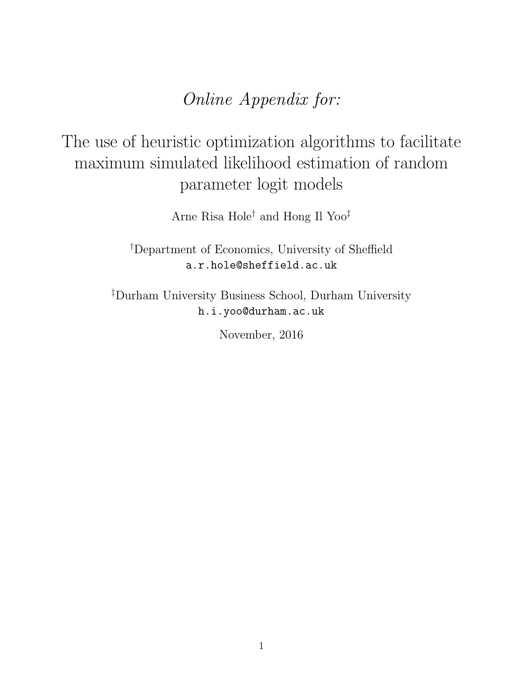# Online Appendix for:

# The use of heuristic optimization algorithms to facilitate maximum simulated likelihood estimation of random parameter logit models

Arne Risa Hole† and Hong Il Yoo‡

†Department of Economics, University of Sheffield a.r.hole@sheffield.ac.uk

‡Durham University Business School, Durham University h.i.yoo@durham.ac.uk

November, 2016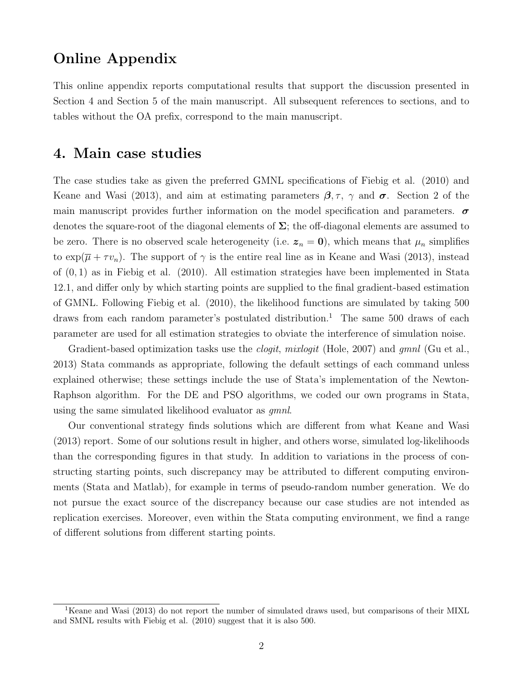## Online Appendix

This online appendix reports computational results that support the discussion presented in Section 4 and Section 5 of the main manuscript. All subsequent references to sections, and to tables without the OA prefix, correspond to the main manuscript.

## 4. Main case studies

The case studies take as given the preferred GMNL specifications of Fiebig et al. (2010) and Keane and Wasi (2013), and aim at estimating parameters  $\beta$ ,  $\tau$ ,  $\gamma$  and  $\sigma$ . Section 2 of the main manuscript provides further information on the model specification and parameters.  $\sigma$ denotes the square-root of the diagonal elements of  $\Sigma$ ; the off-diagonal elements are assumed to be zero. There is no observed scale heterogeneity (i.e.  $z_n = 0$ ), which means that  $\mu_n$  simplifies to  $\exp(\overline{\mu} + \tau v_n)$ . The support of  $\gamma$  is the entire real line as in Keane and Wasi (2013), instead of  $(0, 1)$  as in Fiebig et al. (2010). All estimation strategies have been implemented in Stata 12.1, and differ only by which starting points are supplied to the final gradient-based estimation of GMNL. Following Fiebig et al. (2010), the likelihood functions are simulated by taking 500 draws from each random parameter's postulated distribution.<sup>1</sup> The same 500 draws of each parameter are used for all estimation strategies to obviate the interference of simulation noise.

Gradient-based optimization tasks use the *clogit, mixlogit* (Hole, 2007) and *gmnl* (Gu et al., 2013) Stata commands as appropriate, following the default settings of each command unless explained otherwise; these settings include the use of Stata's implementation of the Newton-Raphson algorithm. For the DE and PSO algorithms, we coded our own programs in Stata, using the same simulated likelihood evaluator as *gmnl*.

Our conventional strategy finds solutions which are different from what Keane and Wasi (2013) report. Some of our solutions result in higher, and others worse, simulated log-likelihoods than the corresponding figures in that study. In addition to variations in the process of constructing starting points, such discrepancy may be attributed to different computing environments (Stata and Matlab), for example in terms of pseudo-random number generation. We do not pursue the exact source of the discrepancy because our case studies are not intended as replication exercises. Moreover, even within the Stata computing environment, we find a range of different solutions from different starting points.

<sup>&</sup>lt;sup>1</sup>Keane and Wasi (2013) do not report the number of simulated draws used, but comparisons of their MIXL and SMNL results with Fiebig et al. (2010) suggest that it is also 500.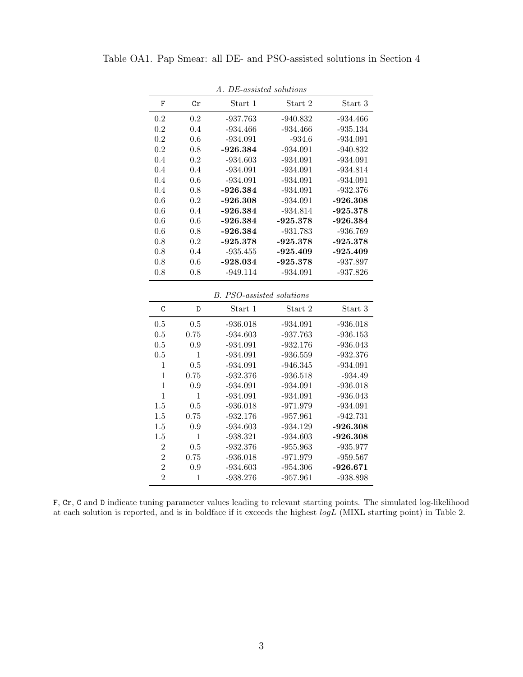|  |  |  | Table OA1. Pap Smear: all DE- and PSO-assisted solutions in Section 4 |  |  |  |
|--|--|--|-----------------------------------------------------------------------|--|--|--|
|--|--|--|-----------------------------------------------------------------------|--|--|--|

|                           |         | А. DE-аззізіса зоғанонз |            |            |  |
|---------------------------|---------|-------------------------|------------|------------|--|
| F                         | Cr      | Start 1                 | Start 2    | Start 3    |  |
| 0.2                       | $0.2\,$ | -937.763                | $-940.832$ | $-934.466$ |  |
| 0.2                       | 0.4     | -934.466                | -934.466   | -935.134   |  |
| 0.2                       | 0.6     | $-934.091$              | $-934.6$   | -934.091   |  |
| 0.2                       | 0.8     | -926.384                | $-934.091$ | $-940.832$ |  |
| 0.4                       | $0.2\,$ | -934.603                | -934.091   | $-934.091$ |  |
| 0.4                       | 0.4     | $-934.091$              | -934.091   | -934.814   |  |
| 0.4                       | 0.6     | $-934.091$              | -934.091   | $-934.091$ |  |
| 0.4                       | 0.8     | $-926.384$              | $-934.091$ | $-932.376$ |  |
| 0.6                       | 0.2     | -926.308                | $-934.091$ | -926.308   |  |
| 0.6                       | 0.4     | -926.384                | $-934.814$ | $-925.378$ |  |
| 0.6                       | 0.6     | -926.384                | $-925.378$ | -926.384   |  |
| 0.6                       | 0.8     | -926.384                | $-931.783$ | $-936.769$ |  |
| 0.8                       | 0.2     | $-925.378$              | -925.378   | -925.378   |  |
| 0.8                       | 0.4     | $-935.455$              | -925.409   | -925.409   |  |
| 0.8                       | 0.6     | $-928.034$              | $-925.378$ | $-937.897$ |  |
| 0.8                       | 0.8     | $-949.114$              | $-934.091$ | $-937.826$ |  |
| B. PSO-assisted solutions |         |                         |            |            |  |
| C                         | D       | Start 1                 | Start 2    | Start 3    |  |

A. DE-assisted solutions

| B. PSO-assisted solutions |      |            |            |            |  |  |  |  |  |
|---------------------------|------|------------|------------|------------|--|--|--|--|--|
| C                         | D    | Start 1    | Start 2    | Start 3    |  |  |  |  |  |
| 0.5                       | 0.5  | $-936.018$ | $-934.091$ | $-936.018$ |  |  |  |  |  |
| 0.5                       | 0.75 | -934.603   | $-937.763$ | $-936.153$ |  |  |  |  |  |
| 0.5                       | 0.9  | $-934.091$ | $-932.176$ | $-936.043$ |  |  |  |  |  |
| 0.5                       | 1    | $-934.091$ | $-936.559$ | $-932.376$ |  |  |  |  |  |
| 1                         | 0.5  | $-934.091$ | $-946.345$ | $-934.091$ |  |  |  |  |  |
| 1                         | 0.75 | $-932.376$ | $-936.518$ | $-934.49$  |  |  |  |  |  |
| 1                         | 0.9  | $-934.091$ | $-934.091$ | $-936.018$ |  |  |  |  |  |
| $\mathbf{1}$              | 1    | $-934.091$ | $-934.091$ | $-936.043$ |  |  |  |  |  |
| 1.5                       | 0.5  | $-936.018$ | $-971.979$ | $-934.091$ |  |  |  |  |  |
| 1.5                       | 0.75 | $-932.176$ | $-957.961$ | $-942.731$ |  |  |  |  |  |
| 1.5                       | 0.9  | -934.603   | -934.129   | $-926.308$ |  |  |  |  |  |
| 1.5                       | 1    | $-938.321$ | -934.603   | $-926.308$ |  |  |  |  |  |
| $\overline{2}$            | 0.5  | $-932.376$ | -955.963   | $-935.977$ |  |  |  |  |  |
| $\mathfrak{D}$            | 0.75 | $-936.018$ | -971.979   | $-959.567$ |  |  |  |  |  |
| $\overline{2}$            | 0.9  | $-934.603$ | $-954.306$ | $-926.671$ |  |  |  |  |  |
| $\overline{2}$            | 1    | -938.276   | $-957.961$ | -938.898   |  |  |  |  |  |

F, Cr, C and D indicate tuning parameter values leading to relevant starting points. The simulated log-likelihood at each solution is reported, and is in boldface if it exceeds the highest logL (MIXL starting point) in Table 2.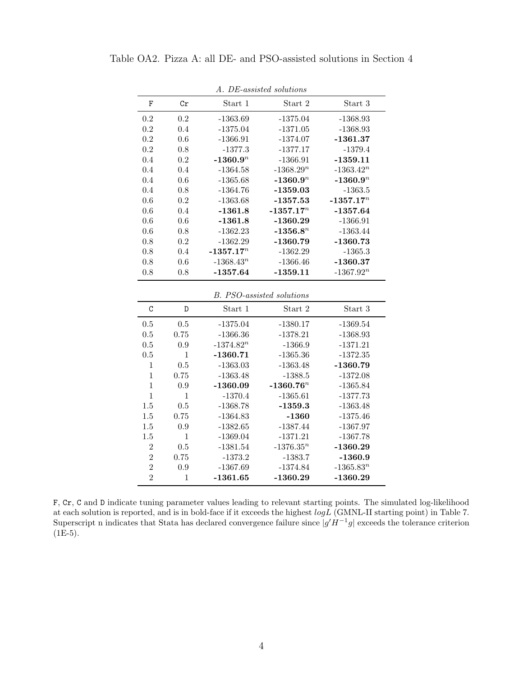|  |  |  |  |  |  |  |  | Table OA2. Pizza A: all DE- and PSO-assisted solutions in Section 4 |  |  |  |
|--|--|--|--|--|--|--|--|---------------------------------------------------------------------|--|--|--|
|--|--|--|--|--|--|--|--|---------------------------------------------------------------------|--|--|--|

| л. ос-измыси мнинты |              |              |                           |              |  |  |  |
|---------------------|--------------|--------------|---------------------------|--------------|--|--|--|
| F                   | $C_{r}$      | Start 1      | Start 2                   | Start 3      |  |  |  |
| 0.2                 | 0.2          | $-1363.69$   | $-1375.04$                | $-1368.93$   |  |  |  |
| 0.2                 | 0.4          | $-1375.04$   | $-1371.05$                | $-1368.93$   |  |  |  |
| 0.2                 | 0.6          | $-1366.91$   | $-1374.07$                | $-1361.37$   |  |  |  |
| 0.2                 | 0.8          | $-1377.3$    | $-1377.17$                | $-1379.4$    |  |  |  |
| 0.4                 | 0.2          | $-1360.9^n$  | $-1366.91$                | $-1359.11$   |  |  |  |
| 0.4                 | 0.4          | $-1364.58$   | $-1368.29^n$              | $-1363.42^n$ |  |  |  |
| 0.4                 | 0.6          | $-1365.68$   | $-1360.9^n$               | $-1360.9^n$  |  |  |  |
| 0.4                 | 0.8          | $-1364.76$   | $-1359.03$                | $-1363.5$    |  |  |  |
| 0.6                 | 0.2          | $-1363.68$   | $-1357.53$                | $-1357.17^n$ |  |  |  |
| 0.6                 | 0.4          | $-1361.8$    | $-1357.17^n$              | $-1357.64$   |  |  |  |
| 0.6                 | 0.6          | $-1361.8$    | $-1360.29$                | $-1366.91$   |  |  |  |
| 0.6                 | 0.8          | $-1362.23$   | $-1356.8^n$               | $-1363.44$   |  |  |  |
| 0.8                 | 0.2          | $-1362.29$   | $-1360.79$                | $-1360.73$   |  |  |  |
| 0.8                 | 0.4          | $-1357.17^n$ | $-1362.29$                | $-1365.3$    |  |  |  |
| 0.8                 | 0.6          | $-1368.43^n$ | $-1366.46$                | $-1360.37$   |  |  |  |
| 0.8                 | 0.8          | $-1357.64$   | $-1359.11$                | $-1367.92^n$ |  |  |  |
|                     |              |              | B. PSO-assisted solutions |              |  |  |  |
| C                   | D            | Start 1      | Start 2                   | Start 3      |  |  |  |
| 0.5                 | 0.5          | $-1375.04$   | $-1380.17$                | $-1369.54$   |  |  |  |
| 0.5                 | 0.75         | $-1366.36$   | $-1378.21$                | $-1368.93$   |  |  |  |
| 0.5                 | 0.9          | $-1374.82^n$ | $-1366.9$                 | $-1371.21$   |  |  |  |
| 0.5                 | $\mathbf{1}$ | $-1360.71$   | $-1365.36$                | $-1372.35$   |  |  |  |
| $\mathbf 1$         | 0.5          | $-1363.03$   | $-1363.48$                | $-1360.79$   |  |  |  |
| $\mathbf{1}$        | 0.75         | $-1363.48$   | $-1388.5$                 | $-1372.08$   |  |  |  |
| $\mathbf{1}$        | 0.9          | $-1360.09$   | $-1360.76^n$              | $-1365.84$   |  |  |  |
| $\mathbf{1}$        | 1            | $-1370.4$    | $-1365.61$                | $-1377.73$   |  |  |  |
| 1.5                 | 0.5          | $-1368.78$   | $-1359.3$                 | $-1363.48$   |  |  |  |

A. DE-assisted solutions

| F, Cr, C and D indicate tuning parameter values leading to relevant starting points. The simulated log-likelihood        |
|--------------------------------------------------------------------------------------------------------------------------|
| at each solution is reported, and is in bold-face if it exceeds the highest $log L$ (GMNL-II starting point) in Table 7. |
| Superscript n indicates that Stata has declared convergence failure since $ q'H^{-1}q $ exceeds the tolerance criterion  |
| $(1E-5).$                                                                                                                |

 $1.5 \qquad 0.75 \qquad \quad -1364.83 \qquad \quad -1360 \qquad \quad -1375.46$  $1.5 \qquad \quad 0.9 \qquad \quad -1382.65 \qquad \quad -1387.44 \qquad \quad -1367.97$ 

 $\begin{array}{ccccccccc} 1.5 & 1 & -1369.04 & -1371.21 & -1367.78 \\ 2 & 0.5 & -1381.54 & -1376.35^{n} & & & & \\ 2 & 0.75 & -1373.2 & & & & & -1360.9 \\ \end{array}$  $\begin{array}{cccc} 0.5 & -1381.54 & -1376.35^n & -1360.29 \\ 0.75 & -1373.2 & -1383.7 & -1360.9 \end{array}$  $\begin{array}{ccccccccc} 2 && 0.75 && -1373.2 && -1383.7 && \textbf{-1360.9} \\ 2 && 0.9 && -1367.69 && -1374.84 && -1365.83^n \end{array}$  $\begin{array}{cccccc} 2 & 0.9 & -1367.69 & -1374.84 & -1365.83^n \\ 2 & 1 & -1361.65 & -1360.29 & -1360.29 \end{array}$ 

 $1 -1361.65$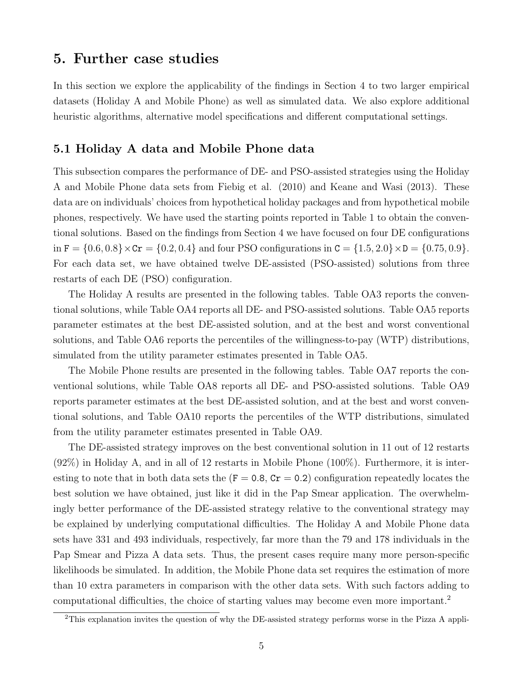## 5. Further case studies

In this section we explore the applicability of the findings in Section 4 to two larger empirical datasets (Holiday A and Mobile Phone) as well as simulated data. We also explore additional heuristic algorithms, alternative model specifications and different computational settings.

#### 5.1 Holiday A data and Mobile Phone data

This subsection compares the performance of DE- and PSO-assisted strategies using the Holiday A and Mobile Phone data sets from Fiebig et al. (2010) and Keane and Wasi (2013). These data are on individuals' choices from hypothetical holiday packages and from hypothetical mobile phones, respectively. We have used the starting points reported in Table 1 to obtain the conventional solutions. Based on the findings from Section 4 we have focused on four DE configurations in  $F = \{0.6, 0.8\} \times Cr = \{0.2, 0.4\}$  and four PSO configurations in  $C = \{1.5, 2.0\} \times D = \{0.75, 0.9\}$ . For each data set, we have obtained twelve DE-assisted (PSO-assisted) solutions from three restarts of each DE (PSO) configuration.

The Holiday A results are presented in the following tables. Table OA3 reports the conventional solutions, while Table OA4 reports all DE- and PSO-assisted solutions. Table OA5 reports parameter estimates at the best DE-assisted solution, and at the best and worst conventional solutions, and Table OA6 reports the percentiles of the willingness-to-pay (WTP) distributions, simulated from the utility parameter estimates presented in Table OA5.

The Mobile Phone results are presented in the following tables. Table OA7 reports the conventional solutions, while Table OA8 reports all DE- and PSO-assisted solutions. Table OA9 reports parameter estimates at the best DE-assisted solution, and at the best and worst conventional solutions, and Table OA10 reports the percentiles of the WTP distributions, simulated from the utility parameter estimates presented in Table OA9.

The DE-assisted strategy improves on the best conventional solution in 11 out of 12 restarts (92%) in Holiday A, and in all of 12 restarts in Mobile Phone (100%). Furthermore, it is interesting to note that in both data sets the  $(F = 0.8, Cr = 0.2)$  configuration repeatedly locates the best solution we have obtained, just like it did in the Pap Smear application. The overwhelmingly better performance of the DE-assisted strategy relative to the conventional strategy may be explained by underlying computational difficulties. The Holiday A and Mobile Phone data sets have 331 and 493 individuals, respectively, far more than the 79 and 178 individuals in the Pap Smear and Pizza A data sets. Thus, the present cases require many more person-specific likelihoods be simulated. In addition, the Mobile Phone data set requires the estimation of more than 10 extra parameters in comparison with the other data sets. With such factors adding to computational difficulties, the choice of starting values may become even more important.<sup>2</sup>

<sup>&</sup>lt;sup>2</sup>This explanation invites the question of why the DE-assisted strategy performs worse in the Pizza A appli-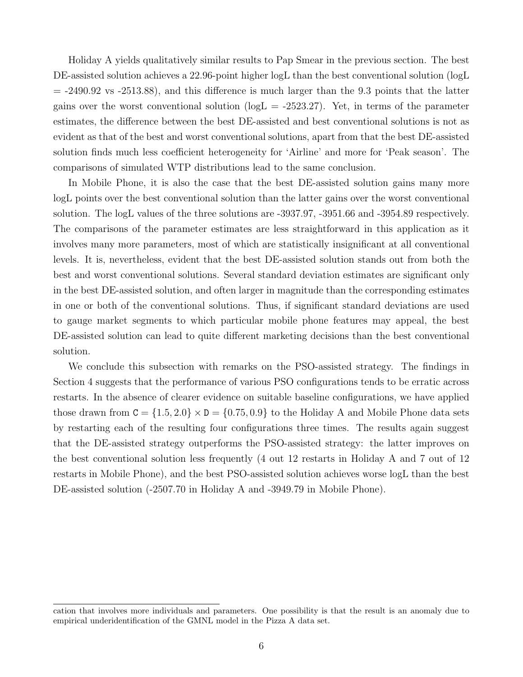Holiday A yields qualitatively similar results to Pap Smear in the previous section. The best DE-assisted solution achieves a 22.96-point higher logL than the best conventional solution (logL  $=$  -2490.92 vs -2513.88), and this difference is much larger than the 9.3 points that the latter gains over the worst conventional solution ( $log L = -2523.27$ ). Yet, in terms of the parameter estimates, the difference between the best DE-assisted and best conventional solutions is not as evident as that of the best and worst conventional solutions, apart from that the best DE-assisted solution finds much less coefficient heterogeneity for 'Airline' and more for 'Peak season'. The comparisons of simulated WTP distributions lead to the same conclusion.

In Mobile Phone, it is also the case that the best DE-assisted solution gains many more logL points over the best conventional solution than the latter gains over the worst conventional solution. The logL values of the three solutions are -3937.97, -3951.66 and -3954.89 respectively. The comparisons of the parameter estimates are less straightforward in this application as it involves many more parameters, most of which are statistically insignificant at all conventional levels. It is, nevertheless, evident that the best DE-assisted solution stands out from both the best and worst conventional solutions. Several standard deviation estimates are significant only in the best DE-assisted solution, and often larger in magnitude than the corresponding estimates in one or both of the conventional solutions. Thus, if significant standard deviations are used to gauge market segments to which particular mobile phone features may appeal, the best DE-assisted solution can lead to quite different marketing decisions than the best conventional solution.

We conclude this subsection with remarks on the PSO-assisted strategy. The findings in Section 4 suggests that the performance of various PSO configurations tends to be erratic across restarts. In the absence of clearer evidence on suitable baseline configurations, we have applied those drawn from  $C = \{1.5, 2.0\} \times D = \{0.75, 0.9\}$  to the Holiday A and Mobile Phone data sets by restarting each of the resulting four configurations three times. The results again suggest that the DE-assisted strategy outperforms the PSO-assisted strategy: the latter improves on the best conventional solution less frequently (4 out 12 restarts in Holiday A and 7 out of 12 restarts in Mobile Phone), and the best PSO-assisted solution achieves worse logL than the best DE-assisted solution (-2507.70 in Holiday A and -3949.79 in Mobile Phone).

cation that involves more individuals and parameters. One possibility is that the result is an anomaly due to empirical underidentification of the GMNL model in the Pizza A data set.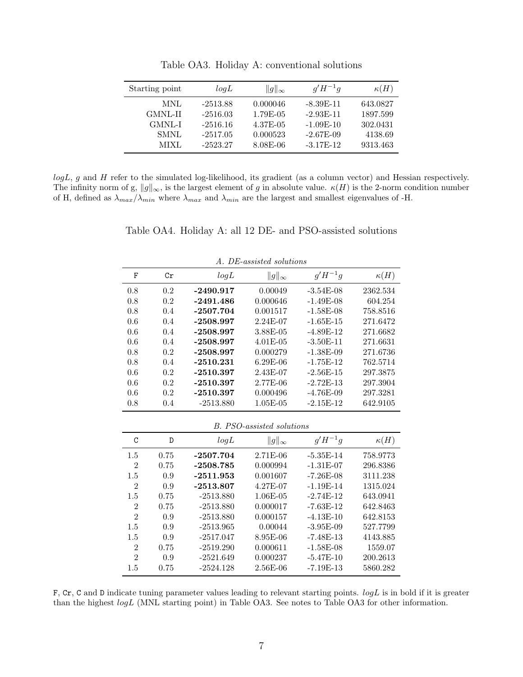| Starting point | logL       | $  g  _{\infty}$ | $g'H^{-1}g$ | $\kappa(H)$ |
|----------------|------------|------------------|-------------|-------------|
| MNL            | $-2513.88$ | 0.000046         | $-8.39E-11$ | 643.0827    |
| GMNL-II        | $-2516.03$ | 1.79E-05         | $-2.93E-11$ | 1897.599    |
| GMNL-I         | $-2516.16$ | 4.37E-05         | $-1.09E-10$ | 302.0431    |
| <b>SMNL</b>    | $-2517.05$ | 0.000523         | $-2.67E-09$ | 4138.69     |
| MIXL           | $-2523.27$ | $8.08E-06$       | $-3.17E-12$ | 9313.463    |

Table OA3. Holiday A: conventional solutions

 $logL$ , g and H refer to the simulated log-likelihood, its gradient (as a column vector) and Hessian respectively. The infinity norm of g,  $||g||_{\infty}$ , is the largest element of g in absolute value.  $\kappa(H)$  is the 2-norm condition number of H, defined as  $\lambda_{max}/\lambda_{min}$  where  $\lambda_{max}$  and  $\lambda_{min}$  are the largest and smallest eigenvalues of -H.

|  |  |  |  | Table OA4. Holiday A: all 12 DE- and PSO-assisted solutions |  |
|--|--|--|--|-------------------------------------------------------------|--|
|  |  |  |  |                                                             |  |

|     |             |             | A. DE-assisted solutions |              |             |
|-----|-------------|-------------|--------------------------|--------------|-------------|
| F   | $_{\rm Cr}$ | logL        | $  g  _{\infty}$         | $g'H^{-1}g$  | $\kappa(H)$ |
| 0.8 | 0.2         | $-2490.917$ | 0.00049                  | $-3.54E-08$  | 2362.534    |
| 0.8 | 0.2         | $-2491.486$ | 0.000646                 | $-1.49E-08$  | 604.254     |
| 0.8 | 0.4         | $-2507.704$ | 0.001517                 | $-1.58E-08$  | 758.8516    |
| 0.6 | 0.4         | $-2508.997$ | 2.24E-07                 | $-1.65E-15$  | 271.6472    |
| 0.6 | 0.4         | $-2508.997$ | 3.88E-05                 | $-4.89E-12$  | 271.6682    |
| 0.6 | 0.4         | $-2508.997$ | $4.01E - 0.5$            | $-3.50E-11$  | 271.6631    |
| 0.8 | 0.2         | $-2508.997$ | 0.000279                 | $-1.38E-0.9$ | 271.6736    |
| 0.8 | 0.4         | $-2510.231$ | $6.29E-06$               | $-1.75E-12$  | 762.5714    |
| 0.6 | 0.2         | $-2510.397$ | 2.43E-07                 | $-2.56E-15$  | 297.3875    |
| 0.6 | 0.2         | $-2510.397$ | 2.77E-06                 | $-2.72E-13$  | 297.3904    |
| 0.6 | 0.2         | $-2510.397$ | 0.000496                 | $-4.76E-09$  | 297.3281    |
| 0.8 | 0.4         | $-2513.880$ | $1.05E-05$               | $-2.15E-12$  | 642.9105    |

| $A.$ DE-assisted solutions |  |
|----------------------------|--|
|                            |  |

| B. PSO-assisted solutions |  |
|---------------------------|--|
|                           |  |

| C              | D    | logL        | $  g  _{\infty}$ | $g'H^{-1}g$  | $\kappa(H)$ |
|----------------|------|-------------|------------------|--------------|-------------|
| 1.5            | 0.75 | $-2507.704$ | $2.71E-06$       | $-5.35E-14$  | 758.9773    |
| $\overline{2}$ | 0.75 | $-2508.785$ | 0.000994         | $-1.31E-07$  | 296.8386    |
| 1.5            | 0.9  | $-2511.953$ | 0.001607         | $-7.26E-08$  | 3111.238    |
| $\overline{2}$ | 0.9  | $-2513.807$ | 4.27E-07         | $-1.19E-14$  | 1315.024    |
| 1.5            | 0.75 | $-2513.880$ | $1.06E-05$       | $-2.74E-12$  | 643.0941    |
| 2              | 0.75 | $-2513.880$ | 0.000017         | $-7.63E-12$  | 642.8463    |
| $\overline{2}$ | 0.9  | $-2513.880$ | 0.000157         | $-4.13E-10$  | 642.8153    |
| 1.5            | 0.9  | $-2513.965$ | 0.00044          | $-3.95E-0.9$ | 527.7799    |
| 1.5            | 0.9  | $-2517.047$ | 8.95E-06         | $-7.48E-13$  | 4143.885    |
| $\mathfrak{D}$ | 0.75 | $-2519.290$ | 0.000611         | $-1.58E-08$  | 1559.07     |
| $\overline{2}$ | 0.9  | $-2521.649$ | 0.000237         | $-5.47E-10$  | 200.2613    |
| 1.5            | 0.75 | $-2524.128$ | $2.56E-06$       | $-7.19E-13$  | 5860.282    |
|                |      |             |                  |              |             |

F, Cr, C and D indicate tuning parameter values leading to relevant starting points.  $logL$  is in bold if it is greater than the highest logL (MNL starting point) in Table OA3. See notes to Table OA3 for other information.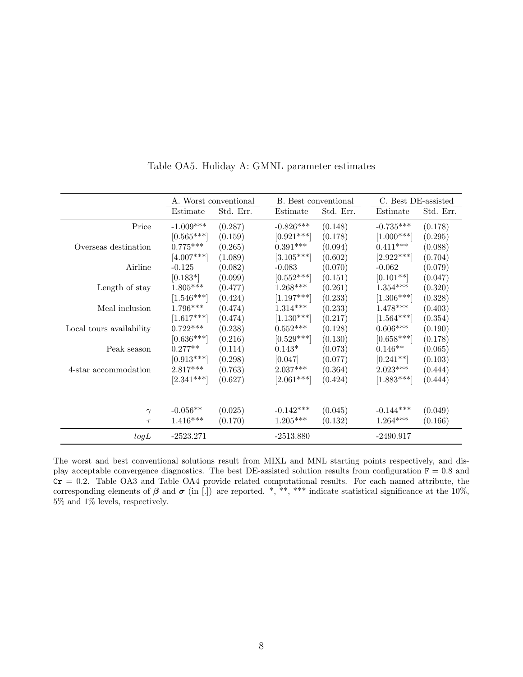|                          | A. Worst conventional |           | B. Best conventional |           |                 | C. Best DE-assisted |  |
|--------------------------|-----------------------|-----------|----------------------|-----------|-----------------|---------------------|--|
|                          | Estimate              | Std. Err. | Estimate             | Std. Err. | Estimate        | Std. Err.           |  |
| Price                    | $-1.009***$           | (0.287)   | $-0.826***$          | (0.148)   | $-0.735***$     | (0.178)             |  |
|                          | $[0.565***]$          | (0.159)   | $[0.921***]$         | (0.178)   | $[1.000***]$    | (0.295)             |  |
| Overseas destination     | $0.775***$            | (0.265)   | $0.391***$           | (0.094)   | $0.411***$      | (0.088)             |  |
|                          | $[4.007***]$          | (1.089)   | $[3.105***]$         | (0.602)   | $[2.922***]$    | (0.704)             |  |
| Airline                  | $-0.125$              | (0.082)   | $-0.083$             | (0.070)   | $-0.062$        | (0.079)             |  |
|                          | $[0.183*]$            | (0.099)   | $[0.552***]$         | (0.151)   | $[0.101**]$     | (0.047)             |  |
| Length of stay           | $1.805***$            | (0.477)   | $1.268***$           | (0.261)   | $1.354***$      | (0.320)             |  |
|                          | $[1.546***]$          | (0.424)   | $[1.197***]$         | (0.233)   | $[1.306***]$    | (0.328)             |  |
| Meal inclusion           | $1.796***$            | (0.474)   | $1.314^{***}\;$      | (0.233)   | $1.478***$      | (0.403)             |  |
|                          | $[1.617***]$          | (0.474)   | $[1.130***]$         | (0.217)   | $[1.564***]$    | (0.354)             |  |
| Local tours availability | $0.722***$            | (0.238)   | $0.552***$           | (0.128)   | $0.606***$      | (0.190)             |  |
|                          | $[0.636***]$          | (0.216)   | $[0.529***]$         | (0.130)   | $[0.658***]$    | (0.178)             |  |
| Peak season              | $0.277**$             | (0.114)   | $0.143*$             | (0.073)   | $0.146**$       | (0.065)             |  |
|                          | $[0.913***]$          | (0.298)   | [0.047]              | (0.077)   | $[0.241**]$     | (0.103)             |  |
| 4-star accommodation     | $2.817***$            | (0.763)   | $2.037***$           | (0.364)   | $2.023***$      | (0.444)             |  |
|                          | $[2.341***]$          | (0.627)   | $[2.061***]$         | (0.424)   | $[1.883***]$    | (0.444)             |  |
|                          |                       |           |                      |           |                 |                     |  |
| $\gamma$                 | $-0.056**$            | (0.025)   | $-0.142***$          | (0.045)   | $-0.144***$     | (0.049)             |  |
| $\tau$                   | $1.416***$            | (0.170)   | $1.205^{***}\,$      | (0.132)   | $1.264^{***}\,$ | (0.166)             |  |
| logL                     | $-2523.271$           |           | $-2513.880$          |           | $-2490.917$     |                     |  |

Table OA5. Holiday A: GMNL parameter estimates

The worst and best conventional solutions result from MIXL and MNL starting points respectively, and display acceptable convergence diagnostics. The best DE-assisted solution results from configuration  $F = 0.8$  and  $Cr = 0.2$ . Table OA3 and Table OA4 provide related computational results. For each named attribute, the corresponding elements of  $\beta$  and  $\sigma$  (in [.]) are reported. \*, \*\*, \*\*\* indicate statistical significance at the 10%, 5% and 1% levels, respectively.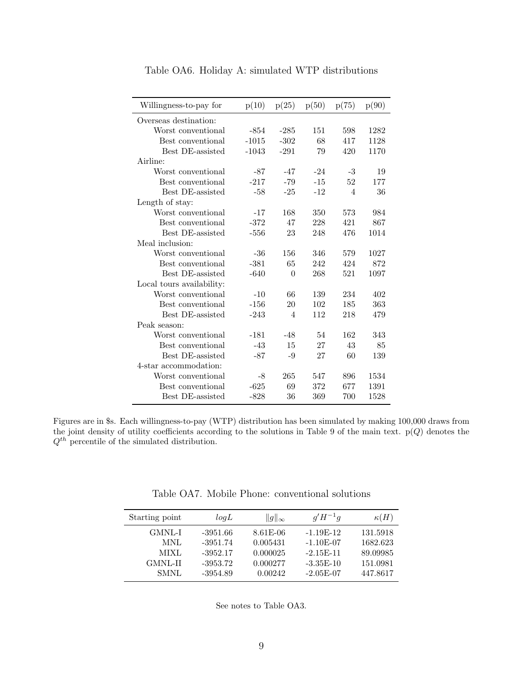| Willingness-to-pay for    | p(10)   | p(25)          | p(50) | p(75) | p(90) |
|---------------------------|---------|----------------|-------|-------|-------|
| Overseas destination:     |         |                |       |       |       |
| Worst conventional        | $-854$  | $-285$         | 151   | 598   | 1282  |
| Best conventional         | $-1015$ | $-302$         | 68    | 417   | 1128  |
| Best DE-assisted          | $-1043$ | $-291$         | 79    | 420   | 1170  |
| Airline:                  |         |                |       |       |       |
| Worst conventional        | $-87$   | $-47$          | $-24$ | $-3$  | 19    |
| Best conventional         | $-217$  | $-79$          | $-15$ | 52    | 177   |
| Best DE-assisted          | -58     | -25            | $-12$ | 4     | 36    |
| Length of stay:           |         |                |       |       |       |
| Worst conventional        | $-17$   | 168            | 350   | 573   | 984   |
| Best conventional         | $-372$  | 47             | 228   | 421   | 867   |
| Best DE-assisted          | $-556$  | 23             | 248   | 476   | 1014  |
| Meal inclusion:           |         |                |       |       |       |
| Worst conventional        | $-36$   | 156            | 346   | 579   | 1027  |
| Best conventional         | $-381$  | 65             | 242   | 424   | 872   |
| Best DE-assisted          | $-640$  | $\theta$       | 268   | 521   | 1097  |
| Local tours availability: |         |                |       |       |       |
| Worst conventional        | $-10$   | 66             | 139   | 234   | 402   |
| Best conventional         | $-156$  | 20             | 102   | 185   | 363   |
| Best DE-assisted          | $-243$  | $\overline{4}$ | 112   | 218   | 479   |
| Peak season:              |         |                |       |       |       |
| Worst conventional        | $-181$  | $-48$          | 54    | 162   | 343   |
| Best conventional         | $-43$   | 15             | 27    | 43    | 85    |
| Best DE-assisted          | $-87$   | $-9$           | 27    | 60    | 139   |
| 4-star accommodation:     |         |                |       |       |       |
| Worst conventional        | -8      | 265            | 547   | 896   | 1534  |
| Best conventional         | $-625$  | 69             | 372   | 677   | 1391  |
| Best DE-assisted          | $-828$  | 36             | 369   | 700   | 1528  |

Table OA6. Holiday A: simulated WTP distributions

Figures are in \$s. Each willingness-to-pay (WTP) distribution has been simulated by making 100,000 draws from the joint density of utility coefficients according to the solutions in Table 9 of the main text.  $p(Q)$  denotes the  $Q^{th}$  percentile of the simulated distribution.

| Starting point | logL       | $  g  _{\infty}$ | $g'H^{-1}g$ | $\kappa(H)$ |
|----------------|------------|------------------|-------------|-------------|
| GMNL-I         | $-3951.66$ | $8.61E-06$       | $-1.19E-12$ | 131.5918    |
| MNL            | $-3951.74$ | 0.005431         | $-1.10E-07$ | 1682.623    |
| MIXL           | $-3952.17$ | 0.000025         | $-2.15E-11$ | 89.09985    |
| GMNL-II        | $-3953.72$ | 0.000277         | $-3.35E-10$ | 151.0981    |
| <b>SMNL</b>    | $-3954.89$ | 0.00242          | $-2.05E-07$ | 447.8617    |

Table OA7. Mobile Phone: conventional solutions

See notes to Table OA3.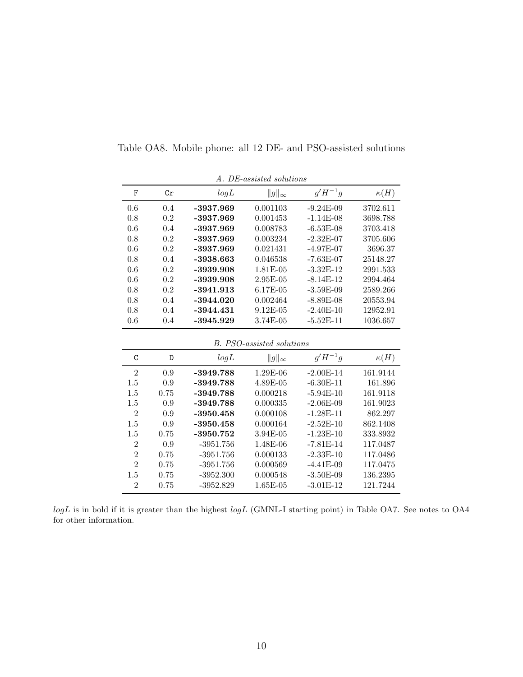| A. DE-assisted solutions |               |             |                  |              |             |  |  |  |  |
|--------------------------|---------------|-------------|------------------|--------------|-------------|--|--|--|--|
| F                        | Cr            | logL        | $  g  _{\infty}$ | $q'H^{-1}q$  | $\kappa(H)$ |  |  |  |  |
| 0.6                      | $0.4^{\circ}$ | -3937.969   | 0.001103         | $-9.24E-09$  | 3702.611    |  |  |  |  |
| 0.8                      | 0.2           | -3937.969   | 0.001453         | $-1.14E-08$  | 3698.788    |  |  |  |  |
| 0.6                      | 0.4           | -3937.969   | 0.008783         | $-6.53E-08$  | 3703.418    |  |  |  |  |
| 0.8                      | 0.2           | -3937.969   | 0.003234         | $-2.32E-07$  | 3705.606    |  |  |  |  |
| 0.6                      | 0.2           | -3937.969   | 0.021431         | -4.97E-07    | 3696.37     |  |  |  |  |
| 0.8                      | 0.4           | -3938.663   | 0.046538         | $-7.63E-07$  | 25148.27    |  |  |  |  |
| 0.6                      | 0.2           | -3939.908   | 1.81E-05         | $-3.32E-12$  | 2991.533    |  |  |  |  |
| 0.6                      | 0.2           | -3939.908   | 2.95E-05         | $-8.14E-12$  | 2994.464    |  |  |  |  |
| 0.8                      | 0.2           | $-3941.913$ | 6.17E-05         | $-3.59E-0.9$ | 2589.266    |  |  |  |  |
| 0.8                      | 0.4           | -3944.020   | 0.002464         | $-8.89E-08$  | 20553.94    |  |  |  |  |
| 0.8                      | $0.4^{\circ}$ | -3944.431   | $9.12E - 0.5$    | $-2.40E-10$  | 12952.91    |  |  |  |  |
| 0.6                      | 0.4           | -3945.929   | 3.74E-05         | $-5.52E-11$  | 1036.657    |  |  |  |  |
|                          |               |             |                  |              |             |  |  |  |  |

Table OA8. Mobile phone: all 12 DE- and PSO-assisted solutions

B. PSO-assisted solutions

| C              | D    | logL        | $  g  _{\infty}$ | $g'H^{-1}g$ | $\kappa(H)$ |
|----------------|------|-------------|------------------|-------------|-------------|
| $\overline{2}$ | 0.9  | -3949.788   | $1.29E-06$       | $-2.00E-14$ | 161.9144    |
| 1.5            | 0.9  | $-3949.788$ | 4.89E-05         | $-6.30E-11$ | 161.896     |
| 1.5            | 0.75 | -3949.788   | 0.000218         | $-5.94E-10$ | 161.9118    |
| 1.5            | 0.9  | -3949.788   | 0.000335         | $-2.06E-09$ | 161.9023    |
| $\overline{2}$ | 0.9  | $-3950.458$ | 0.000108         | $-1.28E-11$ | 862.297     |
| 1.5            | 0.9  | $-3950.458$ | 0.000164         | $-2.52E-10$ | 862.1408    |
| 1.5            | 0.75 | $-3950.752$ | 3.94E-05         | $-1.23E-10$ | 333.8932    |
| $\overline{2}$ | 0.9  | $-3951.756$ | 1.48E-06         | $-7.81E-14$ | 117.0487    |
| $\overline{2}$ | 0.75 | $-3951.756$ | 0.000133         | $-2.33E-10$ | 117.0486    |
| $\overline{2}$ | 0.75 | $-3951.756$ | 0.000569         | $-4.41E-09$ | 117.0475    |
| 1.5            | 0.75 | $-3952.300$ | 0.000548         | $-3.50E-09$ | 136.2395    |
| $\overline{2}$ | 0.75 | $-3952.829$ | $1.65E-05$       | $-3.01E-12$ | 121.7244    |
|                |      |             |                  |             |             |

 $logL$  is in bold if it is greater than the highest  $logL$  (GMNL-I starting point) in Table OA7. See notes to OA4 for other information.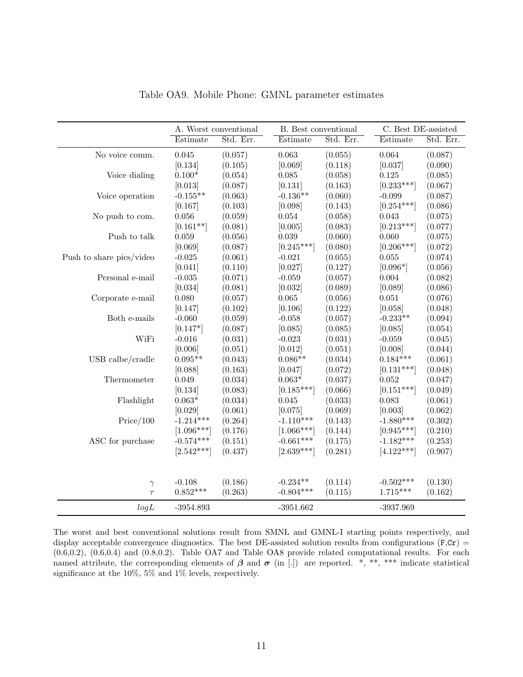|                          | A. Worst conventional |           | B. Best conventional |           | C. Best DE-assisted |           |
|--------------------------|-----------------------|-----------|----------------------|-----------|---------------------|-----------|
|                          | Estimate              | Std. Err. | Estimate             | Std. Err. | Estimate            | Std. Err. |
| No voice comm.           | 0.045                 | (0.057)   | 0.063                | (0.055)   | 0.064               | (0.087)   |
|                          | [0.134]               | (0.105)   | [0.069]              | (0.118)   | [0.037]             | (0.090)   |
| Voice dialing            | $0.100*$              | (0.054)   | $\,0.085\,$          | (0.058)   | $0.125\,$           | (0.085)   |
|                          | [0.013]               | (0.087)   | [0.131]              | (0.163)   | $[0.233***]$        | (0.067)   |
| Voice operation          | $-0.155**$            | (0.063)   | $-0.136**$           | (0.060)   | $-0.099$            | (0.087)   |
|                          | [0.167]               | (0.103)   | [0.098]              | (0.143)   | $[0.254***]$        | (0.086)   |
| No push to com.          | $0.056\,$             | (0.059)   | 0.054                | (0.058)   | 0.043               | (0.075)   |
|                          | $[0.161**]$           | (0.081)   | [0.005]              | (0.083)   | $[0.213***]$        | (0.077)   |
| Push to talk             | $\,0.059\,$           | (0.056)   | $\,0.039\,$          | (0.060)   | 0.060               | (0.075)   |
|                          | [0.069]               | (0.087)   | $[0.245***]$         | (0.080)   | $[0.206***]$        | (0.072)   |
| Push to share pics/video | $-0.025$              | (0.061)   | $-0.021$             | (0.055)   | 0.055               | (0.074)   |
|                          | [0.041]               | (0.110)   | [0.027]              | (0.127)   | $[0.096*]$          | (0.056)   |
| Personal e-mail          | $-0.035$              | (0.071)   | $-0.059$             | (0.057)   | 0.004               | (0.082)   |
|                          | [0.034]               | (0.081)   | [0.032]              | (0.089)   | [0.089]             | (0.086)   |
| Corporate e-mail         | 0.080                 | (0.057)   | $\,0.065\,$          | (0.056)   | $0.051\,$           | (0.076)   |
|                          | [0.147]               | (0.102)   | [0.106]              | (0.122)   | [0.058]             | (0.048)   |
| Both e-mails             | $-0.060$              | (0.059)   | $-0.058$             | (0.057)   | $-0.233**$          | (0.094)   |
|                          | $[0.147*]$            | (0.087)   | [0.085]              | (0.085)   | [0.085]             | (0.054)   |
| WiFi                     | $-0.016$              | (0.031)   | $-0.023$             | (0.031)   | $-0.059$            | (0.045)   |
|                          | [0.006]               | (0.051)   | [0.012]              | (0.051)   | [0.008]             | (0.044)   |
| USB calbe/cradle         | $0.095**$             | (0.043)   | $0.086**$            | (0.034)   | $0.184***$          | (0.061)   |
|                          | [0.088]               | (0.163)   | [0.047]              | (0.072)   | $[0.131***]$        | (0.048)   |
| Thermometer              | 0.049                 | (0.034)   | $0.063*$             | (0.037)   | $\,0.052\,$         | (0.047)   |
|                          | [0.134]               | (0.083)   | $[0.185***]$         | (0.066)   | $[0.151***]$        | (0.049)   |
| Flashlight               | $0.063*$              | (0.034)   | 0.045                | (0.033)   | 0.083               | (0.061)   |
|                          | [0.029]               | (0.061)   | [0.075]              | (0.069)   | [0.003]             | (0.062)   |
| Price/100                | $-1.214***$           | (0.264)   | $-1.110***$          | (0.143)   | $-1.880***$         | (0.302)   |
|                          | $[1.096***]$          | (0.176)   | $[1.066***]$         | (0.144)   | $[0.945***]$        | (0.210)   |
| ASC for purchase         | $-0.574***$           | (0.151)   | $-0.661***$          | (0.175)   | $-1.182***$         | (0.253)   |
|                          | $[2.542***]$          | (0.437)   | $[2.639***]$         | (0.281)   | $[4.122***]$        | (0.907)   |
|                          |                       |           |                      |           |                     |           |
| $\gamma$                 | $-0.108$              | (0.186)   | $-0.234**$           | (0.114)   | $-0.502***$         | (0.130)   |
| $\tau$                   | $0.852***$            | (0.263)   | $-0.804***$          | (0.115)   | $1.715***$          | (0.162)   |
| logL                     | $-3954.893$           |           | $-3951.662$          |           | -3937.969           |           |

Table OA9. Mobile Phone: GMNL parameter estimates

The worst and best conventional solutions result from SMNL and GMNL-I starting points respectively, and display acceptable convergence diagnostics. The best DE-assisted solution results from configurations ( $F, Cr$ ) = (0.6,0.2), (0.6,0.4) and (0.8,0.2). Table OA7 and Table OA8 provide related computational results. For each named attribute, the corresponding elements of  $\beta$  and  $\sigma$  (in [.]) are reported. \*, \*\*, \*\*\* indicate statistical significance at the 10%, 5% and 1% levels, respectively.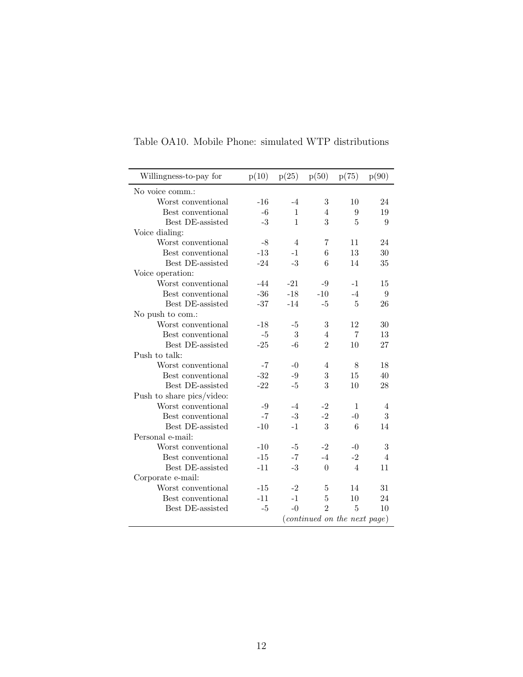| Willingness-to-pay for    | p(10) | p(25)        | p(50)          | p(75)                        | p(90)          |
|---------------------------|-------|--------------|----------------|------------------------------|----------------|
| No voice comm.:           |       |              |                |                              |                |
| Worst conventional        | $-16$ | $-4$         | 3              | 10                           | 24             |
| Best conventional         | $-6$  | $\mathbf{1}$ | 4              | 9                            | 19             |
| Best DE-assisted          | $-3$  | $\mathbf{1}$ | 3              | 5                            | 9              |
| Voice dialing:            |       |              |                |                              |                |
| Worst conventional        | $-8$  | 4            | 7              | 11                           | 24             |
| Best conventional         | $-13$ | $-1$         | 6              | 13                           | 30             |
| Best DE-assisted          | $-24$ | $-3$         | 6              | 14                           | 35             |
| Voice operation:          |       |              |                |                              |                |
| Worst conventional        | $-44$ | $-21$        | $-9$           | $-1$                         | 15             |
| Best conventional         | $-36$ | $-18$        | $-10$          | $-4$                         | 9              |
| Best DE-assisted          | $-37$ | $-14$        | $-5$           | 5                            | 26             |
| No push to com.:          |       |              |                |                              |                |
| Worst conventional        | $-18$ | -5           | 3              | 12                           | 30             |
| Best conventional         | $-5$  | 3            | $\overline{4}$ | $\overline{7}$               | 13             |
| Best DE-assisted          | $-25$ | $-6$         | $\overline{2}$ | 10                           | 27             |
| Push to talk:             |       |              |                |                              |                |
| Worst conventional        | $-7$  | $-0$         | 4              | 8                            | 18             |
| Best conventional         | $-32$ | $-9$         | 3              | 15                           | 40             |
| Best DE-assisted          | $-22$ | $-5$         | 3              | 10                           | 28             |
| Push to share pics/video: |       |              |                |                              |                |
| Worst conventional        | $-9$  | $-4$         | $-2$           | $\mathbf{1}$                 | 4              |
| Best conventional         | $-7$  | $^{\rm -3}$  | $-2$           | $-0$                         | 3              |
| Best DE-assisted          | $-10$ | $-1$         | 3              | 6                            | 14             |
| Personal e-mail:          |       |              |                |                              |                |
| Worst conventional        | $-10$ | -5           | $-2$           | $-0$                         | 3              |
| Best conventional         | $-15$ | $-7$         | $-4$           | $-2$                         | $\overline{4}$ |
| Best DE-assisted          | $-11$ | $-3$         | $\Omega$       | $\overline{4}$               | 11             |
| Corporate e-mail:         |       |              |                |                              |                |
| Worst conventional        | $-15$ | $-2$         | 5              | 14                           | 31             |
| Best conventional         | $-11$ | $-1$         | 5              | 10                           | 24             |
| Best DE-assisted          | $-5$  | $-0$         | $\overline{2}$ | 5                            | 10             |
|                           |       |              |                | (continued on the next page) |                |

Table OA10. Mobile Phone: simulated WTP distributions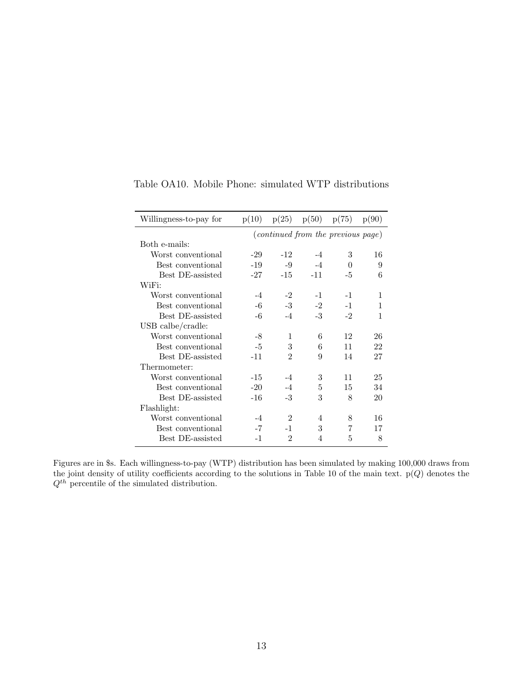| Willingness-to-pay for | p(10)  | p(25)                                       | p(50) | p(75)    | p(90) |
|------------------------|--------|---------------------------------------------|-------|----------|-------|
|                        |        | ( <i>continued from the previous page</i> ) |       |          |       |
| Both e-mails:          |        |                                             |       |          |       |
| Worst conventional     | $-29$  | $-12$                                       | $-4$  | 3        | 16    |
| Best conventional      | $-19$  | -9                                          | $-4$  | $\Omega$ | 9     |
| Best DE-assisted       | $-27$  | $-15$                                       | $-11$ | -5       | 6     |
| WiFi:                  |        |                                             |       |          |       |
| Worst conventional     | $-4$   | $-2$                                        | $-1$  | $-1$     | 1     |
| Best conventional      | -6     | $-3$                                        | $-2$  | $-1$     | 1     |
| Best DE-assisted       | -6     | $-4$                                        | $-3$  | $-2$     | 1     |
| USB calbe/cradle:      |        |                                             |       |          |       |
| Worst conventional     | -8     | 1                                           | 6     | 12       | 26    |
| Best conventional      | -5     | 3                                           | 6     | 11       | 22    |
| Best DE-assisted       | $-11$  | $\mathcal{D}$                               | 9     | 14       | 27    |
| Thermometer:           |        |                                             |       |          |       |
| Worst conventional     | $-1.5$ | $-4$                                        | 3     | 11       | 25    |
| Best conventional      | $-20$  | $-4$                                        | 5     | 15       | 34    |
| Best DE-assisted       | $-16$  | -3                                          | 3     | 8        | 20    |
| Flashlight:            |        |                                             |       |          |       |
| Worst conventional     | $-4$   | $\overline{2}$                              | 4     | 8        | 16    |
| Best conventional      | $-7$   | $-1$                                        | 3     | 7        | 17    |
| Best DE-assisted       | $-1$   | 2                                           | 4     | 5        | 8     |

Table OA10. Mobile Phone: simulated WTP distributions

Figures are in \$s. Each willingness-to-pay (WTP) distribution has been simulated by making 100,000 draws from the joint density of utility coefficients according to the solutions in Table 10 of the main text.  $p(Q)$  denotes the  $Q^{th}$  percentile of the simulated distribution.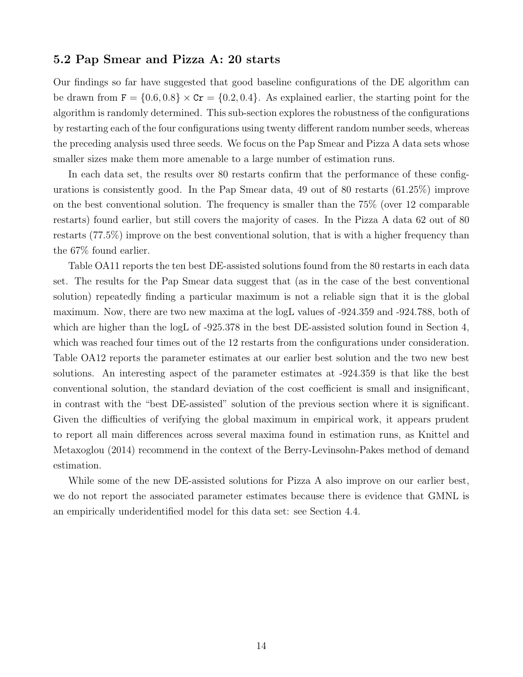#### 5.2 Pap Smear and Pizza A: 20 starts

Our findings so far have suggested that good baseline configurations of the DE algorithm can be drawn from  $F = \{0.6, 0.8\} \times Cr = \{0.2, 0.4\}$ . As explained earlier, the starting point for the algorithm is randomly determined. This sub-section explores the robustness of the configurations by restarting each of the four configurations using twenty different random number seeds, whereas the preceding analysis used three seeds. We focus on the Pap Smear and Pizza A data sets whose smaller sizes make them more amenable to a large number of estimation runs.

In each data set, the results over 80 restarts confirm that the performance of these configurations is consistently good. In the Pap Smear data, 49 out of 80 restarts (61.25%) improve on the best conventional solution. The frequency is smaller than the 75% (over 12 comparable restarts) found earlier, but still covers the majority of cases. In the Pizza A data 62 out of 80 restarts (77.5%) improve on the best conventional solution, that is with a higher frequency than the 67% found earlier.

Table OA11 reports the ten best DE-assisted solutions found from the 80 restarts in each data set. The results for the Pap Smear data suggest that (as in the case of the best conventional solution) repeatedly finding a particular maximum is not a reliable sign that it is the global maximum. Now, there are two new maxima at the logL values of -924.359 and -924.788, both of which are higher than the logL of  $-925.378$  in the best DE-assisted solution found in Section 4, which was reached four times out of the 12 restarts from the configurations under consideration. Table OA12 reports the parameter estimates at our earlier best solution and the two new best solutions. An interesting aspect of the parameter estimates at -924.359 is that like the best conventional solution, the standard deviation of the cost coefficient is small and insignificant, in contrast with the "best DE-assisted" solution of the previous section where it is significant. Given the difficulties of verifying the global maximum in empirical work, it appears prudent to report all main differences across several maxima found in estimation runs, as Knittel and Metaxoglou (2014) recommend in the context of the Berry-Levinsohn-Pakes method of demand estimation.

While some of the new DE-assisted solutions for Pizza A also improve on our earlier best, we do not report the associated parameter estimates because there is evidence that GMNL is an empirically underidentified model for this data set: see Section 4.4.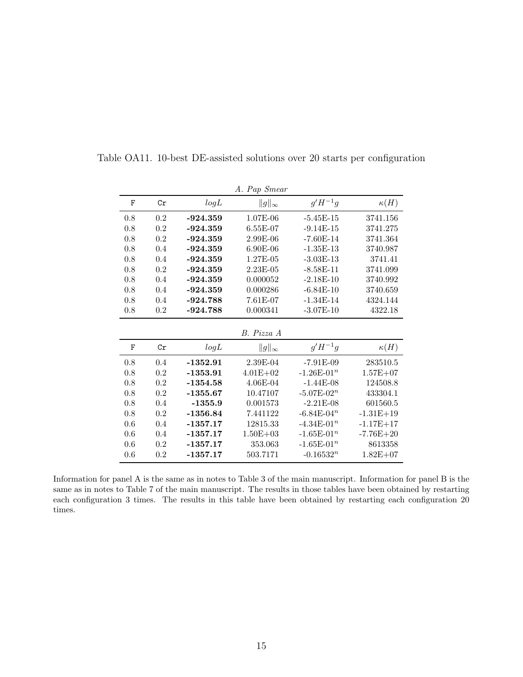|              |     |            | A. Pap Smear     |               |               |
|--------------|-----|------------|------------------|---------------|---------------|
| $\mathbf{F}$ | Cr  | logL       | $  g  _{\infty}$ | $g'H^{-1}g$   | $\kappa(H)$   |
| 0.8          | 0.2 | $-924.359$ | $1.07E-06$       | $-5.45E-15$   | 3741.156      |
| 0.8          | 0.2 | $-924.359$ | 6.55E-07         | $-9.14E-15$   | 3741.275      |
| 0.8          | 0.2 | $-924.359$ | 2.99E-06         | $-7.60E-14$   | 3741.364      |
| 0.8          | 0.4 | $-924.359$ | $6.90E-06$       | $-1.35E-13$   | 3740.987      |
| 0.8          | 0.4 | $-924.359$ | 1.27E-05         | $-3.03E-13$   | 3741.41       |
| 0.8          | 0.2 | $-924.359$ | $2.23E-05$       | $-8.58E-11$   | 3741.099      |
| 0.8          | 0.4 | $-924.359$ | 0.000052         | $-2.18E-10$   | 3740.992      |
| 0.8          | 0.4 | $-924.359$ | 0.000286         | $-6.84E-10$   | 3740.659      |
| 0.8          | 0.4 | $-924.788$ | 7.61E-07         | $-1.34E-14$   | 4324.144      |
| 0.8          | 0.2 | $-924.788$ | 0.000341         | $-3.07E-10$   | 4322.18       |
|              |     |            | B. Pizza A       |               |               |
| F            | Cr  | logL       | $  g  _{\infty}$ | $g'H^{-1}g$   | $\kappa(H)$   |
| 0.8          | 0.4 | $-1352.91$ | 2.39E-04         | $-7.91E-09$   | 283510.5      |
| 0.8          | 0.2 | -1353.91   | $4.01E + 02$     | $-1.26E-01^n$ | $1.57E + 07$  |
| 0.8          | 0.2 | $-1354.58$ | $4.06E-04$       | $-1.44E-08$   | 124508.8      |
| 0.8          | 0.2 | $-1355.67$ | 10.47107         | $-5.07E-02n$  | 433304.1      |
| 0.8          | 0.4 | $-1355.9$  | 0.001573         | $-2.21E-08$   | 601560.5      |
| 0.8          | 0.2 | $-1356.84$ | 7.441122         | $-6.84E-04^n$ | $-1.31E+19$   |
| 0.6          | 0.4 | $-1357.17$ | 12815.33         | $-4.34E-01n$  | $-1.17E+17$   |
| 0.6          | 0.4 | $-1357.17$ | $1.50E + 03$     | $-1.65E-01n$  | $-7.76E + 20$ |
| 0.6          | 0.2 | $-1357.17$ | 353.063          | $-1.65E-01^n$ | 8613358       |
| 0.6          | 0.2 | $-1357.17$ | 503.7171         | $-0.16532^n$  | $1.82E + 07$  |

Table OA11. 10-best DE-assisted solutions over 20 starts per configuration

Information for panel A is the same as in notes to Table 3 of the main manuscript. Information for panel B is the same as in notes to Table 7 of the main manuscript. The results in those tables have been obtained by restarting each configuration 3 times. The results in this table have been obtained by restarting each configuration 20 times.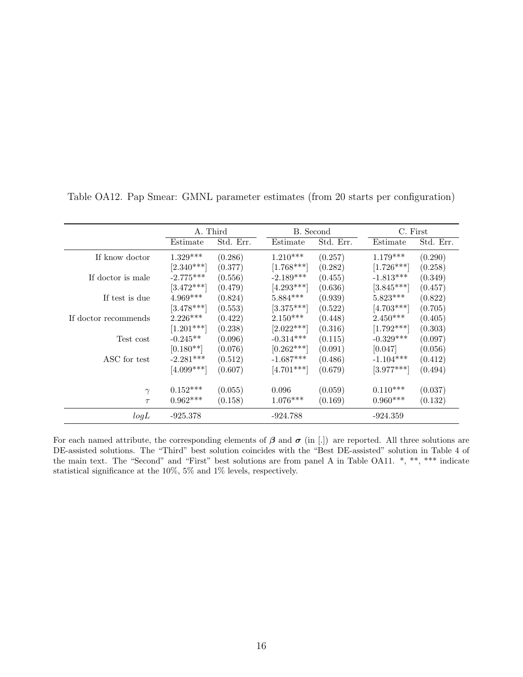|                      | A. Third     |           | B. Second    |           | C. First     |           |
|----------------------|--------------|-----------|--------------|-----------|--------------|-----------|
|                      | Estimate     | Std. Err. | Estimate     | Std. Err. | Estimate     | Std. Err. |
| If know doctor       | $1.329***$   | (0.286)   | $1.210***$   | (0.257)   | $1.179***$   | (0.290)   |
|                      | $[2.340***]$ | (0.377)   | $[1.768***]$ | (0.282)   | $[1.726***]$ | (0.258)   |
| If doctor is male    | $-2.775***$  | (0.556)   | $-2.189***$  | (0.455)   | $-1.813***$  | (0.349)   |
|                      | $[3.472***]$ | (0.479)   | $[4.293***]$ | (0.636)   | $[3.845***]$ | (0.457)   |
| If test is due       | $4.969***$   | (0.824)   | $5.884***$   | (0.939)   | $5.823***$   | (0.822)   |
|                      | $[3.478***]$ | (0.553)   | $[3.375***]$ | (0.522)   | $[4.703***]$ | (0.705)   |
| If doctor recommends | $2.226***$   | (0.422)   | $2.150***$   | (0.448)   | $2.450***$   | (0.405)   |
|                      | $[1.201***]$ | (0.238)   | $[2.022***]$ | (0.316)   | $[1.792***]$ | (0.303)   |
| Test cost            | $-0.245**$   | (0.096)   | $-0.314***$  | (0.115)   | $-0.329***$  | (0.097)   |
|                      | $[0.180**]$  | (0.076)   | $[0.262***]$ | (0.091)   | [0.047]      | (0.056)   |
| ASC for test         | $-2.281***$  | (0.512)   | $-1.687***$  | (0.486)   | $-1.104***$  | (0.412)   |
|                      | $[4.099***]$ | (0.607)   | $[4.701***]$ | (0.679)   | $[3.977***]$ | (0.494)   |
| $\gamma$             | $0.152***$   | (0.055)   | 0.096        | (0.059)   | $0.110***$   | (0.037)   |
| $\tau$               | $0.962***$   | (0.158)   | $1.076***$   | (0.169)   | $0.960***$   | (0.132)   |
| logL                 | $-925.378$   |           | $-924.788$   |           | $-924.359$   |           |

Table OA12. Pap Smear: GMNL parameter estimates (from 20 starts per configuration)

For each named attribute, the corresponding elements of  $\beta$  and  $\sigma$  (in [.]) are reported. All three solutions are DE-assisted solutions. The "Third" best solution coincides with the "Best DE-assisted" solution in Table 4 of the main text. The "Second" and "First" best solutions are from panel A in Table OA11. \*, \*\*, \*\*\* indicate statistical significance at the 10%, 5% and 1% levels, respectively.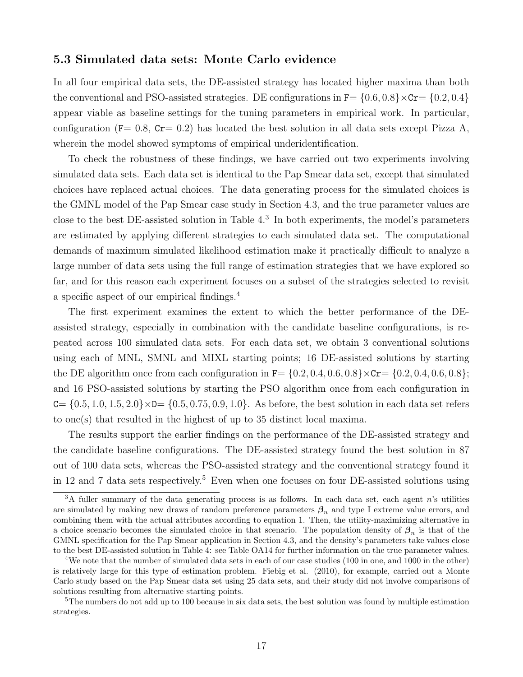#### 5.3 Simulated data sets: Monte Carlo evidence

In all four empirical data sets, the DE-assisted strategy has located higher maxima than both the conventional and PSO-assisted strategies. DE configurations in  $F = \{0.6, 0.8\} \times \text{Cr} = \{0.2, 0.4\}$ appear viable as baseline settings for the tuning parameters in empirical work. In particular, configuration ( $F= 0.8$ ,  $Cr= 0.2$ ) has located the best solution in all data sets except Pizza A, wherein the model showed symptoms of empirical underidentification.

To check the robustness of these findings, we have carried out two experiments involving simulated data sets. Each data set is identical to the Pap Smear data set, except that simulated choices have replaced actual choices. The data generating process for the simulated choices is the GMNL model of the Pap Smear case study in Section 4.3, and the true parameter values are close to the best DE-assisted solution in Table 4.<sup>3</sup> In both experiments, the model's parameters are estimated by applying different strategies to each simulated data set. The computational demands of maximum simulated likelihood estimation make it practically difficult to analyze a large number of data sets using the full range of estimation strategies that we have explored so far, and for this reason each experiment focuses on a subset of the strategies selected to revisit a specific aspect of our empirical findings.<sup>4</sup>

The first experiment examines the extent to which the better performance of the DEassisted strategy, especially in combination with the candidate baseline configurations, is repeated across 100 simulated data sets. For each data set, we obtain 3 conventional solutions using each of MNL, SMNL and MIXL starting points; 16 DE-assisted solutions by starting the DE algorithm once from each configuration in  $F = \{0.2, 0.4, 0.6, 0.8\} \times Cr = \{0.2, 0.4, 0.6, 0.8\}$ ; and 16 PSO-assisted solutions by starting the PSO algorithm once from each configuration in  $C = \{0.5, 1.0, 1.5, 2.0\} \times D = \{0.5, 0.75, 0.9, 1.0\}$ . As before, the best solution in each data set refers to one(s) that resulted in the highest of up to 35 distinct local maxima.

The results support the earlier findings on the performance of the DE-assisted strategy and the candidate baseline configurations. The DE-assisted strategy found the best solution in 87 out of 100 data sets, whereas the PSO-assisted strategy and the conventional strategy found it in 12 and 7 data sets respectively.<sup>5</sup> Even when one focuses on four DE-assisted solutions using

 $3A$  fuller summary of the data generating process is as follows. In each data set, each agent n's utilities are simulated by making new draws of random preference parameters  $\beta_n$  and type I extreme value errors, and combining them with the actual attributes according to equation 1. Then, the utility-maximizing alternative in a choice scenario becomes the simulated choice in that scenario. The population density of  $\beta_n$  is that of the GMNL specification for the Pap Smear application in Section 4.3, and the density's parameters take values close to the best DE-assisted solution in Table 4: see Table OA14 for further information on the true parameter values.

<sup>&</sup>lt;sup>4</sup>We note that the number of simulated data sets in each of our case studies (100 in one, and 1000 in the other) is relatively large for this type of estimation problem. Fiebig et al. (2010), for example, carried out a Monte Carlo study based on the Pap Smear data set using 25 data sets, and their study did not involve comparisons of solutions resulting from alternative starting points.

<sup>&</sup>lt;sup>5</sup>The numbers do not add up to 100 because in six data sets, the best solution was found by multiple estimation strategies.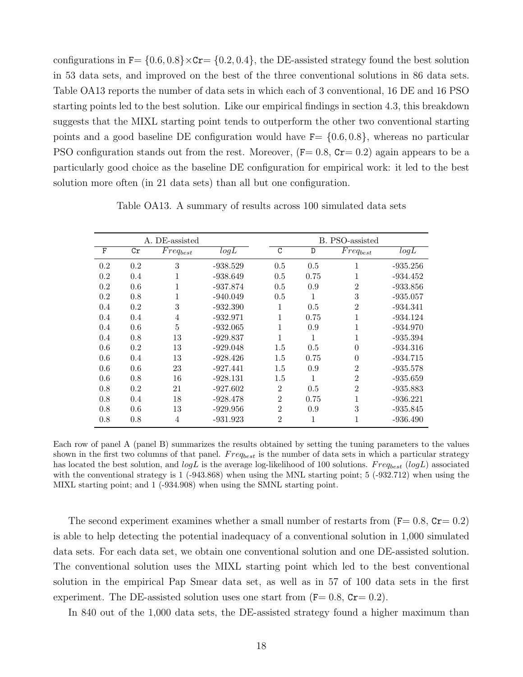configurations in  $F = \{0.6, 0.8\} \times \text{Cr} = \{0.2, 0.4\}$ , the DE-assisted strategy found the best solution in 53 data sets, and improved on the best of the three conventional solutions in 86 data sets. Table OA13 reports the number of data sets in which each of 3 conventional, 16 DE and 16 PSO starting points led to the best solution. Like our empirical findings in section 4.3, this breakdown suggests that the MIXL starting point tends to outperform the other two conventional starting points and a good baseline DE configuration would have  $F = \{0.6, 0.8\}$ , whereas no particular PSO configuration stands out from the rest. Moreover,  $(F= 0.8, Cr= 0.2)$  again appears to be a particularly good choice as the baseline DE configuration for empirical work: it led to the best solution more often (in 21 data sets) than all but one configuration.

|             |     | A. DE-assisted |            |                |              | B. PSO-assisted |            |
|-------------|-----|----------------|------------|----------------|--------------|-----------------|------------|
| $\mathbf F$ | Cr  | $Freq_{best}$  | logL       | C              | D            | $Freq_{best}$   | logL       |
| 0.2         | 0.2 | 3              | $-938.529$ | 0.5            | 0.5          | 1               | $-935.256$ |
| 0.2         | 0.4 | 1              | $-938.649$ | 0.5            | 0.75         | 1               | $-934.452$ |
| 0.2         | 0.6 | 1              | $-937.874$ | 0.5            | 0.9          | $\overline{2}$  | $-933.856$ |
| 0.2         | 0.8 | $\mathbf 1$    | $-940.049$ | 0.5            | $\mathbf{1}$ | 3               | $-935.057$ |
| 0.4         | 0.2 | 3              | $-932.390$ | 1              | 0.5          | $\overline{2}$  | $-934.341$ |
| 0.4         | 0.4 | 4              | $-932.971$ | 1              | 0.75         | 1               | $-934.124$ |
| 0.4         | 0.6 | 5              | $-932.065$ | 1              | 0.9          | 1               | $-934.970$ |
| 0.4         | 0.8 | 13             | $-929.837$ | $\mathbf{1}$   | 1            | 1               | $-935.394$ |
| 0.6         | 0.2 | 13             | $-929.048$ | 1.5            | 0.5          | $\theta$        | $-934.316$ |
| 0.6         | 0.4 | 13             | $-928.426$ | 1.5            | 0.75         | $\theta$        | $-934.715$ |
| 0.6         | 0.6 | 23             | $-927.441$ | $1.5\,$        | 0.9          | $\mathfrak{D}$  | $-935.578$ |
| 0.6         | 0.8 | 16             | $-928.131$ | $1.5\,$        | 1            | $\overline{2}$  | $-935.659$ |
| 0.8         | 0.2 | 21             | $-927.602$ | $\overline{2}$ | 0.5          | $\overline{2}$  | $-935.883$ |
| 0.8         | 0.4 | 18             | $-928.478$ | $\overline{2}$ | 0.75         | 1               | $-936.221$ |
| 0.8         | 0.6 | 13             | $-929.956$ | $\overline{2}$ | 0.9          | 3               | $-935.845$ |
| 0.8         | 0.8 | $\overline{4}$ | $-931.923$ | $\overline{2}$ | 1            | 1               | $-936.490$ |

Table OA13. A summary of results across 100 simulated data sets

Each row of panel A (panel B) summarizes the results obtained by setting the tuning parameters to the values shown in the first two columns of that panel.  $Freq_{best}$  is the number of data sets in which a particular strategy has located the best solution, and  $logL$  is the average log-likelihood of 100 solutions.  $Freq_{best}$  (logL) associated with the conventional strategy is 1 (-943.868) when using the MNL starting point; 5 (-932.712) when using the MIXL starting point; and 1 (-934.908) when using the SMNL starting point.

The second experiment examines whether a small number of restarts from  $(F= 0.8, Cr= 0.2)$ is able to help detecting the potential inadequacy of a conventional solution in 1,000 simulated data sets. For each data set, we obtain one conventional solution and one DE-assisted solution. The conventional solution uses the MIXL starting point which led to the best conventional solution in the empirical Pap Smear data set, as well as in 57 of 100 data sets in the first experiment. The DE-assisted solution uses one start from  $(F= 0.8, Cr= 0.2)$ .

In 840 out of the 1,000 data sets, the DE-assisted strategy found a higher maximum than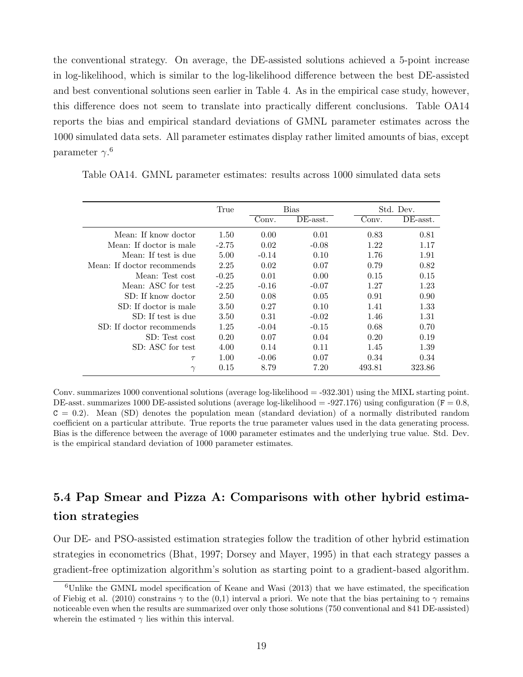the conventional strategy. On average, the DE-assisted solutions achieved a 5-point increase in log-likelihood, which is similar to the log-likelihood difference between the best DE-assisted and best conventional solutions seen earlier in Table 4. As in the empirical case study, however, this difference does not seem to translate into practically different conclusions. Table OA14 reports the bias and empirical standard deviations of GMNL parameter estimates across the 1000 simulated data sets. All parameter estimates display rather limited amounts of bias, except parameter  $\gamma$ .<sup>6</sup>

Table OA14. GMNL parameter estimates: results across 1000 simulated data sets

|                            | True    |         | <b>Bias</b> |        | Std. Dev. |
|----------------------------|---------|---------|-------------|--------|-----------|
|                            |         | Conv.   | DE-asst.    | Conv.  | DE-asst.  |
| Mean: If know doctor       | 1.50    | 0.00    | 0.01        | 0.83   | 0.81      |
| Mean: If doctor is male    | $-2.75$ | 0.02    | $-0.08$     | 1.22   | 1.17      |
| Mean: If test is due       | 5.00    | $-0.14$ | 0.10        | 1.76   | 1.91      |
| Mean: If doctor recommends | 2.25    | 0.02    | 0.07        | 0.79   | 0.82      |
| Mean: Test cost            | $-0.25$ | 0.01    | 0.00        | 0.15   | 0.15      |
| Mean: ASC for test         | $-2.25$ | $-0.16$ | $-0.07$     | 1.27   | 1.23      |
| SD: If know doctor         | 2.50    | 0.08    | 0.05        | 0.91   | 0.90      |
| SD: If doctor is male      | 3.50    | 0.27    | 0.10        | 1.41   | 1.33      |
| SD: If test is due         | 3.50    | 0.31    | $-0.02$     | 1.46   | 1.31      |
| SD: If doctor recommends   | 1.25    | $-0.04$ | $-0.15$     | 0.68   | 0.70      |
| SD: Test cost              | 0.20    | 0.07    | 0.04        | 0.20   | 0.19      |
| SD: ASC for test           | 4.00    | 0.14    | 0.11        | 1.45   | 1.39      |
| $\tau$                     | 1.00    | $-0.06$ | 0.07        | 0.34   | 0.34      |
| $\sim$                     | 0.15    | 8.79    | 7.20        | 493.81 | 323.86    |

Conv. summarizes 1000 conventional solutions (average log-likelihood  $=$  -932.301) using the MIXL starting point. DE-asst. summarizes 1000 DE-assisted solutions (average log-likelihood =  $-927.176$ ) using configuration (F = 0.8,  $C = 0.2$ ). Mean (SD) denotes the population mean (standard deviation) of a normally distributed random coefficient on a particular attribute. True reports the true parameter values used in the data generating process. Bias is the difference between the average of 1000 parameter estimates and the underlying true value. Std. Dev. is the empirical standard deviation of 1000 parameter estimates.

## 5.4 Pap Smear and Pizza A: Comparisons with other hybrid estimation strategies

Our DE- and PSO-assisted estimation strategies follow the tradition of other hybrid estimation strategies in econometrics (Bhat, 1997; Dorsey and Mayer, 1995) in that each strategy passes a gradient-free optimization algorithm's solution as starting point to a gradient-based algorithm.

<sup>6</sup>Unlike the GMNL model specification of Keane and Wasi (2013) that we have estimated, the specification of Fiebig et al. (2010) constrains  $\gamma$  to the (0,1) interval a priori. We note that the bias pertaining to  $\gamma$  remains noticeable even when the results are summarized over only those solutions (750 conventional and 841 DE-assisted) wherein the estimated  $\gamma$  lies within this interval.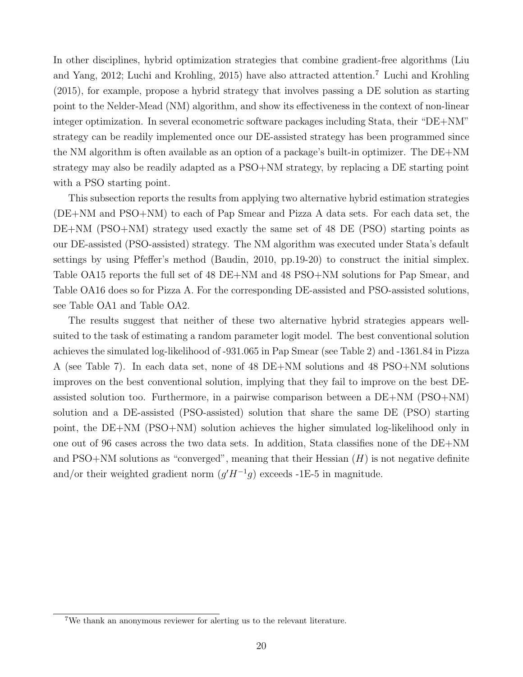In other disciplines, hybrid optimization strategies that combine gradient-free algorithms (Liu and Yang, 2012; Luchi and Krohling, 2015) have also attracted attention.<sup>7</sup> Luchi and Krohling (2015), for example, propose a hybrid strategy that involves passing a DE solution as starting point to the Nelder-Mead (NM) algorithm, and show its effectiveness in the context of non-linear integer optimization. In several econometric software packages including Stata, their "DE+NM" strategy can be readily implemented once our DE-assisted strategy has been programmed since the NM algorithm is often available as an option of a package's built-in optimizer. The DE+NM strategy may also be readily adapted as a PSO+NM strategy, by replacing a DE starting point with a PSO starting point.

This subsection reports the results from applying two alternative hybrid estimation strategies (DE+NM and PSO+NM) to each of Pap Smear and Pizza A data sets. For each data set, the DE+NM (PSO+NM) strategy used exactly the same set of 48 DE (PSO) starting points as our DE-assisted (PSO-assisted) strategy. The NM algorithm was executed under Stata's default settings by using Pfeffer's method (Baudin, 2010, pp.19-20) to construct the initial simplex. Table OA15 reports the full set of 48 DE+NM and 48 PSO+NM solutions for Pap Smear, and Table OA16 does so for Pizza A. For the corresponding DE-assisted and PSO-assisted solutions, see Table OA1 and Table OA2.

The results suggest that neither of these two alternative hybrid strategies appears wellsuited to the task of estimating a random parameter logit model. The best conventional solution achieves the simulated log-likelihood of -931.065 in Pap Smear (see Table 2) and -1361.84 in Pizza A (see Table 7). In each data set, none of 48 DE+NM solutions and 48 PSO+NM solutions improves on the best conventional solution, implying that they fail to improve on the best DEassisted solution too. Furthermore, in a pairwise comparison between a DE+NM (PSO+NM) solution and a DE-assisted (PSO-assisted) solution that share the same DE (PSO) starting point, the DE+NM (PSO+NM) solution achieves the higher simulated log-likelihood only in one out of 96 cases across the two data sets. In addition, Stata classifies none of the DE+NM and PSO+NM solutions as "converged", meaning that their Hessian  $(H)$  is not negative definite and/or their weighted gradient norm  $(g'H^{-1}g)$  exceeds -1E-5 in magnitude.

<sup>7</sup>We thank an anonymous reviewer for alerting us to the relevant literature.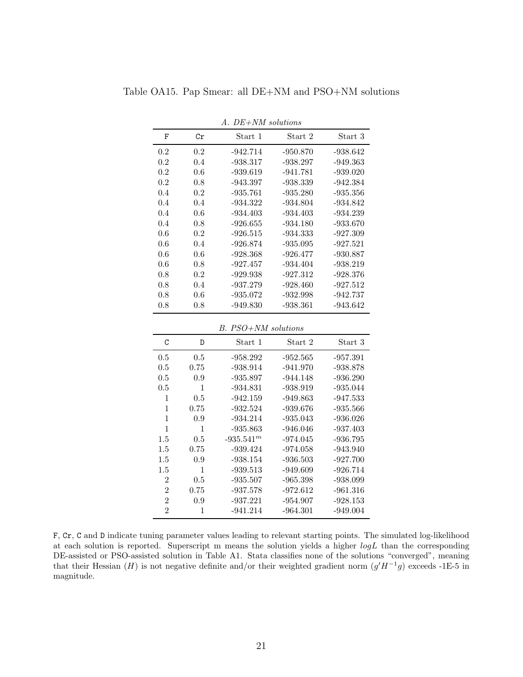| A. DE+NM solutions |     |            |            |            |  |  |  |  |  |
|--------------------|-----|------------|------------|------------|--|--|--|--|--|
| F                  | Cr  | Start 1    | Start 2    | Start 3    |  |  |  |  |  |
| 0.2                | 0.2 | $-942.714$ | $-950.870$ | -938.642   |  |  |  |  |  |
| 0.2                | 0.4 | $-938.317$ | $-938.297$ | $-949.363$ |  |  |  |  |  |
| 0.2                | 0.6 | $-939.619$ | -941.781   | $-939.020$ |  |  |  |  |  |
| 0.2                | 0.8 | $-943.397$ | -938.339   | $-942.384$ |  |  |  |  |  |
| 0.4                | 0.2 | $-935.761$ | $-935.280$ | $-935.356$ |  |  |  |  |  |
| 0.4                | 0.4 | $-934.322$ | -934.804   | $-934.842$ |  |  |  |  |  |
| 0.4                | 0.6 | $-934.403$ | -934.403   | $-934.239$ |  |  |  |  |  |
| 0.4                | 0.8 | $-926.655$ | $-934.180$ | $-933.670$ |  |  |  |  |  |
| 0.6                | 0.2 | $-926.515$ | -934.333   | $-927.309$ |  |  |  |  |  |
| 0.6                | 0.4 | $-926.874$ | -935.095   | $-927.521$ |  |  |  |  |  |
| 0.6                | 0.6 | $-928.368$ | -926.477   | -930.887   |  |  |  |  |  |
| 0.6                | 0.8 | $-927.457$ | -934.404   | -938.219   |  |  |  |  |  |
| 0.8                | 0.2 | $-929.938$ | $-927.312$ | -928.376   |  |  |  |  |  |
| 0.8                | 0.4 | -937.279   | $-928.460$ | $-927.512$ |  |  |  |  |  |
| 0.8                | 0.6 | $-935.072$ | $-932.998$ | $-942.737$ |  |  |  |  |  |
| 0.8                | 0.8 | $-949.830$ | -938.361   | -943.642   |  |  |  |  |  |

Table OA15. Pap Smear: all DE+NM and PSO+NM solutions

B. PSO+NM solutions

| C       | D    | Start 1      | Start 2    | Start 3    |
|---------|------|--------------|------------|------------|
| 0.5     | 0.5  | -958.292     | -952.565   | $-957.391$ |
| 0.5     | 0.75 | $-938.914$   | $-941.970$ | $-938.878$ |
| 0.5     | 0.9  | $-935.897$   | $-944.148$ | $-936.290$ |
| 0.5     | 1    | $-934.831$   | -938.919   | $-935.044$ |
| 1       | 0.5  | $-942.159$   | $-949.863$ | $-947.533$ |
| 1       | 0.75 | $-932.524$   | $-939.676$ | $-935.566$ |
| 1       | 0.9  | $-934.214$   | $-935.043$ | -936.026   |
| 1       | 1    | $-935.863$   | $-946.046$ | $-937.403$ |
| 1.5     | 0.5  | $-935.541^m$ | $-974.045$ | $-936.795$ |
| 1.5     | 0.75 | $-939.424$   | $-974.058$ | -943.940   |
| $1.5\,$ | 0.9  | $-938.154$   | $-936.503$ | $-927.700$ |
| 1.5     | 1    | $-939.513$   | $-949.609$ | $-926.714$ |
| 2       | 0.5  | $-935.507$   | $-965.398$ | $-938.099$ |
| 2       | 0.75 | $-937.578$   | $-972.612$ | $-961.316$ |
| 2       | 0.9  | $-937.221$   | -954.907   | $-928.153$ |
| 2       | 1    | $-941.214$   | -964.301   | $-949.004$ |

F, Cr, C and D indicate tuning parameter values leading to relevant starting points. The simulated log-likelihood at each solution is reported. Superscript m means the solution yields a higher  $logL$  than the corresponding DE-assisted or PSO-assisted solution in Table A1. Stata classifies none of the solutions "converged", meaning that their Hessian (H) is not negative definite and/or their weighted gradient norm  $(g'H^{-1}g)$  exceeds -1E-5 in magnitude.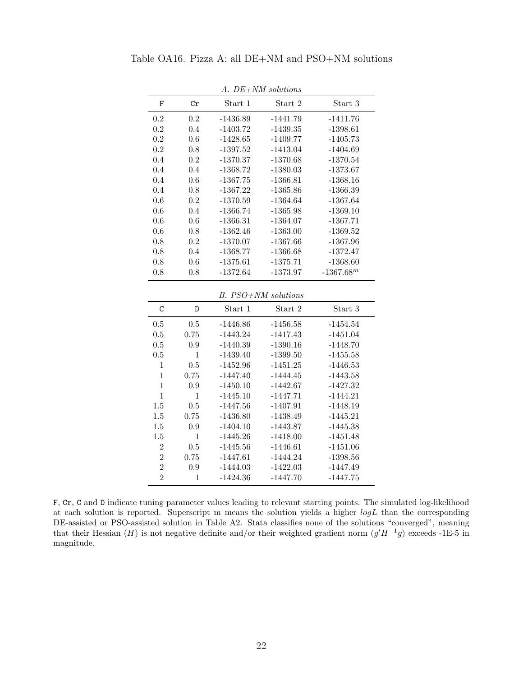| F                                | Cr           | Start 1                  | Start 2                  | Start 3                  |
|----------------------------------|--------------|--------------------------|--------------------------|--------------------------|
| 0.2                              | 0.2          | $-1436.89$               | $-1441.79$               | $-1411.76$               |
| 0.2                              | 0.4          | $-1403.72$               | $-1439.35$               | $-1398.61$               |
| 0.2                              | 0.6          | $-1428.65$               | $-1409.77$               | $-1405.73$               |
| 0.2                              | 0.8          | $-1397.52$               | $-1413.04$               | $-1404.69$               |
| 0.4                              | 0.2          | $-1370.37$               | $-1370.68$               | $-1370.54$               |
| 0.4                              | 0.4          | $-1368.72$               | $-1380.03$               | $-1373.67$               |
| 0.4                              | 0.6          | $-1367.75$               | $-1366.81$               | $-1368.16$               |
| 0.4                              | 0.8          | $-1367.22$               | $-1365.86$               | $-1366.39$               |
| 0.6                              | 0.2          | $-1370.59$               | $-1364.64$               | $-1367.64$               |
| 0.6                              | 0.4          | $-1366.74$               | $-1365.98$               | $-1369.10$               |
| 0.6                              | 0.6          | $-1366.31$               | $-1364.07$               | $-1367.71$               |
| 0.6                              | 0.8          | $-1362.46$               | $-1363.00$               | $-1369.52$               |
| 0.8                              | 0.2          | $-1370.07$               | $-1367.66$               | $-1367.96$               |
| 0.8                              | 0.4          | $-1368.77$               | $-1366.68$               | $-1372.47$               |
| 0.8                              | 0.6          | $-1375.61$               | $-1375.71$               | $-1368.60$               |
| 0.8                              | 0.8          | $-1372.64$               | $-1373.97$               | $-1367.68^m$             |
|                                  |              |                          | B. PSO+NM solutions      |                          |
|                                  |              |                          |                          |                          |
| $\mathcal{C}$                    | D            | Start 1                  | Start 2                  | Start 3                  |
| 0.5                              | 0.5          | $-1446.86$               | $-1456.58$               | $-1454.54$               |
| 0.5                              | 0.75         | $-1443.24$               | $-1417.43$               | $-1451.04$               |
| 0.5                              | 0.9          | $-1440.39$               | $-1390.16$               | $-1448.70$               |
| 0.5                              | $\mathbf{1}$ | $-1439.40$               | $-1399.50$               | $-1455.58$               |
| $\mathbf{1}$                     | 0.5          | $-1452.96$               | $-1451.25$               | $-1446.53$               |
| $\mathbf{1}$                     | 0.75         | $-1447.40$               | $-1444.45$               | $-1443.58$               |
| $\mathbf{1}$                     | 0.9          | $-1450.10$               | $-1442.67$               | $-1427.32$               |
| $\mathbf{1}$                     | $\mathbf{1}$ | $-1445.10$               | $-1447.71$               | $-1444.21$               |
| 1.5                              | 0.5          | $-1447.56$               | $-1407.91$               | $-1448.19$               |
| 1.5                              | 0.75         | $-1436.80$               | $-1438.49$               | $-1445.21$               |
| 1.5                              | 0.9          | $-1404.10$               | $-1443.87$               | $-1445.38$               |
| 1.5                              | $\,1$        | $-1445.26$               | $-1418.00$               | $-1451.48$               |
|                                  |              |                          |                          |                          |
| $\overline{2}$                   | 0.5          | $-1445.56$               | $-1446.61$               | $-1451.06$               |
| $\overline{2}$                   | 0.75         | $-1447.61$               | $-1444.24$               | $-1398.56$               |
| $\overline{2}$<br>$\overline{2}$ | 0.9          | $-1444.03$<br>$-1424.36$ | $-1422.03$<br>$-1447.70$ | $-1447.49$<br>$-1447.75$ |

A. DE+NM solutions

F, Cr, C and D indicate tuning parameter values leading to relevant starting points. The simulated log-likelihood at each solution is reported. Superscript m means the solution yields a higher  $logL$  than the corresponding DE-assisted or PSO-assisted solution in Table A2. Stata classifies none of the solutions "converged", meaning that their Hessian (H) is not negative definite and/or their weighted gradient norm  $(g'H^{-1}g)$  exceeds -1E-5 in magnitude.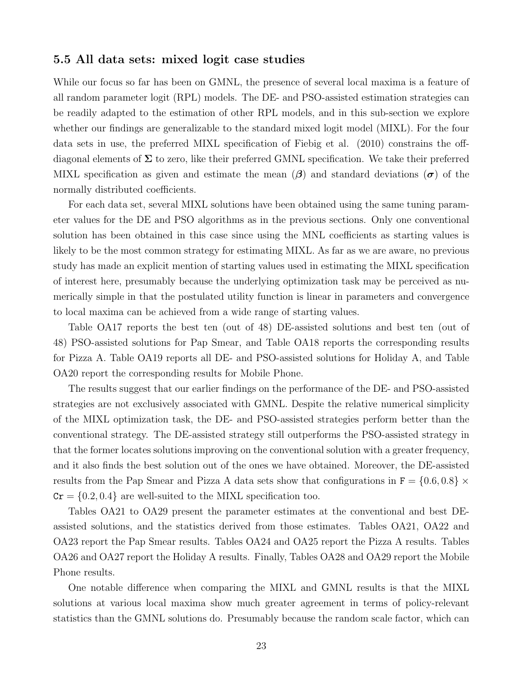#### 5.5 All data sets: mixed logit case studies

While our focus so far has been on GMNL, the presence of several local maxima is a feature of all random parameter logit (RPL) models. The DE- and PSO-assisted estimation strategies can be readily adapted to the estimation of other RPL models, and in this sub-section we explore whether our findings are generalizable to the standard mixed logit model (MIXL). For the four data sets in use, the preferred MIXL specification of Fiebig et al. (2010) constrains the offdiagonal elements of  $\Sigma$  to zero, like their preferred GMNL specification. We take their preferred MIXL specification as given and estimate the mean  $(\beta)$  and standard deviations  $(\sigma)$  of the normally distributed coefficients.

For each data set, several MIXL solutions have been obtained using the same tuning parameter values for the DE and PSO algorithms as in the previous sections. Only one conventional solution has been obtained in this case since using the MNL coefficients as starting values is likely to be the most common strategy for estimating MIXL. As far as we are aware, no previous study has made an explicit mention of starting values used in estimating the MIXL specification of interest here, presumably because the underlying optimization task may be perceived as numerically simple in that the postulated utility function is linear in parameters and convergence to local maxima can be achieved from a wide range of starting values.

Table OA17 reports the best ten (out of 48) DE-assisted solutions and best ten (out of 48) PSO-assisted solutions for Pap Smear, and Table OA18 reports the corresponding results for Pizza A. Table OA19 reports all DE- and PSO-assisted solutions for Holiday A, and Table OA20 report the corresponding results for Mobile Phone.

The results suggest that our earlier findings on the performance of the DE- and PSO-assisted strategies are not exclusively associated with GMNL. Despite the relative numerical simplicity of the MIXL optimization task, the DE- and PSO-assisted strategies perform better than the conventional strategy. The DE-assisted strategy still outperforms the PSO-assisted strategy in that the former locates solutions improving on the conventional solution with a greater frequency, and it also finds the best solution out of the ones we have obtained. Moreover, the DE-assisted results from the Pap Smear and Pizza A data sets show that configurations in  $F = \{0.6, 0.8\} \times$  $Cr = \{0.2, 0.4\}$  are well-suited to the MIXL specification too.

Tables OA21 to OA29 present the parameter estimates at the conventional and best DEassisted solutions, and the statistics derived from those estimates. Tables OA21, OA22 and OA23 report the Pap Smear results. Tables OA24 and OA25 report the Pizza A results. Tables OA26 and OA27 report the Holiday A results. Finally, Tables OA28 and OA29 report the Mobile Phone results.

One notable difference when comparing the MIXL and GMNL results is that the MIXL solutions at various local maxima show much greater agreement in terms of policy-relevant statistics than the GMNL solutions do. Presumably because the random scale factor, which can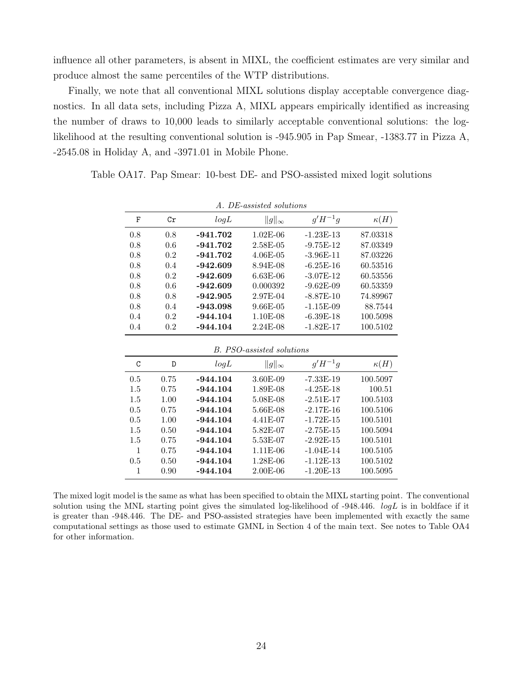influence all other parameters, is absent in MIXL, the coefficient estimates are very similar and produce almost the same percentiles of the WTP distributions.

Finally, we note that all conventional MIXL solutions display acceptable convergence diagnostics. In all data sets, including Pizza A, MIXL appears empirically identified as increasing the number of draws to 10,000 leads to similarly acceptable conventional solutions: the loglikelihood at the resulting conventional solution is -945.905 in Pap Smear, -1383.77 in Pizza A, -2545.08 in Holiday A, and -3971.01 in Mobile Phone.

Table OA17. Pap Smear: 10-best DE- and PSO-assisted mixed logit solutions

|     | A. DE-assistea solutions |            |                  |             |             |  |  |
|-----|--------------------------|------------|------------------|-------------|-------------|--|--|
| F   | $_{\rm Cr}$              | logL       | $  g  _{\infty}$ | $g'H^{-1}g$ | $\kappa(H)$ |  |  |
| 0.8 | 0.8                      | $-941.702$ | $1.02E-06$       | $-1.23E-13$ | 87.03318    |  |  |
| 0.8 | 0.6                      | $-941.702$ | 2.58E-05         | $-9.75E-12$ | 87.03349    |  |  |
| 0.8 | 0.2                      | $-941.702$ | $4.06E - 05$     | $-3.96E-11$ | 87.03226    |  |  |
| 0.8 | $0.4^{\circ}$            | $-942.609$ | 8.94E-08         | $-6.25E-16$ | 60.53516    |  |  |
| 0.8 | 0.2                      | $-942.609$ | $6.63E-06$       | $-3.07E-12$ | 60.53556    |  |  |
| 0.8 | 0.6                      | $-942.609$ | 0.000392         | $-9.62E-09$ | 60.53359    |  |  |
| 0.8 | 0.8                      | $-942.905$ | 2.97E-04         | $-8.87E-10$ | 74.89967    |  |  |
| 0.8 | 0.4                      | $-943.098$ | 9.66E-05         | $-1.15E-09$ | 88.7544     |  |  |
| 0.4 | 0.2                      | $-944.104$ | 1.10E-08         | $-6.39E-18$ | 100.5098    |  |  |
| 0.4 | 0.2                      | $-944.104$ | $2.24E-08$       | $-1.82E-17$ | 100.5102    |  |  |

 $A$ .  $DE$  assisted solutions

|  | <b>B.</b> PSO-assisted solutions |  |
|--|----------------------------------|--|
|--|----------------------------------|--|

| C   | D    | logL       | $  g  _{\infty}$ | $g'H^{-1}g$ | $\kappa(H)$ |
|-----|------|------------|------------------|-------------|-------------|
| 0.5 | 0.75 | $-944.104$ | 3.60E-09         | $-7.33E-19$ | 100.5097    |
| 1.5 | 0.75 | $-944.104$ | 1.89E-08         | $-4.25E-18$ | 100.51      |
| 1.5 | 1.00 | $-944.104$ | 5.08E-08         | $-2.51E-17$ | 100.5103    |
| 0.5 | 0.75 | $-944.104$ | 5.66E-08         | $-2.17E-16$ | 100.5106    |
| 0.5 | 1.00 | $-944.104$ | 4.41E-07         | $-1.72E-15$ | 100.5101    |
| 1.5 | 0.50 | $-944.104$ | 5.82E-07         | $-2.75E-15$ | 100.5094    |
| 1.5 | 0.75 | $-944.104$ | 5.53E-07         | $-2.92E-15$ | 100.5101    |
| 1   | 0.75 | $-944.104$ | $1.11E-06$       | $-1.04E-14$ | 100.5105    |
| 0.5 | 0.50 | $-944.104$ | $1.28E-06$       | $-1.12E-13$ | 100.5102    |
| 1   | 0.90 | $-944.104$ | $2.00E-06$       | $-1.20E-13$ | 100.5095    |

The mixed logit model is the same as what has been specified to obtain the MIXL starting point. The conventional solution using the MNL starting point gives the simulated log-likelihood of -948.446. logL is in boldface if it is greater than -948.446. The DE- and PSO-assisted strategies have been implemented with exactly the same computational settings as those used to estimate GMNL in Section 4 of the main text. See notes to Table OA4 for other information.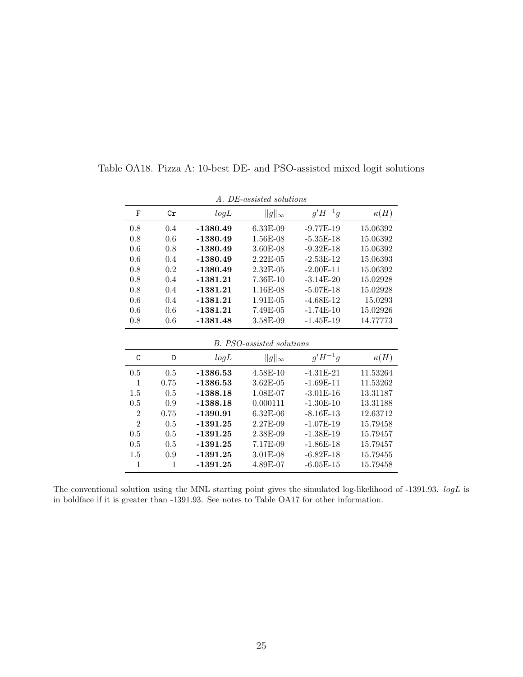|                | A. DE-assisted solutions |            |                                  |             |             |  |  |
|----------------|--------------------------|------------|----------------------------------|-------------|-------------|--|--|
| F              | Cr                       | logL       | $  g  _{\infty}$                 | $g'H^{-1}g$ | $\kappa(H)$ |  |  |
| 0.8            | 0.4                      | $-1380.49$ | 6.33E-09                         | $-9.77E-19$ | 15.06392    |  |  |
| 0.8            | 0.6                      | $-1380.49$ | 1.56E-08                         | $-5.35E-18$ | 15.06392    |  |  |
| 0.6            | 0.8                      | $-1380.49$ | 3.60E-08                         | $-9.32E-18$ | 15.06392    |  |  |
| 0.6            | 0.4                      | $-1380.49$ | $2.22E-05$                       | $-2.53E-12$ | 15.06393    |  |  |
| 0.8            | 0.2                      | $-1380.49$ | 2.32E-05                         | $-2.00E-11$ | 15.06392    |  |  |
| 0.8            | 0.4                      | $-1381.21$ | 7.36E-10                         | $-3.14E-20$ | 15.02928    |  |  |
| 0.8            | 0.4                      | $-1381.21$ | 1.16E-08                         | $-5.07E-18$ | 15.02928    |  |  |
| 0.6            | 0.4                      | $-1381.21$ | 1.91E-05                         | $-4.68E-12$ | 15.0293     |  |  |
| 0.6            | 0.6                      | $-1381.21$ | 7.49E-05                         | $-1.74E-10$ | 15.02926    |  |  |
| 0.8            | 0.6                      | $-1381.48$ | 3.58E-09                         | $-1.45E-19$ | 14.77773    |  |  |
|                |                          |            | <b>B.</b> PSO-assisted solutions |             |             |  |  |
| C              | D                        | logL       | $  g  _{\infty}$                 | $g'H^{-1}g$ | $\kappa(H)$ |  |  |
| 0.5            | 0.5                      | $-1386.53$ | $4.58E - 10$                     | $-4.31E-21$ | 11.53264    |  |  |
| $\mathbf{1}$   | 0.75                     | $-1386.53$ | $3.62E - 05$                     | $-1.69E-11$ | 11.53262    |  |  |
| 1.5            | 0.5                      | $-1388.18$ | 1.08E-07                         | $-3.01E-16$ | 13.31187    |  |  |
| 0.5            | 0.9                      | $-1388.18$ | 0.000111                         | $-1.30E-10$ | 13.31188    |  |  |
| $\overline{2}$ | 0.75                     | $-1390.91$ | $6.32E-06$                       | $-8.16E-13$ | 12.63712    |  |  |
| $\overline{2}$ | 0.5                      | $-1391.25$ | 2.27E-09                         | $-1.07E-19$ | 15.79458    |  |  |
| 0.5            | 0.5                      | $-1391.25$ | 2.38E-09                         | $-1.38E-19$ | 15.79457    |  |  |
| $0.5\,$        | 0.5                      | $-1391.25$ | 7.17E-09                         | $-1.86E-18$ | 15.79457    |  |  |
| 1.5            | 0.9                      | $-1391.25$ | $3.01E-08$                       | $-6.82E-18$ | 15.79455    |  |  |
| 1              | 1                        | $-1391.25$ | 4.89E-07                         | $-6.05E-15$ | 15.79458    |  |  |

Table OA18. Pizza A: 10-best DE- and PSO-assisted mixed logit solutions

The conventional solution using the MNL starting point gives the simulated log-likelihood of -1391.93. logL is in boldface if it is greater than -1391.93. See notes to Table OA17 for other information.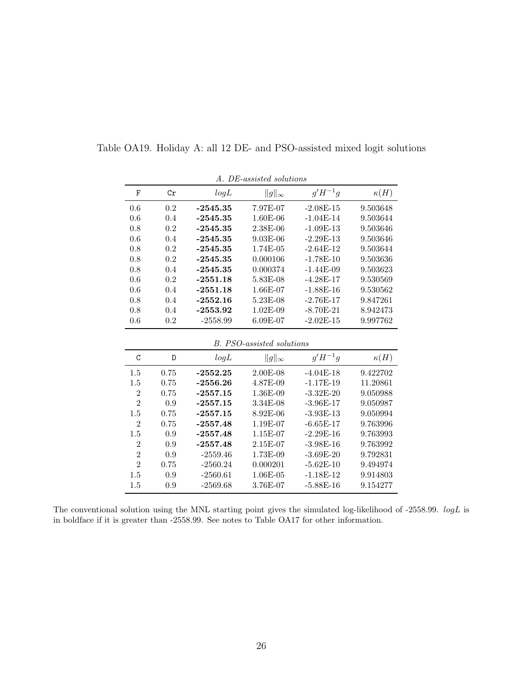| A. DE-assisted solutions |                           |            |                  |               |             |  |  |  |
|--------------------------|---------------------------|------------|------------------|---------------|-------------|--|--|--|
| F                        | $_{\rm Cr}$               | logL       | $  g  _{\infty}$ | $q'H^{-1}q$   | $\kappa(H)$ |  |  |  |
| 0.6                      | 0.2                       | $-2545.35$ | 7.97E-07         | $-2.08E - 15$ | 9.503648    |  |  |  |
| 0.6                      | 0.4                       | -2545.35   | $1.60E-06$       | $-1.04E-14$   | 9.503644    |  |  |  |
| 0.8                      | 0.2                       | $-2545.35$ | 2.38E-06         | $-1.09E-13$   | 9.503646    |  |  |  |
| 0.6                      | 0.4                       | $-2545.35$ | $9.03E-06$       | $-2.29E-13$   | 9.503646    |  |  |  |
| 0.8                      | 0.2                       | $-2545.35$ | 1.74E-05         | $-2.64E-12$   | 9.503644    |  |  |  |
| 0.8                      | 0.2                       | $-2545.35$ | 0.000106         | $-1.78E-10$   | 9.503636    |  |  |  |
| 0.8                      | 0.4                       | $-2545.35$ | 0.000374         | $-1.44E-0.9$  | 9.503623    |  |  |  |
| 0.6                      | 0.2                       | $-2551.18$ | 5.83E-08         | $-4.28E-17$   | 9.530569    |  |  |  |
| 0.6                      | 0.4                       | $-2551.18$ | 1.66E-07         | -1.88E-16     | 9.530562    |  |  |  |
| 0.8                      | 0.4                       | $-2552.16$ | 5.23E-08         | $-2.76E-17$   | 9.847261    |  |  |  |
| 0.8                      | 0.4                       | $-2553.92$ | $1.02E-0.9$      | $-8.70E-21$   | 8.942473    |  |  |  |
| 0.6                      | 0.2                       | $-2558.99$ | $6.09E-07$       | $-2.02E-15$   | 9.997762    |  |  |  |
|                          | B. PSO-assisted solutions |            |                  |               |             |  |  |  |

Table OA19. Holiday A: all 12 DE- and PSO-assisted mixed logit solutions

|                | B. PSO-assisted solutions |            |                  |             |             |  |  |
|----------------|---------------------------|------------|------------------|-------------|-------------|--|--|
| C              | D                         | logL       | $  g  _{\infty}$ | $g'H^{-1}g$ | $\kappa(H)$ |  |  |
| 1.5            | 0.75                      | $-2552.25$ | $2.00E-08$       | $-4.04E-18$ | 9.422702    |  |  |
| 1.5            | 0.75                      | $-2556.26$ | 4.87E-09         | $-1.17E-19$ | 11.20861    |  |  |
| 2              | 0.75                      | $-2557.15$ | 1.36E-09         | $-3.32E-20$ | 9.050988    |  |  |
| $\overline{2}$ | 0.9                       | $-2557.15$ | 3.34E-08         | $-3.96E-17$ | 9.050987    |  |  |
| 1.5            | 0.75                      | $-2557.15$ | $8.92E-06$       | $-3.93E-13$ | 9.050994    |  |  |
| $\overline{2}$ | 0.75                      | $-2557.48$ | 1.19E-07         | $-6.65E-17$ | 9.763996    |  |  |
| 1.5            | 0.9                       | $-2557.48$ | 1.15E-07         | $-2.29E-16$ | 9.763993    |  |  |
| $\overline{2}$ | 0.9                       | $-2557.48$ | $2.15E-07$       | $-3.98E-16$ | 9.763992    |  |  |
| $\overline{2}$ | 0.9                       | $-2559.46$ | 1.73E-09         | $-3.69E-20$ | 9.792831    |  |  |
| $\mathfrak{D}$ | 0.75                      | $-2560.24$ | 0.000201         | $-5.62E-10$ | 9.494974    |  |  |
| 1.5            | 0.9                       | $-2560.61$ | $1.06E-05$       | $-1.18E-12$ | 9.914803    |  |  |
| 1.5            | 0.9                       | $-2569.68$ | 3.76E-07         | $-5.88E-16$ | 9.154277    |  |  |

The conventional solution using the MNL starting point gives the simulated log-likelihood of -2558.99. logL is in boldface if it is greater than -2558.99. See notes to Table OA17 for other information.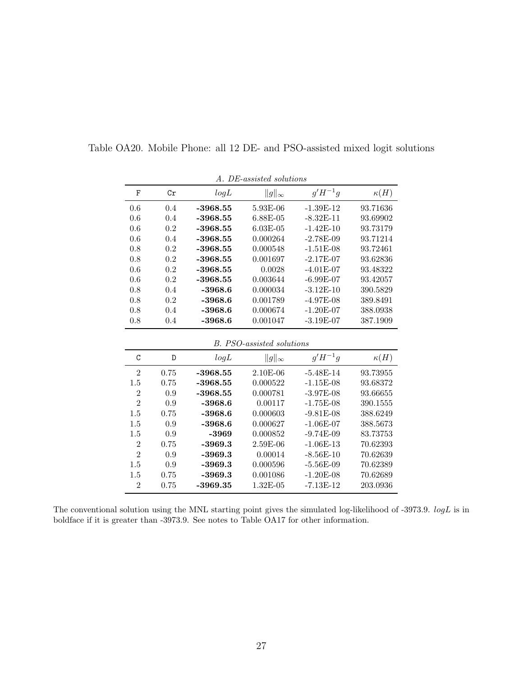| A. DE-assisted solutions  |      |            |                  |              |             |  |  |
|---------------------------|------|------------|------------------|--------------|-------------|--|--|
| F                         | Cr   | logL       | $  g  _{\infty}$ | $q'H^{-1}q$  | $\kappa(H)$ |  |  |
| 0.6                       | 0.4  | -3968.55   | 5.93E-06         | $-1.39E-12$  | 93.71636    |  |  |
| 0.6                       | 0.4  | $-3968.55$ | 6.88E-05         | $-8.32E-11$  | 93.69902    |  |  |
| 0.6                       | 0.2  | -3968.55   | $6.03E - 05$     | $-1.42E-10$  | 93.73179    |  |  |
| 0.6                       | 0.4  | -3968.55   | 0.000264         | $-2.78E-0.9$ | 93.71214    |  |  |
| 0.8                       | 0.2  | $-3968.55$ | 0.000548         | $-1.51E-08$  | 93.72461    |  |  |
| 0.8                       | 0.2  | $-3968.55$ | 0.001697         | $-2.17E-07$  | 93.62836    |  |  |
| 0.6                       | 0.2  | $-3968.55$ | 0.0028           | $-4.01E-07$  | 93.48322    |  |  |
| 0.6                       | 0.2  | $-3968.55$ | 0.003644         | $-6.99E-07$  | 93.42057    |  |  |
| 0.8                       | 0.4  | $-3968.6$  | 0.000034         | $-3.12E-10$  | 390.5829    |  |  |
| 0.8                       | 0.2  | -3968.6    | 0.001789         | $-4.97E-08$  | 389.8491    |  |  |
| 0.8                       | 0.4  | -3968.6    | 0.000674         | $-1.20E-07$  | 388.0938    |  |  |
| 0.8                       | 0.4  | $-3968.6$  | 0.001047         | $-3.19E-07$  | 387.1909    |  |  |
| B. PSO-assisted solutions |      |            |                  |              |             |  |  |
| C                         | D    | logL       | $  g  _{\infty}$ | $q'H^{-1}q$  | $\kappa(H)$ |  |  |
| $\overline{2}$            | 0.75 | $-3968.55$ | 2.10E-06         | $-5.48E-14$  | 93.73955    |  |  |

1.5 0.75 -3968.55 0.000522 -1.15E-08 93.68372  $\begin{array}{cccc} 2 \qquad & 0.9 \qquad \textbf{-3968.55} \qquad & 0.000781 \qquad & \textbf{-3.97E-08} \qquad & 93.66655 \end{array}$ 2 0.9 -3968.6 0.00117 -1.75E-08 390.1555 1.5 0.75 -3968.6 0.000603 -9.81E-08 388.6249 1.5 0.9 -3968.6 0.000627 -1.06E-07 388.5673 1.5 0.9 -3969 0.000852 -9.74E-09 83.73753 2 0.75 -3969.3 2.59E-06 -1.06E-13 70.62393 2 0.9 -3969.3 0.00014 -8.56E-10 70.62639 1.5 0.9 -3969.3 0.000596 -5.56E-09 70.62389 1.5 0.75 -3969.3 0.001086 -1.20E-08 70.62689  $\ 2 \qquad \ \ 0.75 \qquad \ \ \, \textrm{-3969.35} \qquad \ \ \, 1.32 \textrm{E-05} \qquad \ \ \, \textrm{-7.13E-12} \qquad \ \ \, 203.0936$ 

Table OA20. Mobile Phone: all 12 DE- and PSO-assisted mixed logit solutions

The conventional solution using the MNL starting point gives the simulated log-likelihood of -3973.9.  $logL$  is in boldface if it is greater than -3973.9. See notes to Table OA17 for other information.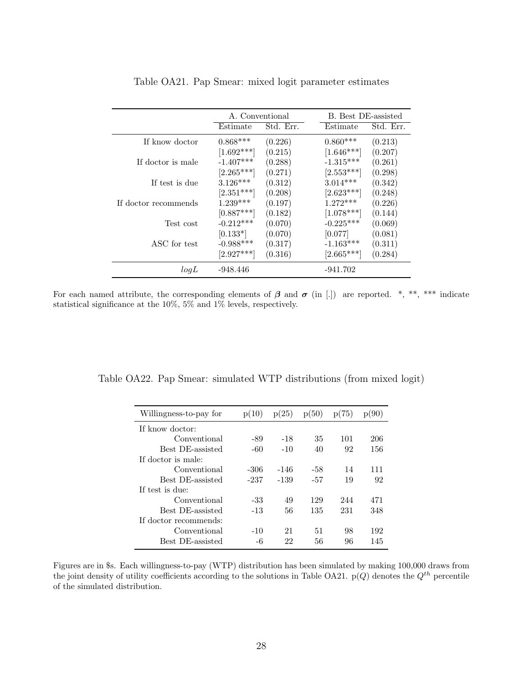|                      | A. Conventional |           | B. Best DE-assisted |           |
|----------------------|-----------------|-----------|---------------------|-----------|
|                      | Estimate        | Std. Err. | Estimate            | Std. Err. |
| If know doctor       | $0.868***$      | (0.226)   | $0.860***$          | (0.213)   |
|                      | $[1.692***]$    | (0.215)   | $[1.646***]$        | (0.207)   |
| If doctor is male    | $-1.407***$     | (0.288)   | $-1.315***$         | (0.261)   |
|                      | $[2.265***]$    | (0.271)   | $[2.553***]$        | (0.298)   |
| If test is due       | $3.126***$      | (0.312)   | $3.014***$          | (0.342)   |
|                      | $[2.351***]$    | (0.208)   | $[2.623***]$        | (0.248)   |
| If doctor recommends | $1.239***$      | (0.197)   | $1.272***$          | (0.226)   |
|                      | $[0.887***]$    | (0.182)   | $[1.078***]$        | (0.144)   |
| Test cost            | $-0.212***$     | (0.070)   | $-0.225***$         | (0.069)   |
|                      | $[0.133*]$      | (0.070)   | [0.077]             | (0.081)   |
| ASC for test         | $-0.988***$     | (0.317)   | $-1.163***$         | (0.311)   |
|                      | $[2.927***]$    | (0.316)   | $[2.665***]$        | (0.284)   |
| logL                 | -948.446        |           | -941.702            |           |

Table OA21. Pap Smear: mixed logit parameter estimates

For each named attribute, the corresponding elements of  $\beta$  and  $\sigma$  (in [.]) are reported. \*, \*\*, \*\*\* indicate statistical significance at the 10%, 5% and 1% levels, respectively.

| Willingness-to-pay for  | p(10)  | p(25)  | p(50) | p(75) | p(90) |
|-------------------------|--------|--------|-------|-------|-------|
| If know doctor:         |        |        |       |       |       |
| Conventional            | -89    | $-18$  | 35    | 101   | 206   |
| Best DE-assisted        | -60    | $-10$  | 40    | 92    | 156   |
| If doctor is male:      |        |        |       |       |       |
| Conventional            | -306   | -146   | -58   | 14    | 111   |
| <b>Best DE-assisted</b> | $-237$ | $-139$ | $-57$ | 19    | 92    |
| If test is due:         |        |        |       |       |       |
| Conventional            | -33    | 49     | 129   | 244   | 471   |
| Best DE-assisted        | $-13$  | 56     | 135   | 231   | 348   |
| If doctor recommends:   |        |        |       |       |       |
| Conventional            | $-10$  | 21     | 51    | 98    | 192   |
| Best DE-assisted        | -6     | 22     | 56    | 96    | 145   |
|                         |        |        |       |       |       |

Table OA22. Pap Smear: simulated WTP distributions (from mixed logit)

Figures are in \$s. Each willingness-to-pay (WTP) distribution has been simulated by making 100,000 draws from the joint density of utility coefficients according to the solutions in Table OA21.  $p(Q)$  denotes the  $Q^{th}$  percentile of the simulated distribution.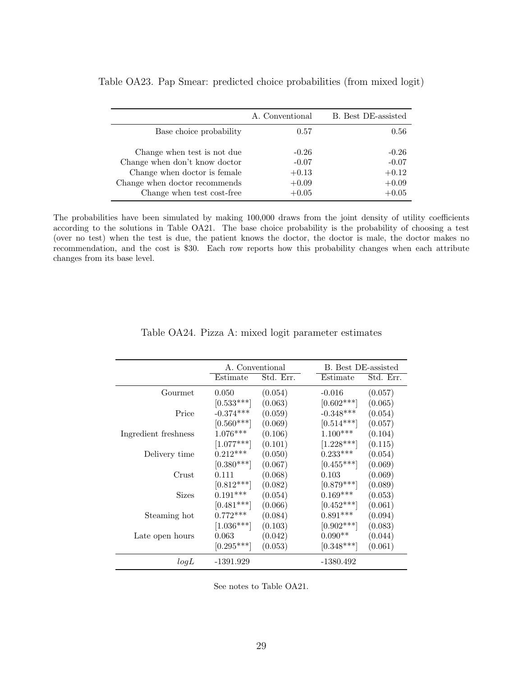|                                                                                                                                                             | A. Conventional                                     | B. Best DE-assisted                                 |
|-------------------------------------------------------------------------------------------------------------------------------------------------------------|-----------------------------------------------------|-----------------------------------------------------|
| Base choice probability                                                                                                                                     | 0.57                                                | 0.56                                                |
| Change when test is not due<br>Change when don't know doctor<br>Change when doctor is female<br>Change when doctor recommends<br>Change when test cost-free | $-0.26$<br>$-0.07$<br>$+0.13$<br>$+0.09$<br>$+0.05$ | $-0.26$<br>$-0.07$<br>$+0.12$<br>$+0.09$<br>$+0.05$ |

Table OA23. Pap Smear: predicted choice probabilities (from mixed logit)

The probabilities have been simulated by making 100,000 draws from the joint density of utility coefficients according to the solutions in Table OA21. The base choice probability is the probability of choosing a test (over no test) when the test is due, the patient knows the doctor, the doctor is male, the doctor makes no recommendation, and the cost is \$30. Each row reports how this probability changes when each attribute changes from its base level.

|                      |              | A. Conventional |              | B. Best DE-assisted |
|----------------------|--------------|-----------------|--------------|---------------------|
|                      | Estimate     | Std. Err.       | Estimate     | Std. Err.           |
| Gourmet              | 0.050        | (0.054)         | $-0.016$     | (0.057)             |
|                      | $[0.533***]$ | (0.063)         | $[0.602***]$ | (0.065)             |
| Price                | $-0.374***$  | (0.059)         | $-0.348***$  | (0.054)             |
|                      | $[0.560***]$ | (0.069)         | $[0.514***]$ | (0.057)             |
| Ingredient freshness | $1.076***$   | (0.106)         | $1.100***$   | (0.104)             |
|                      | $[1.077***]$ | (0.101)         | $[1.228***]$ | (0.115)             |
| Delivery time        | $0.212***$   | (0.050)         | $0.233***$   | (0.054)             |
|                      | $[0.380***]$ | (0.067)         | $[0.455***]$ | (0.069)             |
| Crust                | 0.111        | (0.068)         | 0.103        | (0.069)             |
|                      | $[0.812***]$ | (0.082)         | $[0.879***]$ | (0.089)             |
| Sizes                | $0.191***$   | (0.054)         | $0.169***$   | (0.053)             |
|                      | $[0.481***]$ | (0.066)         | $[0.452***]$ | (0.061)             |
| Steaming hot         | $0.772***$   | (0.084)         | $0.891***$   | (0.094)             |
|                      | $[1.036***]$ | (0.103)         | $[0.902***]$ | (0.083)             |
| Late open hours      | 0.063        | (0.042)         | $0.090**$    | (0.044)             |
|                      | $[0.295***]$ | (0.053)         | $[0.348***]$ | (0.061)             |
| logL                 | $-1391.929$  |                 | -1380.492    |                     |

| Table OA24. Pizza A: mixed logit parameter estimates |  |  |  |
|------------------------------------------------------|--|--|--|
|------------------------------------------------------|--|--|--|

See notes to Table OA21.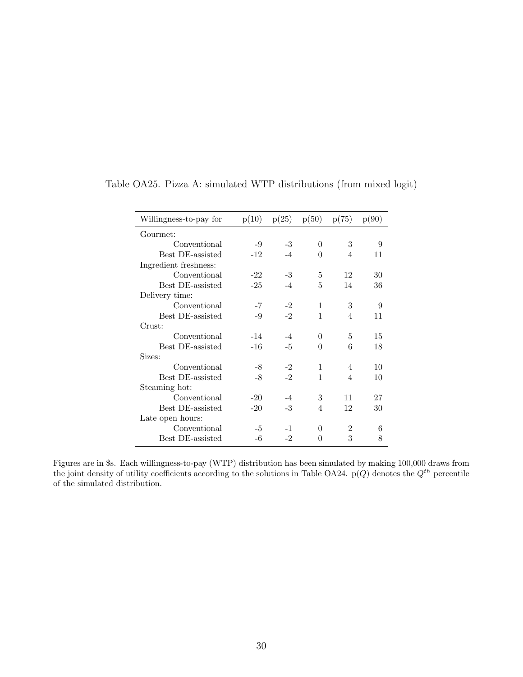| Willingness-to-pay for | p(10) | p(25) | p(50)             | p(75)          | p(90) |
|------------------------|-------|-------|-------------------|----------------|-------|
| Gourmet:               |       |       |                   |                |       |
| Conventional           | -9    | $-3$  | 0                 | 3              | 9     |
| Best DE-assisted       | $-12$ | $-4$  | $\Omega$          | 4              | 11    |
| Ingredient freshness:  |       |       |                   |                |       |
| Conventional           | -22   | $-3$  | 5                 | 12             | 30    |
| Best DE-assisted       | $-25$ | $-4$  | 5                 | 14             | 36    |
| Delivery time:         |       |       |                   |                |       |
| Conventional           | $-7$  | $-2$  | 1                 | 3              | 9     |
| Best DE-assisted       | -9    | $-2$  | $\mathbf{1}$      | $\overline{4}$ | 11    |
| Crust:                 |       |       |                   |                |       |
| Conventional           | $-14$ | $-4$  | $\Omega$          | 5              | 15    |
| Best DE-assisted       | $-16$ | $-5$  | 0                 | 6              | 18    |
| Sizes:                 |       |       |                   |                |       |
| Conventional           | $-8$  | $-2$  | 1                 | 4              | 10    |
| Best DE-assisted       | -8    | $-2$  | 1                 | 4              | 10    |
| Steaming hot:          |       |       |                   |                |       |
| Conventional           | $-20$ | $-4$  | 3                 | 11             | 27    |
| Best DE-assisted       | $-20$ | $-3$  | 4                 | 12             | 30    |
| Late open hours:       |       |       |                   |                |       |
| Conventional           | -5    | $-1$  | 0                 | $\overline{2}$ | 6     |
| Best DE-assisted       | -6    | $-2$  | $\mathbf{\Omega}$ | 3              | 8     |

Table OA25. Pizza A: simulated WTP distributions (from mixed logit)

Figures are in \$s. Each willingness-to-pay (WTP) distribution has been simulated by making 100,000 draws from the joint density of utility coefficients according to the solutions in Table OA24.  $p(Q)$  denotes the  $Q^{th}$  percentile of the simulated distribution.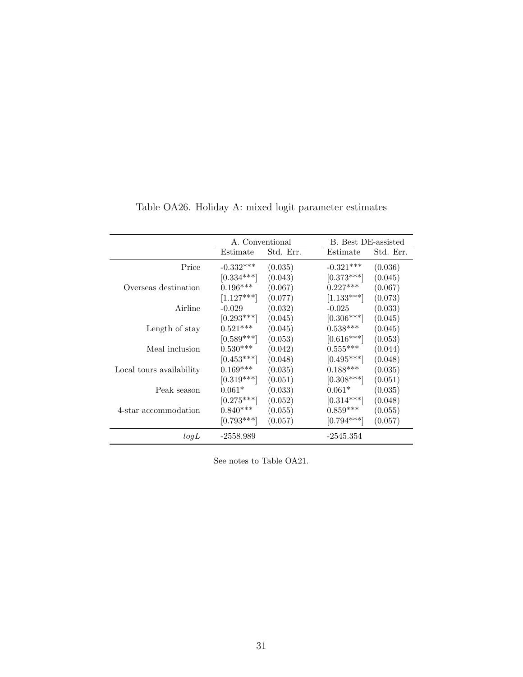|                          | A. Conventional |           | B. Best DE-assisted |           |
|--------------------------|-----------------|-----------|---------------------|-----------|
|                          | Estimate        | Std. Err. | Estimate            | Std. Err. |
| Price                    | $-0.332***$     | (0.035)   | $-0.321***$         | (0.036)   |
|                          | $[0.334***]$    | (0.043)   | $[0.373***]$        | (0.045)   |
| Overseas destination     | $0.196***$      | (0.067)   | $0.227***$          | (0.067)   |
|                          | $[1.127***]$    | (0.077)   | $[1.133***]$        | (0.073)   |
| Airline                  | $-0.029$        | (0.032)   | $-0.025$            | (0.033)   |
|                          | $[0.293***]$    | (0.045)   | $[0.306***]$        | (0.045)   |
| Length of stay           | $0.521***$      | (0.045)   | $0.538***$          | (0.045)   |
|                          | $[0.589***]$    | (0.053)   | $[0.616***]$        | (0.053)   |
| Meal inclusion           | $0.530***$      | (0.042)   | $0.555***$          | (0.044)   |
|                          | $[0.453***]$    | (0.048)   | $[0.495***]$        | (0.048)   |
| Local tours availability | $0.169***$      | (0.035)   | $0.188***$          | (0.035)   |
|                          | $[0.319***]$    | (0.051)   | $[0.308***]$        | (0.051)   |
| Peak season              | $0.061*$        | (0.033)   | $0.061*$            | (0.035)   |
|                          | $[0.275***]$    | (0.052)   | $[0.314***]$        | (0.048)   |
| 4-star accommodation     | $0.840***$      | (0.055)   | $0.859***$          | (0.055)   |
|                          | $[0.793***]$    | (0.057)   | $[0.794***]$        | (0.057)   |
| logL                     | $-2558.989$     |           | $-2545.354$         |           |

Table OA26. Holiday A: mixed logit parameter estimates

See notes to Table OA21.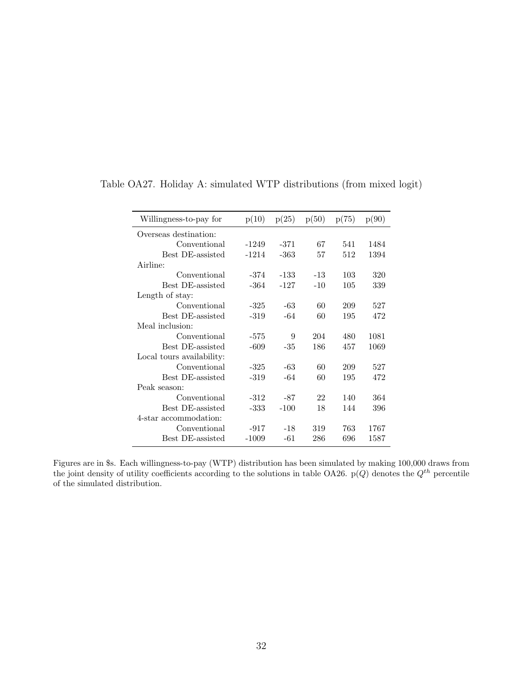| Willingness-to-pay for    | p(10)   | p(25)  | p(50) | p(75) | p(90) |
|---------------------------|---------|--------|-------|-------|-------|
| Overseas destination:     |         |        |       |       |       |
| Conventional              | $-1249$ | $-371$ | 67    | 541   | 1484  |
| Best DE-assisted          | $-1214$ | $-363$ | 57    | 512   | 1394  |
| Airline:                  |         |        |       |       |       |
| Conventional              | $-374$  | -133   | $-13$ | 103   | 320   |
| Best DE-assisted          | $-364$  | -127   | $-10$ | 105   | 339   |
| Length of stay:           |         |        |       |       |       |
| Conventional              | $-325$  | -63    | 60    | 209   | 527   |
| Best DE-assisted          | $-319$  | $-64$  | 60    | 195   | 472   |
| Meal inclusion:           |         |        |       |       |       |
| Conventional              | -575    | 9      | 204   | 480   | 1081  |
| Best DE-assisted          | -609    | -35    | 186   | 457   | 1069  |
| Local tours availability: |         |        |       |       |       |
| Conventional              | $-325$  | -63    | 60    | 209   | 527   |
| Best DE-assisted          | $-319$  | $-64$  | 60    | 195   | 472   |
| Peak season:              |         |        |       |       |       |
| Conventional              | $-312$  | $-87$  | 22    | 140   | 364   |
| Best DE-assisted          | $-333$  | $-100$ | 18    | 144   | 396   |
| 4-star accommodation:     |         |        |       |       |       |
| Conventional              | -917    | $-18$  | 319   | 763   | 1767  |
| Best DE-assisted          | $-1009$ | -61    | 286   | 696   | 1587  |

Table OA27. Holiday A: simulated WTP distributions (from mixed logit)

Figures are in \$s. Each willingness-to-pay (WTP) distribution has been simulated by making 100,000 draws from the joint density of utility coefficients according to the solutions in table OA26.  $p(Q)$  denotes the  $Q^{th}$  percentile of the simulated distribution.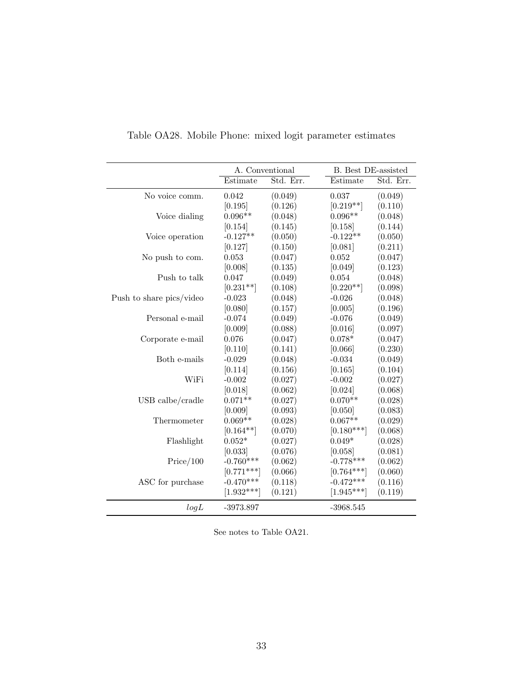|                          | A. Conventional |           |              | <b>B.</b> Best DE-assisted |  |  |
|--------------------------|-----------------|-----------|--------------|----------------------------|--|--|
|                          | Estimate        | Std. Err. | Estimate     | Std. Err.                  |  |  |
| No voice comm.           | 0.042           | (0.049)   | 0.037        | (0.049)                    |  |  |
|                          | [0.195]         | (0.126)   | $[0.219**]$  | (0.110)                    |  |  |
| Voice dialing            | $0.096**$       | (0.048)   | $0.096**$    | (0.048)                    |  |  |
|                          | [0.154]         | (0.145)   | [0.158]      | (0.144)                    |  |  |
| Voice operation          | $-0.127**$      | (0.050)   | $-0.122**$   | (0.050)                    |  |  |
|                          | [0.127]         | (0.150)   | [0.081]      | (0.211)                    |  |  |
| No push to com.          | 0.053           | (0.047)   | 0.052        | (0.047)                    |  |  |
|                          | [0.008]         | (0.135)   | [0.049]      | (0.123)                    |  |  |
| Push to talk             | 0.047           | (0.049)   | 0.054        | (0.048)                    |  |  |
|                          | $[0.231**]$     | (0.108)   | $[0.220**]$  | (0.098)                    |  |  |
| Push to share pics/video | $-0.023$        | (0.048)   | $-0.026$     | (0.048)                    |  |  |
|                          | [0.080]         | (0.157)   | [0.005]      | (0.196)                    |  |  |
| Personal e-mail          | $-0.074$        | (0.049)   | $-0.076$     | (0.049)                    |  |  |
|                          | [0.009]         | (0.088)   | [0.016]      | (0.097)                    |  |  |
| Corporate e-mail         | 0.076           | (0.047)   | $0.078*$     | (0.047)                    |  |  |
|                          | [0.110]         | (0.141)   | [0.066]      | (0.230)                    |  |  |
| Both e-mails             | $-0.029$        | (0.048)   | $-0.034$     | (0.049)                    |  |  |
|                          | [0.114]         | (0.156)   | [0.165]      | (0.104)                    |  |  |
| WiFi                     | $-0.002$        | (0.027)   | $-0.002$     | (0.027)                    |  |  |
|                          | [0.018]         | (0.062)   | [0.024]      | (0.068)                    |  |  |
| USB calbe/cradle         | $0.071**$       | (0.027)   | $0.070**$    | (0.028)                    |  |  |
|                          | [0.009]         | (0.093)   | [0.050]      | (0.083)                    |  |  |
| Thermometer              | $0.069**$       | (0.028)   | $0.067**$    | (0.029)                    |  |  |
|                          | $[0.164**]$     | (0.070)   | $[0.180***]$ | (0.068)                    |  |  |
| Flashlight               | $0.052*$        | (0.027)   | $0.049*$     | (0.028)                    |  |  |
|                          | [0.033]         | (0.076)   | [0.058]      | (0.081)                    |  |  |
| Price/100                | $-0.760***$     | (0.062)   | $-0.778***$  | (0.062)                    |  |  |
|                          | $[0.771***]$    | (0.066)   | $[0.764***]$ | (0.060)                    |  |  |
| ASC for purchase         | $-0.470***$     | (0.118)   | $-0.472***$  | (0.116)                    |  |  |
|                          | $[1.932***]$    | (0.121)   | $[1.945***]$ | (0.119)                    |  |  |
| logL                     | $-3973.897$     |           | $-3968.545$  |                            |  |  |

## Table OA28. Mobile Phone: mixed logit parameter estimates

See notes to Table OA21.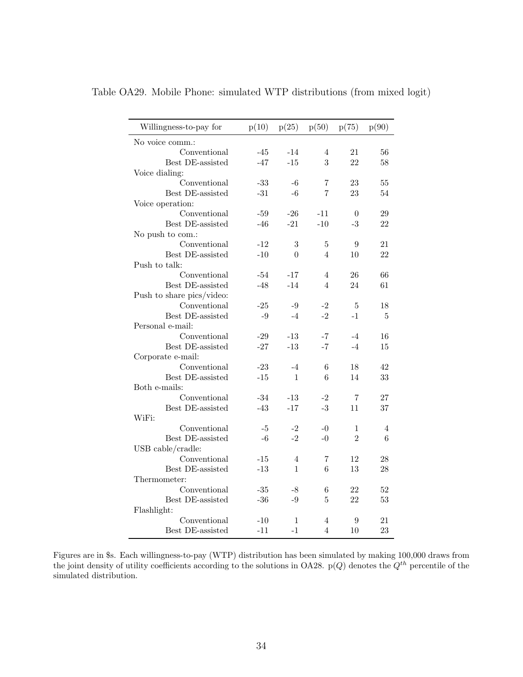| Willingness-to-pay for    | p(10)        | p(25)        | p(50)          | p(75)          | p(90) |
|---------------------------|--------------|--------------|----------------|----------------|-------|
| No voice comm.:           |              |              |                |                |       |
| Conventional              | $-45$        | $-14$        | 4              | 21             | 56    |
| Best DE-assisted          | $-47$        | $-15$        | 3              | 22             | 58    |
| Voice dialing:            |              |              |                |                |       |
| Conventional              | $-33$        | -6           | 7              | 23             | 55    |
| Best DE-assisted          | $-31$        | -6           | $\overline{7}$ | 23             | 54    |
| Voice operation:          |              |              |                |                |       |
| Conventional              | $\mbox{-}59$ | $-26$        | -11            | $\theta$       | 29    |
| Best DE-assisted          | $-46$        | $-21$        | $-10$          | $-3$           | 22    |
| No push to com.:          |              |              |                |                |       |
| Conventional              | $-12$        | $\sqrt{3}$   | 5              | 9              | 21    |
| Best DE-assisted          | $-10$        | $\Omega$     | $\overline{4}$ | 10             | 22    |
| Push to talk:             |              |              |                |                |       |
| Conventional              | -54          | $-17$        | 4              | 26             | 66    |
| Best DE-assisted          | $-48$        | $-14$        | 4              | 24             | 61    |
| Push to share pics/video: |              |              |                |                |       |
| Conventional              | -25          | -9           | -2             | $\overline{5}$ | 18    |
| Best DE-assisted          | $-9$         | $-4$         | $-2$           | $-1$           | 5     |
| Personal e-mail:          |              |              |                |                |       |
| Conventional              | $-29$        | $-13$        | -7             | $-4$           | 16    |
| Best DE-assisted          | $-27$        | $-13$        | $-7$           | $-4$           | 15    |
| Corporate e-mail:         |              |              |                |                |       |
| Conventional              | $-23$        | $-4$         | 6              | 18             | 42    |
| Best DE-assisted          | $-15$        | $\mathbf{1}$ | 6              | 14             | 33    |
| Both e-mails:             |              |              |                |                |       |
| Conventional              | $-34$        | $-13$        | -2             | 7              | 27    |
| Best DE-assisted          | $-43$        | $-17$        | $-3$           | 11             | 37    |
| WiFi:                     |              |              |                |                |       |
| Conventional              | $-5$         | $-2$         | -0             | 1              | 4     |
| Best DE-assisted          | $-6$         | $-2$         | $-0$           | $\overline{2}$ | 6     |
| USB cable/cradle:         |              |              |                |                |       |
| Conventional              | -15          | 4            | 7              | 12             | 28    |
| Best DE-assisted          | $-13$        | 1            | 6              | 13             | 28    |
| Thermometer:              |              |              |                |                |       |
| Conventional              | $-35$        | -8           | 6              | 22             | 52    |
| Best DE-assisted          | $-36$        | $-9$         | 5              | 22             | 53    |
| Flashlight:               |              |              |                |                |       |
| Conventional              | $-10$        | 1            | 4              | 9              | 21    |
| Best DE-assisted          | $-11$        | $-1$         | 4              | 10             | 23    |

Table OA29. Mobile Phone: simulated WTP distributions (from mixed logit)

Figures are in \$s. Each willingness-to-pay (WTP) distribution has been simulated by making 100,000 draws from the joint density of utility coefficients according to the solutions in OA28.  $p(Q)$  denotes the  $Q^{th}$  percentile of the simulated distribution.